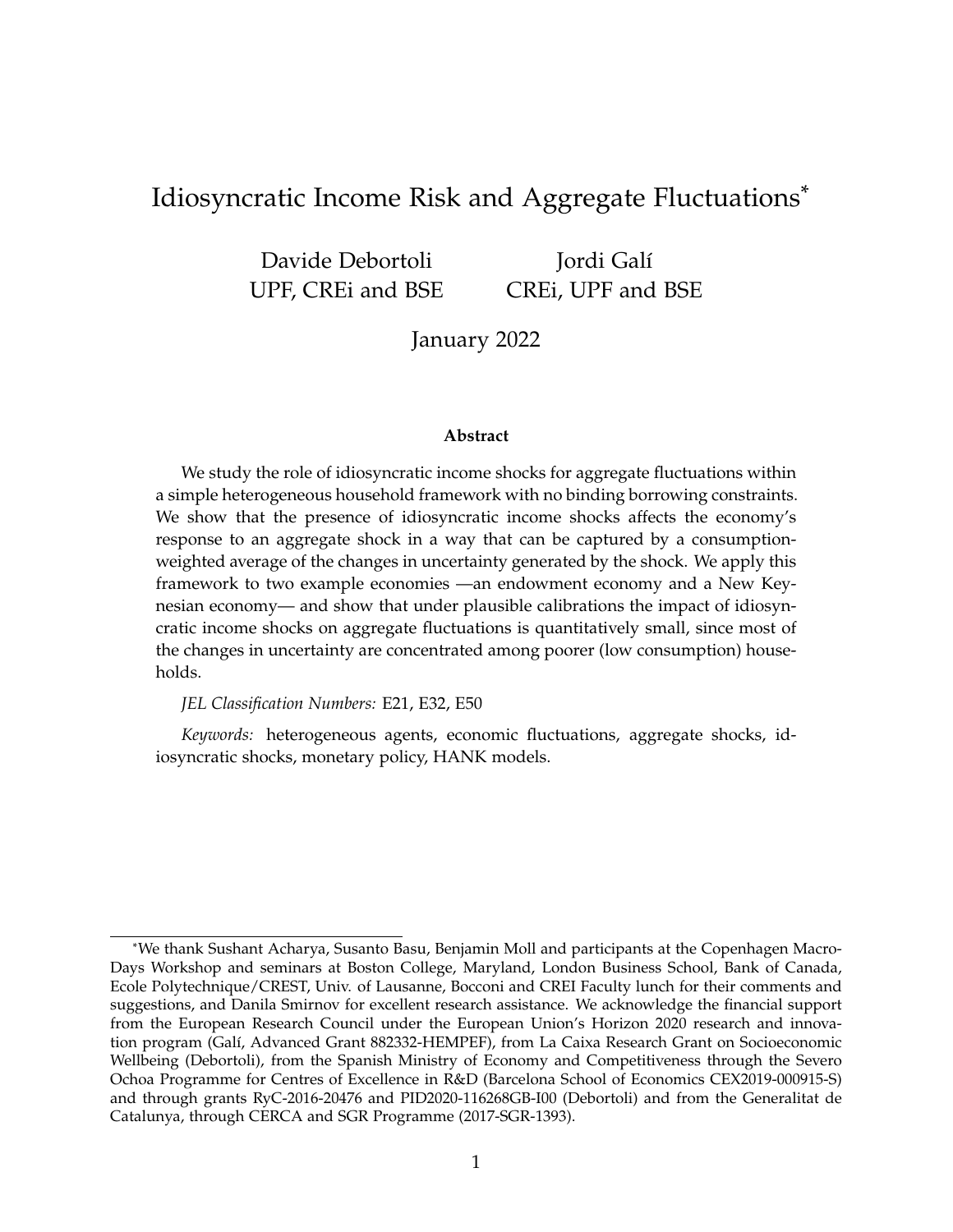## Idiosyncratic Income Risk and Aggregate Fluctuations\*

Davide Debortoli UPF, CREi and BSE

Jordi Galí CREi, UPF and BSE

January 2022

#### **Abstract**

We study the role of idiosyncratic income shocks for aggregate fluctuations within a simple heterogeneous household framework with no binding borrowing constraints. We show that the presence of idiosyncratic income shocks affects the economy's response to an aggregate shock in a way that can be captured by a consumptionweighted average of the changes in uncertainty generated by the shock. We apply this framework to two example economies —an endowment economy and a New Keynesian economy— and show that under plausible calibrations the impact of idiosyncratic income shocks on aggregate fluctuations is quantitatively small, since most of the changes in uncertainty are concentrated among poorer (low consumption) households.

*JEL Classification Numbers:* E21, E32, E50

*Keywords:* heterogeneous agents, economic fluctuations, aggregate shocks, idiosyncratic shocks, monetary policy, HANK models.

<sup>\*</sup>We thank Sushant Acharya, Susanto Basu, Benjamin Moll and participants at the Copenhagen Macro-Days Workshop and seminars at Boston College, Maryland, London Business School, Bank of Canada, Ecole Polytechnique/CREST, Univ. of Lausanne, Bocconi and CREI Faculty lunch for their comments and suggestions, and Danila Smirnov for excellent research assistance. We acknowledge the financial support from the European Research Council under the European Union's Horizon 2020 research and innovation program (Galí, Advanced Grant 882332-HEMPEF), from La Caixa Research Grant on Socioeconomic Wellbeing (Debortoli), from the Spanish Ministry of Economy and Competitiveness through the Severo Ochoa Programme for Centres of Excellence in R&D (Barcelona School of Economics CEX2019-000915-S) and through grants RyC-2016-20476 and PID2020-116268GB-I00 (Debortoli) and from the Generalitat de Catalunya, through CERCA and SGR Programme (2017-SGR-1393).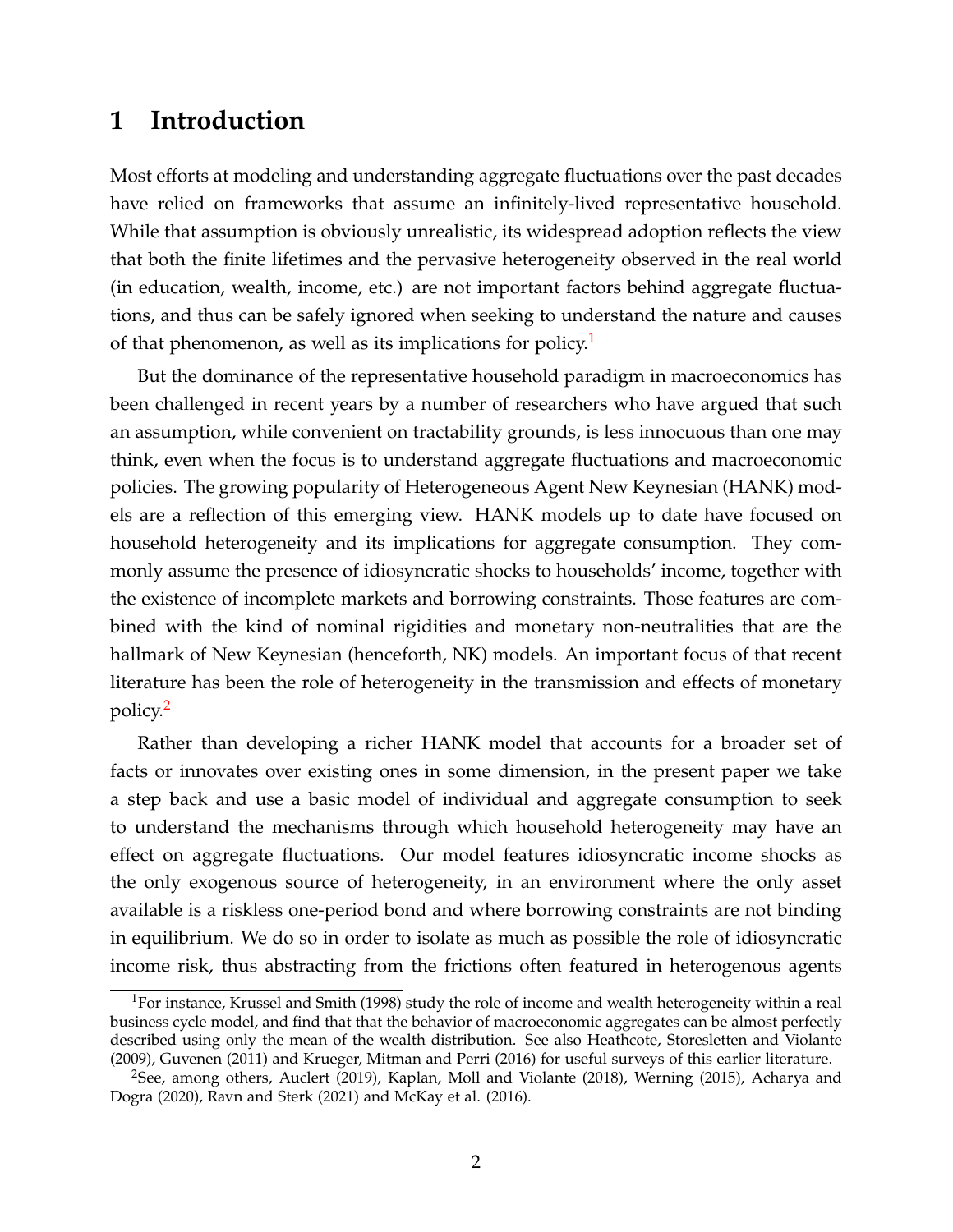### **1 Introduction**

Most efforts at modeling and understanding aggregate fluctuations over the past decades have relied on frameworks that assume an infinitely-lived representative household. While that assumption is obviously unrealistic, its widespread adoption reflects the view that both the finite lifetimes and the pervasive heterogeneity observed in the real world (in education, wealth, income, etc.) are not important factors behind aggregate fluctuations, and thus can be safely ignored when seeking to understand the nature and causes of that phenomenon, as well as its implications for policy.<sup>[1](#page-1-0)</sup>

But the dominance of the representative household paradigm in macroeconomics has been challenged in recent years by a number of researchers who have argued that such an assumption, while convenient on tractability grounds, is less innocuous than one may think, even when the focus is to understand aggregate fluctuations and macroeconomic policies. The growing popularity of Heterogeneous Agent New Keynesian (HANK) models are a reflection of this emerging view. HANK models up to date have focused on household heterogeneity and its implications for aggregate consumption. They commonly assume the presence of idiosyncratic shocks to households' income, together with the existence of incomplete markets and borrowing constraints. Those features are combined with the kind of nominal rigidities and monetary non-neutralities that are the hallmark of New Keynesian (henceforth, NK) models. An important focus of that recent literature has been the role of heterogeneity in the transmission and effects of monetary policy.[2](#page-1-1)

Rather than developing a richer HANK model that accounts for a broader set of facts or innovates over existing ones in some dimension, in the present paper we take a step back and use a basic model of individual and aggregate consumption to seek to understand the mechanisms through which household heterogeneity may have an effect on aggregate fluctuations. Our model features idiosyncratic income shocks as the only exogenous source of heterogeneity, in an environment where the only asset available is a riskless one-period bond and where borrowing constraints are not binding in equilibrium. We do so in order to isolate as much as possible the role of idiosyncratic income risk, thus abstracting from the frictions often featured in heterogenous agents

<span id="page-1-0"></span><sup>1</sup>For instance, Krussel and Smith (1998) study the role of income and wealth heterogeneity within a real business cycle model, and find that that the behavior of macroeconomic aggregates can be almost perfectly described using only the mean of the wealth distribution. See also Heathcote, Storesletten and Violante (2009), Guvenen (2011) and Krueger, Mitman and Perri (2016) for useful surveys of this earlier literature.

<span id="page-1-1"></span> $2$ See, among others, Auclert (2019), Kaplan, Moll and Violante (2018), Werning (2015), Acharya and Dogra (2020), Ravn and Sterk (2021) and McKay et al. (2016).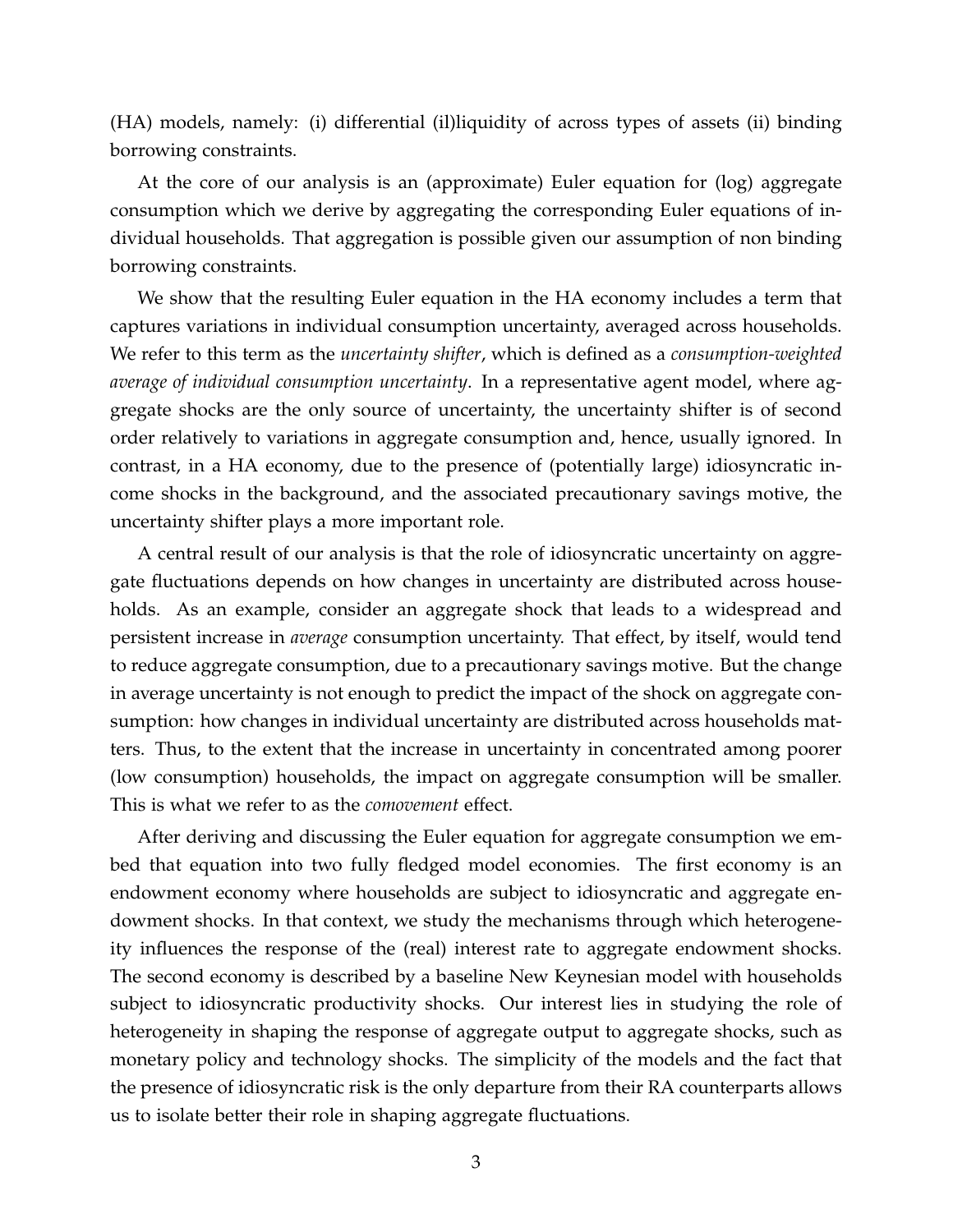(HA) models, namely: (i) differential (il)liquidity of across types of assets (ii) binding borrowing constraints.

At the core of our analysis is an (approximate) Euler equation for (log) aggregate consumption which we derive by aggregating the corresponding Euler equations of individual households. That aggregation is possible given our assumption of non binding borrowing constraints.

We show that the resulting Euler equation in the HA economy includes a term that captures variations in individual consumption uncertainty, averaged across households. We refer to this term as the *uncertainty shifter*, which is defined as a *consumption-weighted average of individual consumption uncertainty*. In a representative agent model, where aggregate shocks are the only source of uncertainty, the uncertainty shifter is of second order relatively to variations in aggregate consumption and, hence, usually ignored. In contrast, in a HA economy, due to the presence of (potentially large) idiosyncratic income shocks in the background, and the associated precautionary savings motive, the uncertainty shifter plays a more important role.

A central result of our analysis is that the role of idiosyncratic uncertainty on aggregate fluctuations depends on how changes in uncertainty are distributed across households. As an example, consider an aggregate shock that leads to a widespread and persistent increase in *average* consumption uncertainty. That effect, by itself, would tend to reduce aggregate consumption, due to a precautionary savings motive. But the change in average uncertainty is not enough to predict the impact of the shock on aggregate consumption: how changes in individual uncertainty are distributed across households matters. Thus, to the extent that the increase in uncertainty in concentrated among poorer (low consumption) households, the impact on aggregate consumption will be smaller. This is what we refer to as the *comovement* effect.

After deriving and discussing the Euler equation for aggregate consumption we embed that equation into two fully fledged model economies. The first economy is an endowment economy where households are subject to idiosyncratic and aggregate endowment shocks. In that context, we study the mechanisms through which heterogeneity influences the response of the (real) interest rate to aggregate endowment shocks. The second economy is described by a baseline New Keynesian model with households subject to idiosyncratic productivity shocks. Our interest lies in studying the role of heterogeneity in shaping the response of aggregate output to aggregate shocks, such as monetary policy and technology shocks. The simplicity of the models and the fact that the presence of idiosyncratic risk is the only departure from their RA counterparts allows us to isolate better their role in shaping aggregate fluctuations.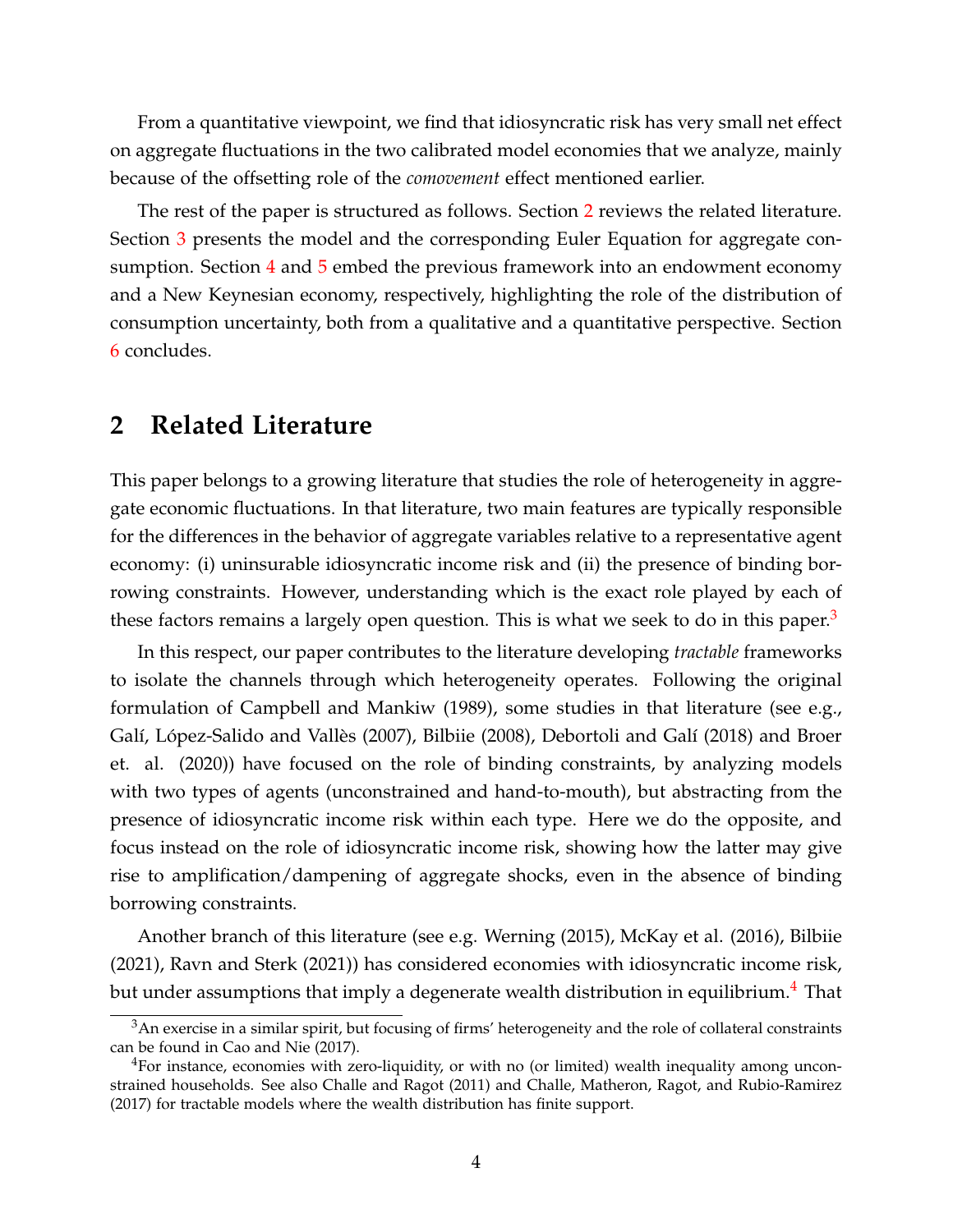From a quantitative viewpoint, we find that idiosyncratic risk has very small net effect on aggregate fluctuations in the two calibrated model economies that we analyze, mainly because of the offsetting role of the *comovement* effect mentioned earlier.

The rest of the paper is structured as follows. Section [2](#page-3-0) reviews the related literature. Section [3](#page-4-0) presents the model and the corresponding Euler Equation for aggregate consumption. Section  $4$  and  $5$  embed the previous framework into an endowment economy and a New Keynesian economy, respectively, highlighting the role of the distribution of consumption uncertainty, both from a qualitative and a quantitative perspective. Section [6](#page-18-0) concludes.

### <span id="page-3-0"></span>**2 Related Literature**

This paper belongs to a growing literature that studies the role of heterogeneity in aggregate economic fluctuations. In that literature, two main features are typically responsible for the differences in the behavior of aggregate variables relative to a representative agent economy: (i) uninsurable idiosyncratic income risk and (ii) the presence of binding borrowing constraints. However, understanding which is the exact role played by each of these factors remains a largely open question. This is what we seek to do in this paper.<sup>[3](#page-3-1)</sup>

In this respect, our paper contributes to the literature developing *tractable* frameworks to isolate the channels through which heterogeneity operates. Following the original formulation of Campbell and Mankiw (1989), some studies in that literature (see e.g., Galí, López-Salido and Vallès (2007), Bilbiie (2008), Debortoli and Galí (2018) and Broer et. al. (2020)) have focused on the role of binding constraints, by analyzing models with two types of agents (unconstrained and hand-to-mouth), but abstracting from the presence of idiosyncratic income risk within each type. Here we do the opposite, and focus instead on the role of idiosyncratic income risk, showing how the latter may give rise to amplification/dampening of aggregate shocks, even in the absence of binding borrowing constraints.

Another branch of this literature (see e.g. Werning (2015), McKay et al. (2016), Bilbiie (2021), Ravn and Sterk (2021)) has considered economies with idiosyncratic income risk, but under assumptions that imply a degenerate wealth distribution in equilibrium.<sup>[4](#page-3-2)</sup> That

<span id="page-3-1"></span><sup>&</sup>lt;sup>3</sup>An exercise in a similar spirit, but focusing of firms' heterogeneity and the role of collateral constraints can be found in Cao and Nie (2017).

<span id="page-3-2"></span><sup>&</sup>lt;sup>4</sup>For instance, economies with zero-liquidity, or with no (or limited) wealth inequality among unconstrained households. See also Challe and Ragot (2011) and Challe, Matheron, Ragot, and Rubio-Ramirez (2017) for tractable models where the wealth distribution has finite support.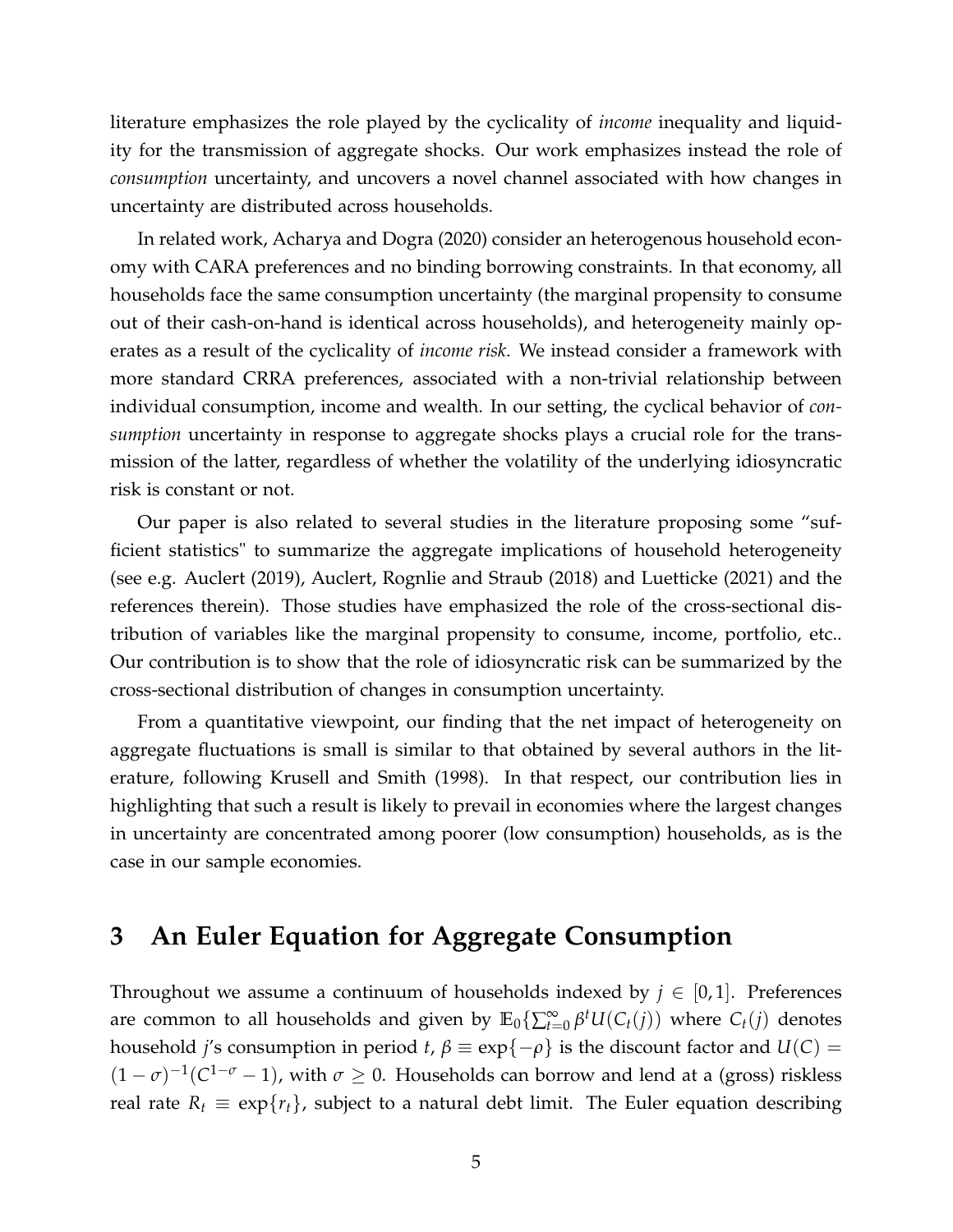literature emphasizes the role played by the cyclicality of *income* inequality and liquidity for the transmission of aggregate shocks. Our work emphasizes instead the role of *consumption* uncertainty, and uncovers a novel channel associated with how changes in uncertainty are distributed across households.

In related work, Acharya and Dogra (2020) consider an heterogenous household economy with CARA preferences and no binding borrowing constraints. In that economy, all households face the same consumption uncertainty (the marginal propensity to consume out of their cash-on-hand is identical across households), and heterogeneity mainly operates as a result of the cyclicality of *income risk*. We instead consider a framework with more standard CRRA preferences, associated with a non-trivial relationship between individual consumption, income and wealth. In our setting, the cyclical behavior of *consumption* uncertainty in response to aggregate shocks plays a crucial role for the transmission of the latter, regardless of whether the volatility of the underlying idiosyncratic risk is constant or not.

Our paper is also related to several studies in the literature proposing some "sufficient statistics" to summarize the aggregate implications of household heterogeneity (see e.g. Auclert (2019), Auclert, Rognlie and Straub (2018) and Luetticke (2021) and the references therein). Those studies have emphasized the role of the cross-sectional distribution of variables like the marginal propensity to consume, income, portfolio, etc.. Our contribution is to show that the role of idiosyncratic risk can be summarized by the cross-sectional distribution of changes in consumption uncertainty.

From a quantitative viewpoint, our finding that the net impact of heterogeneity on aggregate fluctuations is small is similar to that obtained by several authors in the literature, following Krusell and Smith (1998). In that respect, our contribution lies in highlighting that such a result is likely to prevail in economies where the largest changes in uncertainty are concentrated among poorer (low consumption) households, as is the case in our sample economies.

## <span id="page-4-0"></span>**3 An Euler Equation for Aggregate Consumption**

Throughout we assume a continuum of households indexed by  $j \in [0,1]$ . Preferences are common to all households and given by  $\mathbb{E}_0$  { $\sum_{t=0}^{\infty}$  *β*<sup>*t*</sup>*U*( $C_t(j)$ ) where  $C_t(j)$  denotes household *j's* consumption in period *t*,  $\beta \equiv \exp\{-\rho\}$  is the discount factor and  $U(C)$  =  $(1 - \sigma)^{-1}(C^{1 - \sigma} - 1)$ , with  $\sigma \ge 0$ . Households can borrow and lend at a (gross) riskless real rate  $R_t \equiv \exp\{r_t\}$ , subject to a natural debt limit. The Euler equation describing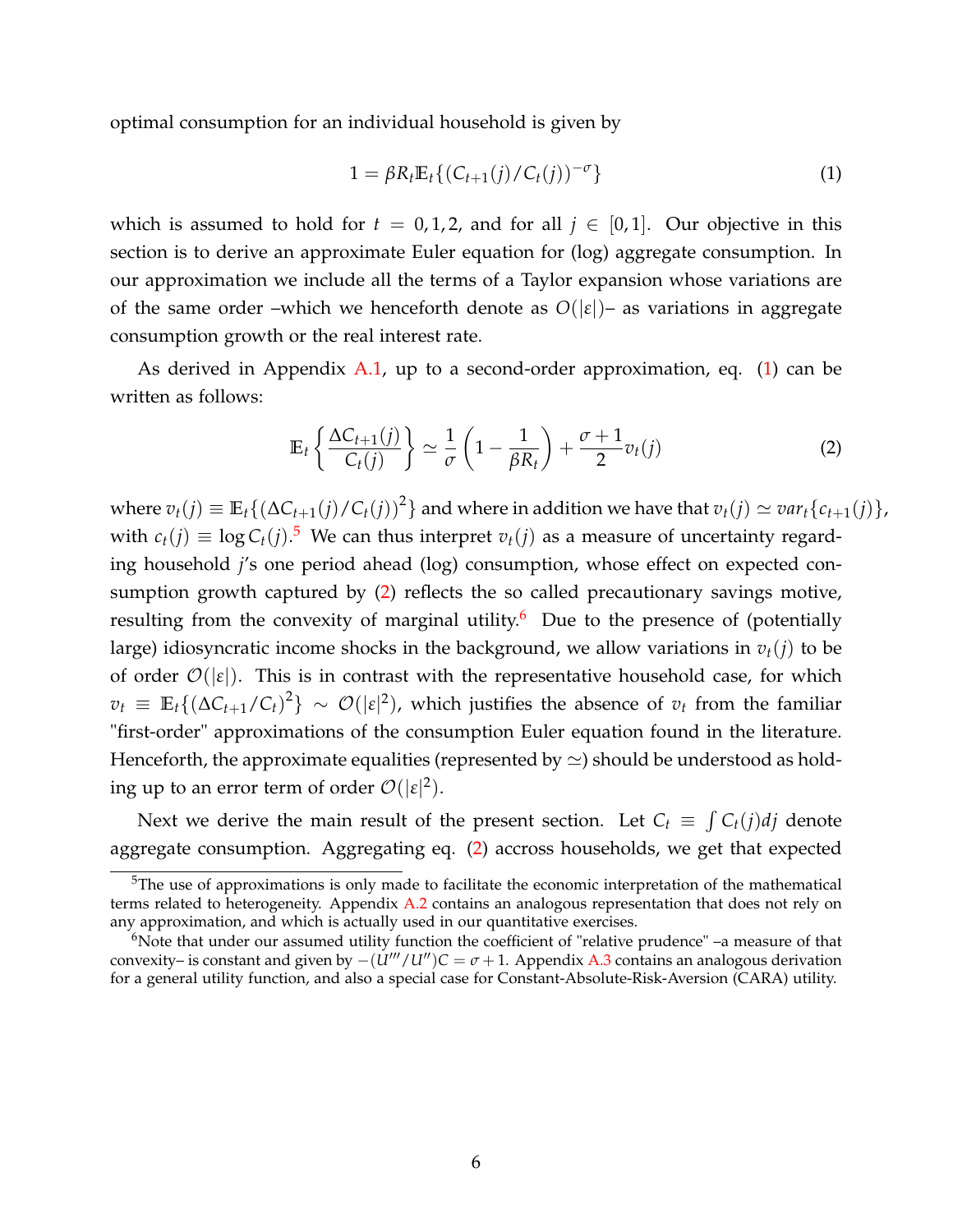optimal consumption for an individual household is given by

<span id="page-5-0"></span>
$$
1 = \beta R_t \mathbb{E}_t \{ (C_{t+1}(j) / C_t(j))^{-\sigma} \}
$$
 (1)

which is assumed to hold for  $t = 0, 1, 2$ , and for all  $j \in [0, 1]$ . Our objective in this section is to derive an approximate Euler equation for (log) aggregate consumption. In our approximation we include all the terms of a Taylor expansion whose variations are of the same order –which we henceforth denote as  $O(|\varepsilon|)$ – as variations in aggregate consumption growth or the real interest rate.

As derived in Appendix [A.1,](#page-32-0) up to a second-order approximation, eq.  $(1)$  can be written as follows:

<span id="page-5-2"></span>
$$
\mathbb{E}_t\left\{\frac{\Delta C_{t+1}(j)}{C_t(j)}\right\} \simeq \frac{1}{\sigma}\left(1-\frac{1}{\beta R_t}\right) + \frac{\sigma+1}{2}v_t(j) \tag{2}
$$

where  $v_t(j) \equiv \mathbb{E}_t\{(\Delta C_{t+1}(j)/C_t(j))^2\}$  and where in addition we have that  $v_t(j) \simeq var_t\{c_{t+1}(j)\}$ , with  $c_t(j) \equiv \log C_t(j)$ .<sup>[5](#page-5-1)</sup> We can thus interpret  $v_t(j)$  as a measure of uncertainty regarding household *j*'s one period ahead (log) consumption, whose effect on expected consumption growth captured by [\(2\)](#page-5-2) reflects the so called precautionary savings motive, resulting from the convexity of marginal utility.<sup>[6](#page-5-3)</sup> Due to the presence of (potentially large) idiosyncratic income shocks in the background, we allow variations in  $v_t(j)$  to be of order  $\mathcal{O}(|\varepsilon|)$ . This is in contrast with the representative household case, for which  $v_t \equiv \mathbb{E}_t\{(\Delta C_{t+1}/C_t)^2\} \sim \mathcal{O}(|\epsilon|^2)$ , which justifies the absence of  $v_t$  from the familiar "first-order" approximations of the consumption Euler equation found in the literature. Henceforth, the approximate equalities (represented by  $\simeq$ ) should be understood as holding up to an error term of order  $\mathcal{O}(|\varepsilon|^2)$ .

Next we derive the main result of the present section. Let  $C_t \equiv \int C_t(j)dj$  denote aggregate consumption. Aggregating eq. [\(2\)](#page-5-2) accross households, we get that expected

<span id="page-5-1"></span> $5$ The use of approximations is only made to facilitate the economic interpretation of the mathematical terms related to heterogeneity. Appendix [A.2](#page-33-0) contains an analogous representation that does not rely on any approximation, and which is actually used in our quantitative exercises.

<span id="page-5-3"></span><sup>&</sup>lt;sup>6</sup>Note that under our assumed utility function the coefficient of "relative prudence" –a measure of that convexity– is constant and given by  $-(U'''/U'')C = \sigma + 1$ . Appendix [A.3](#page-34-0) contains an analogous derivation for a general utility function, and also a special case for Constant-Absolute-Risk-Aversion (CARA) utility.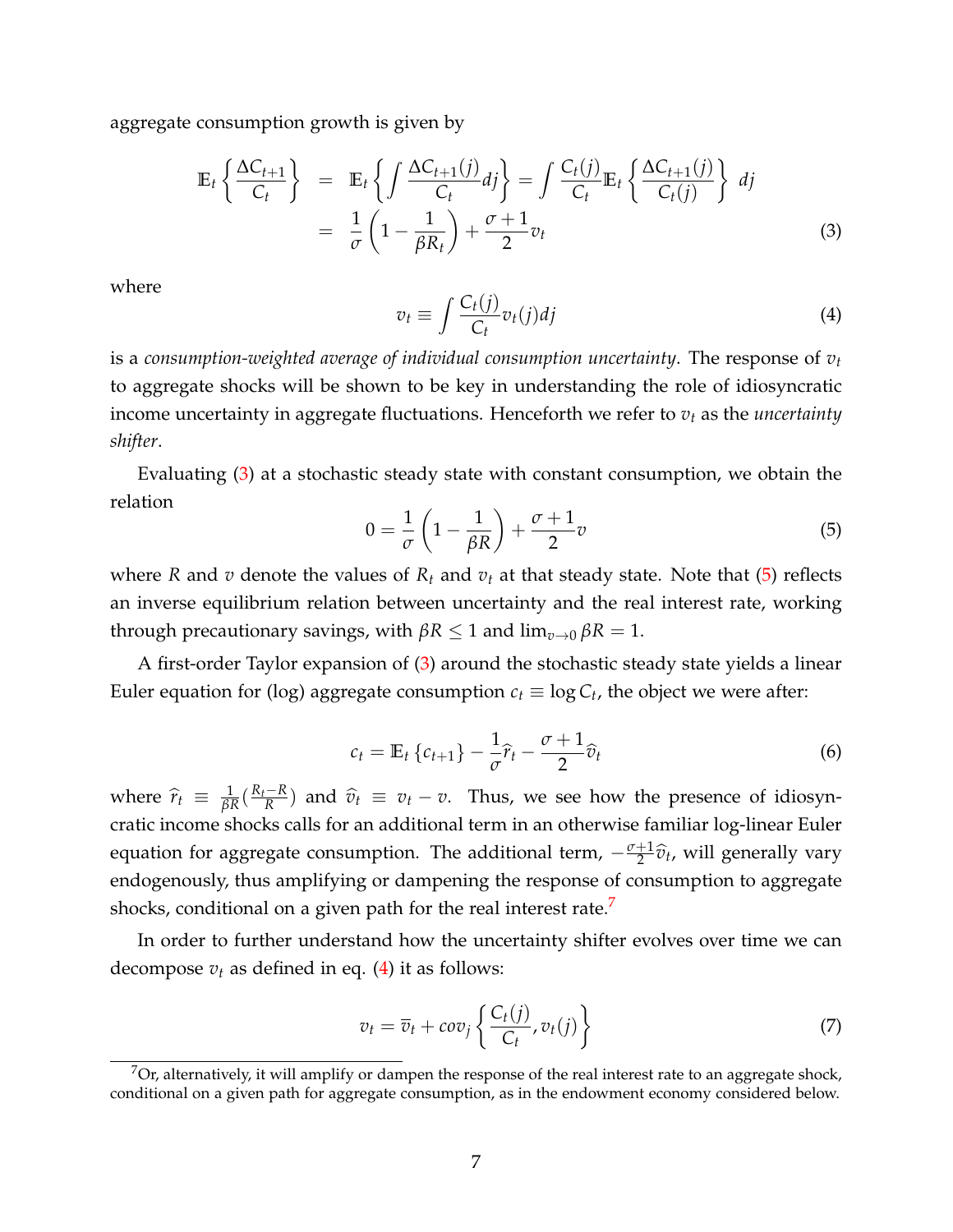aggregate consumption growth is given by

<span id="page-6-0"></span>
$$
\mathbb{E}_{t}\left\{\frac{\Delta C_{t+1}}{C_{t}}\right\} = \mathbb{E}_{t}\left\{\int \frac{\Delta C_{t+1}(j)}{C_{t}}dj\right\} = \int \frac{C_{t}(j)}{C_{t}}\mathbb{E}_{t}\left\{\frac{\Delta C_{t+1}(j)}{C_{t}(j)}\right\} dj
$$
\n
$$
= \frac{1}{\sigma}\left(1 - \frac{1}{\beta R_{t}}\right) + \frac{\sigma + 1}{2}v_{t}
$$
\n(3)

where

<span id="page-6-3"></span>
$$
v_t \equiv \int \frac{C_t(j)}{C_t} v_t(j) dj \tag{4}
$$

is a *consumption-weighted average of individual consumption uncertainty*. The response of *v<sup>t</sup>* to aggregate shocks will be shown to be key in understanding the role of idiosyncratic income uncertainty in aggregate fluctuations. Henceforth we refer to *v<sup>t</sup>* as the *uncertainty shifter*.

Evaluating [\(3\)](#page-6-0) at a stochastic steady state with constant consumption, we obtain the relation

<span id="page-6-1"></span>
$$
0 = \frac{1}{\sigma} \left( 1 - \frac{1}{\beta R} \right) + \frac{\sigma + 1}{2} v \tag{5}
$$

where *R* and *v* denote the values of  $R_t$  and  $v_t$  at that steady state. Note that [\(5\)](#page-6-1) reflects an inverse equilibrium relation between uncertainty and the real interest rate, working through precautionary savings, with *βR* ≤ 1 and lim*v*→<sup>0</sup> *βR* = 1.

A first-order Taylor expansion of [\(3\)](#page-6-0) around the stochastic steady state yields a linear Euler equation for (log) aggregate consumption  $c_t \equiv \log C_t$ , the object we were after:

<span id="page-6-4"></span>
$$
c_t = \mathbb{E}_t \left\{ c_{t+1} \right\} - \frac{1}{\sigma} \widehat{r}_t - \frac{\sigma + 1}{2} \widehat{v}_t \tag{6}
$$

where  $\hat{r}_t \equiv \frac{1}{\beta R} (\frac{R_t - R}{R})$  $\frac{R}{R} = \frac{R}{V} + v$ . Thus, we see how the presence of idiosyncratic income shocks calls for an additional term in an otherwise familiar log-linear Euler equation for aggregate consumption. The additional term,  $-\frac{\sigma+1}{2}\hat{v}_t$ , will generally vary endogenously, thus amplifying or dampening the response of consumption to aggregate shocks, conditional on a given path for the real interest rate.<sup>[7](#page-6-2)</sup>

In order to further understand how the uncertainty shifter evolves over time we can decompose  $v_t$  as defined in eq. [\(4\)](#page-6-3) it as follows:

$$
v_t = \overline{v}_t + cov_j \left\{ \frac{C_t(j)}{C_t}, v_t(j) \right\} \tag{7}
$$

<span id="page-6-2"></span> $7$ Or, alternatively, it will amplify or dampen the response of the real interest rate to an aggregate shock, conditional on a given path for aggregate consumption, as in the endowment economy considered below.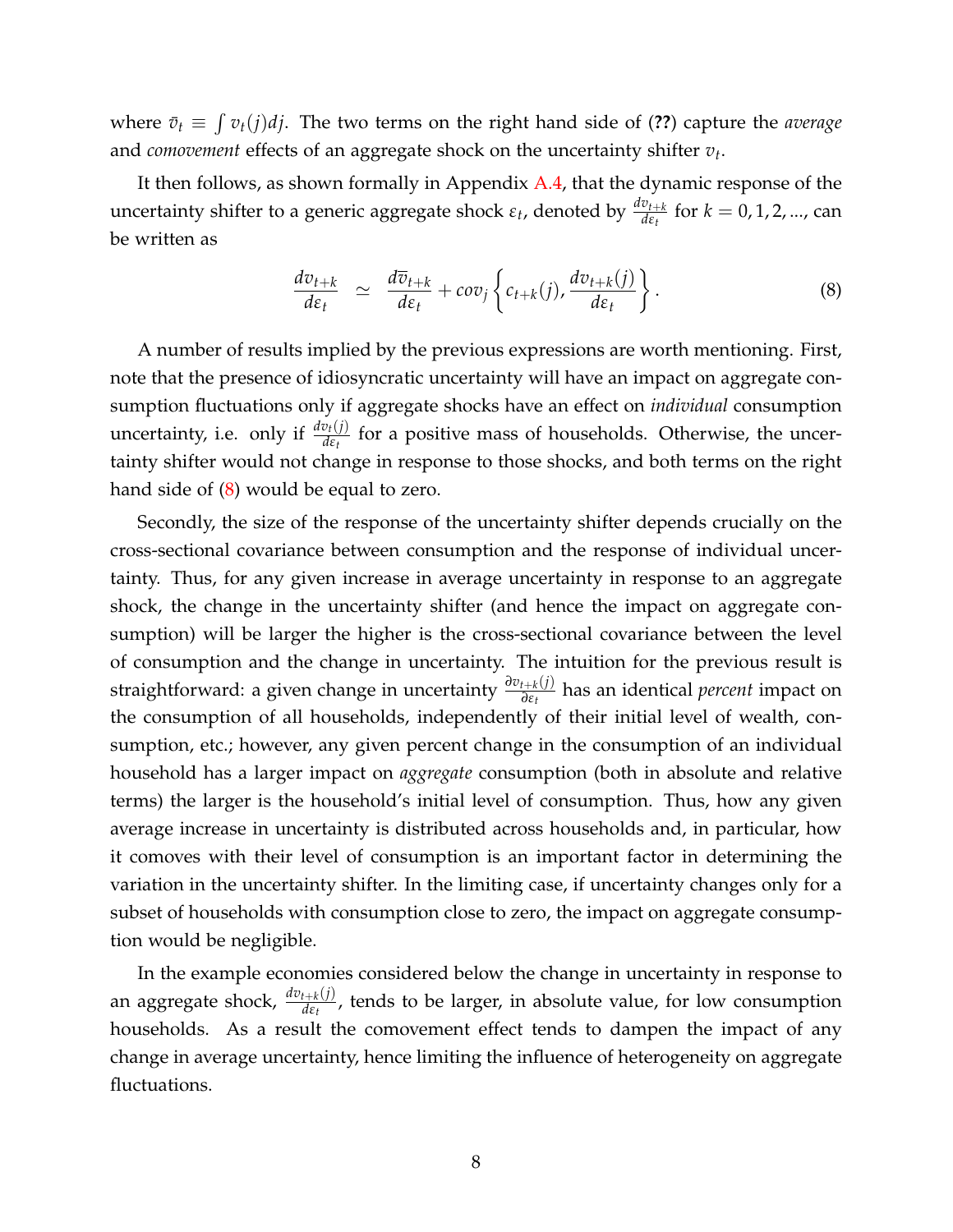where  $\bar{v}_t \equiv \int v_t(j) d j$ . The two terms on the right hand side of (??) capture the *average* and *comovement* effects of an aggregate shock on the uncertainty shifter *v<sup>t</sup>* .

It then follows, as shown formally in Appendix [A.4,](#page-35-0) that the dynamic response of the uncertainty shifter to a generic aggregate shock  $ε_t$ , denoted by  $\frac{dv_{t+k}}{dε_t}$  for  $k = 0, 1, 2, ...,$  can be written as

<span id="page-7-0"></span>
$$
\frac{dv_{t+k}}{d\varepsilon_t} \simeq \frac{d\overline{v}_{t+k}}{d\varepsilon_t} + cov_j \left\{ c_{t+k}(j), \frac{dv_{t+k}(j)}{d\varepsilon_t} \right\}.
$$
 (8)

A number of results implied by the previous expressions are worth mentioning. First, note that the presence of idiosyncratic uncertainty will have an impact on aggregate consumption fluctuations only if aggregate shocks have an effect on *individual* consumption uncertainty, i.e. only if  $\frac{dv_t(j)}{d\epsilon_t}$  for a positive mass of households. Otherwise, the uncertainty shifter would not change in response to those shocks, and both terms on the right hand side of [\(8\)](#page-7-0) would be equal to zero.

Secondly, the size of the response of the uncertainty shifter depends crucially on the cross-sectional covariance between consumption and the response of individual uncertainty. Thus, for any given increase in average uncertainty in response to an aggregate shock, the change in the uncertainty shifter (and hence the impact on aggregate consumption) will be larger the higher is the cross-sectional covariance between the level of consumption and the change in uncertainty. The intuition for the previous result is straightforward: a given change in uncertainty *<sup>∂</sup>vt*+*<sup>k</sup>* (*j*) *∂εt* has an identical *percent* impact on the consumption of all households, independently of their initial level of wealth, consumption, etc.; however, any given percent change in the consumption of an individual household has a larger impact on *aggregate* consumption (both in absolute and relative terms) the larger is the household's initial level of consumption. Thus, how any given average increase in uncertainty is distributed across households and, in particular, how it comoves with their level of consumption is an important factor in determining the variation in the uncertainty shifter. In the limiting case, if uncertainty changes only for a subset of households with consumption close to zero, the impact on aggregate consumption would be negligible.

In the example economies considered below the change in uncertainty in response to an aggregate shock, *dvt*+*<sup>k</sup>* (*j*) *dεt* , tends to be larger, in absolute value, for low consumption households. As a result the comovement effect tends to dampen the impact of any change in average uncertainty, hence limiting the influence of heterogeneity on aggregate fluctuations.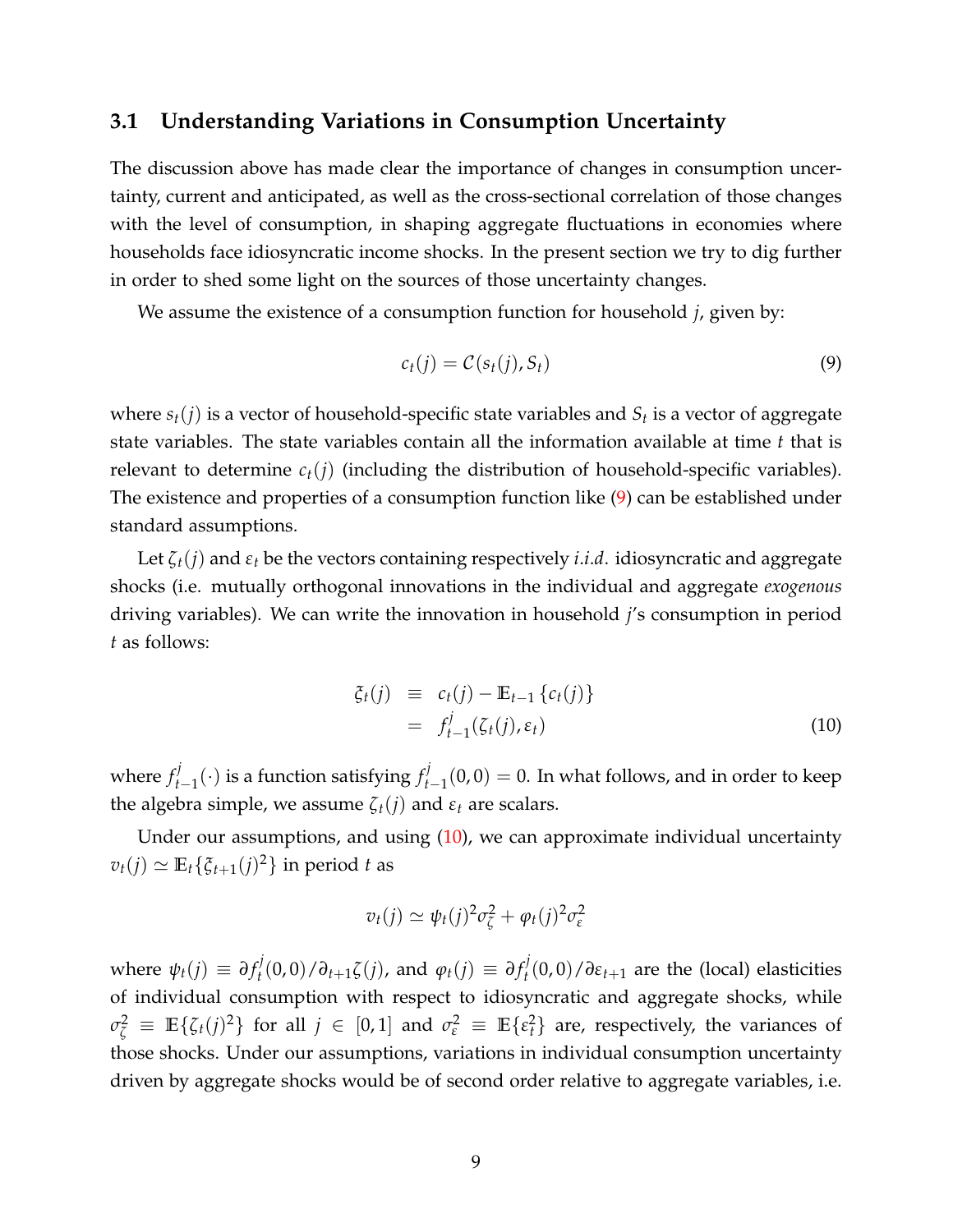### <span id="page-8-2"></span>**3.1 Understanding Variations in Consumption Uncertainty**

The discussion above has made clear the importance of changes in consumption uncertainty, current and anticipated, as well as the cross-sectional correlation of those changes with the level of consumption, in shaping aggregate fluctuations in economies where households face idiosyncratic income shocks. In the present section we try to dig further in order to shed some light on the sources of those uncertainty changes.

We assume the existence of a consumption function for household *j*, given by:

<span id="page-8-0"></span>
$$
c_t(j) = \mathcal{C}(s_t(j), S_t) \tag{9}
$$

where *st*(*j*) is a vector of household-specific state variables and *S<sup>t</sup>* is a vector of aggregate state variables. The state variables contain all the information available at time *t* that is relevant to determine  $c_t(i)$  (including the distribution of household-specific variables). The existence and properties of a consumption function like [\(9\)](#page-8-0) can be established under standard assumptions.

Let  $\zeta_t(j)$  and  $\varepsilon_t$  be the vectors containing respectively *i.i.d.* idiosyncratic and aggregate shocks (i.e. mutually orthogonal innovations in the individual and aggregate *exogenous* driving variables). We can write the innovation in household *j*'s consumption in period *t* as follows:

<span id="page-8-1"></span>
$$
\begin{array}{rcl}\n\xi_t(j) & \equiv & c_t(j) - \mathbb{E}_{t-1} \{c_t(j)\} \\
& = & f_{t-1}^j(\zeta_t(j), \varepsilon_t)\n\end{array} \tag{10}
$$

where  $f_t^j$ *t*−1 (·) is a function satisfying *f j*  $t'_{t-1}(0,0) = 0$ . In what follows, and in order to keep the algebra simple, we assume  $\zeta_t(j)$  and  $\varepsilon_t$  are scalars.

Under our assumptions, and using  $(10)$ , we can approximate individual uncertainty  $v_t(j) \simeq \mathbb{E}_t\{\xi_{t+1}(j)^2\}$  in period *t* as

$$
v_t(j) \simeq \psi_t(j)^2 \sigma_{\zeta}^2 + \varphi_t(j)^2 \sigma_{\varepsilon}^2
$$

where  $\psi_t(j) \equiv \partial f_t^j$  $\partial_t^j$ (0,0)/ $\partial_{t+1}$ ζ(*j*), and  $\varphi_t(j) \equiv \partial f_t^j$  $t_t^j(0,0)/\partial \varepsilon_{t+1}$  are the (local) elasticities of individual consumption with respect to idiosyncratic and aggregate shocks, while  $\sigma_{\zeta}^2 \equiv \mathbb{E}\{\zeta_t(j)^2\}$  for all  $j \in [0,1]$  and  $\sigma_{\epsilon}^2 \equiv \mathbb{E}\{\epsilon_t^2\}$  are, respectively, the variances of those shocks. Under our assumptions, variations in individual consumption uncertainty driven by aggregate shocks would be of second order relative to aggregate variables, i.e.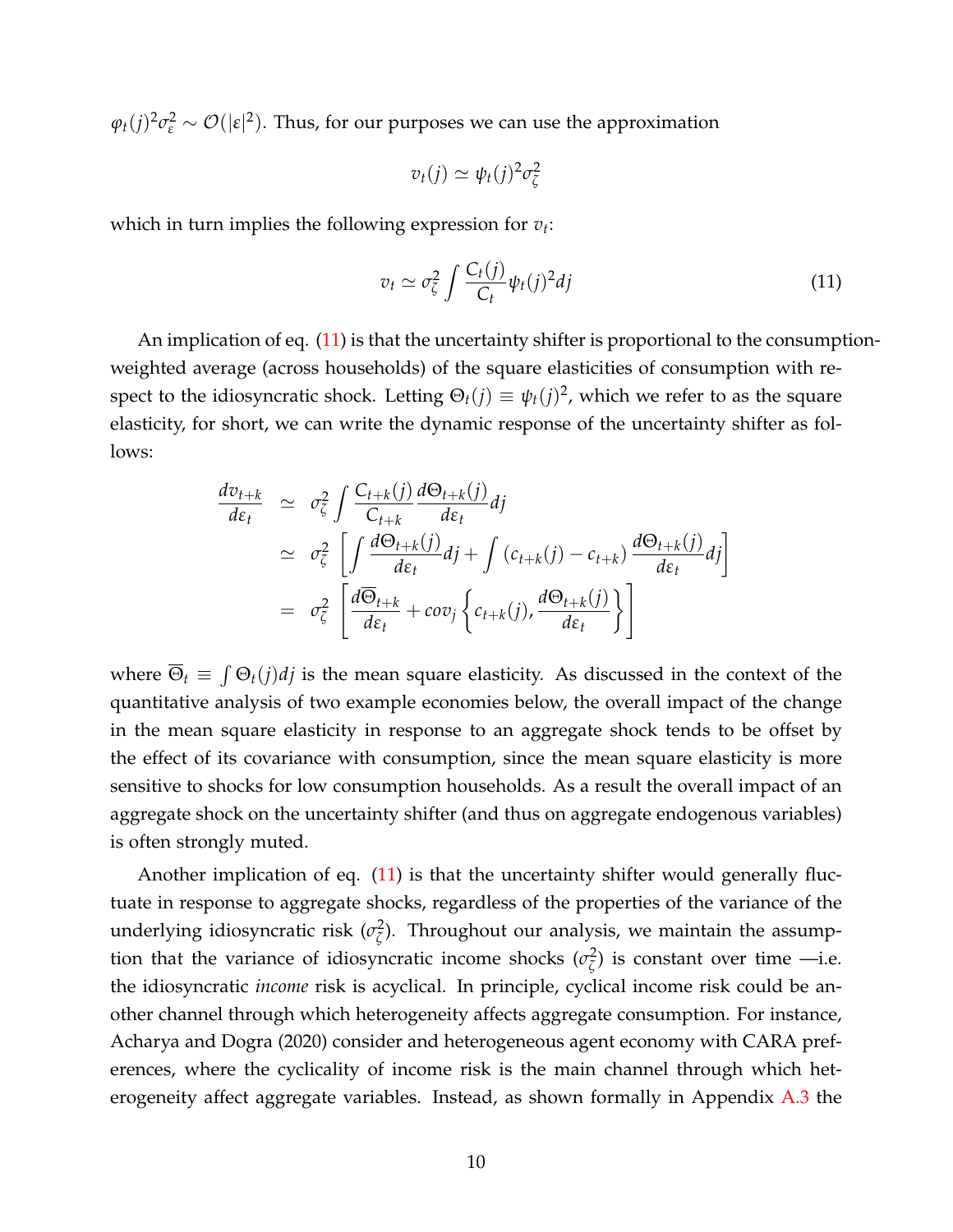$\varphi_t(j)^2 \sigma_{\varepsilon}^2 \sim \mathcal{O}(|\varepsilon|^2)$ . Thus, for our purposes we can use the approximation

$$
v_t(j) \simeq \psi_t(j)^2 \sigma_{\zeta}^2
$$

which in turn implies the following expression for *v<sup>t</sup>* :

<span id="page-9-0"></span>
$$
v_t \simeq \sigma_{\zeta}^2 \int \frac{C_t(j)}{C_t} \psi_t(j)^2 dj \tag{11}
$$

An implication of eq. [\(11\)](#page-9-0) is that the uncertainty shifter is proportional to the consumptionweighted average (across households) of the square elasticities of consumption with respect to the idiosyncratic shock. Letting  $\Theta_t(j) \equiv \psi_t(j)^2$ , which we refer to as the square elasticity, for short, we can write the dynamic response of the uncertainty shifter as follows:

$$
\frac{d\sigma_{t+k}}{d\varepsilon_t} \simeq \sigma_{\zeta}^2 \int \frac{C_{t+k}(j)}{C_{t+k}} \frac{d\Theta_{t+k}(j)}{d\varepsilon_t} dj
$$
\n
$$
\simeq \sigma_{\zeta}^2 \left[ \int \frac{d\Theta_{t+k}(j)}{d\varepsilon_t} dj + \int (c_{t+k}(j) - c_{t+k}) \frac{d\Theta_{t+k}(j)}{d\varepsilon_t} dj \right]
$$
\n
$$
= \sigma_{\zeta}^2 \left[ \frac{d\overline{\Theta}_{t+k}}{d\varepsilon_t} + cov_j \left\{ c_{t+k}(j), \frac{d\Theta_{t+k}(j)}{d\varepsilon_t} \right\} \right]
$$

where  $\overline{\Theta}_t \equiv \int \Theta_t(j) d j$  is the mean square elasticity. As discussed in the context of the quantitative analysis of two example economies below, the overall impact of the change in the mean square elasticity in response to an aggregate shock tends to be offset by the effect of its covariance with consumption, since the mean square elasticity is more sensitive to shocks for low consumption households. As a result the overall impact of an aggregate shock on the uncertainty shifter (and thus on aggregate endogenous variables) is often strongly muted.

Another implication of eq. [\(11\)](#page-9-0) is that the uncertainty shifter would generally fluctuate in response to aggregate shocks, regardless of the properties of the variance of the underlying idiosyncratic risk (*σ*<sup>2</sup> *ζ* ). Throughout our analysis, we maintain the assumption that the variance of idiosyncratic income shocks ( $\sigma_{\zeta}^2$ )  $\frac{d^2}{\zeta}$ ) is constant over time —i.e. the idiosyncratic *income* risk is acyclical. In principle, cyclical income risk could be another channel through which heterogeneity affects aggregate consumption. For instance, Acharya and Dogra (2020) consider and heterogeneous agent economy with CARA preferences, where the cyclicality of income risk is the main channel through which heterogeneity affect aggregate variables. Instead, as shown formally in Appendix [A.3](#page-34-0) the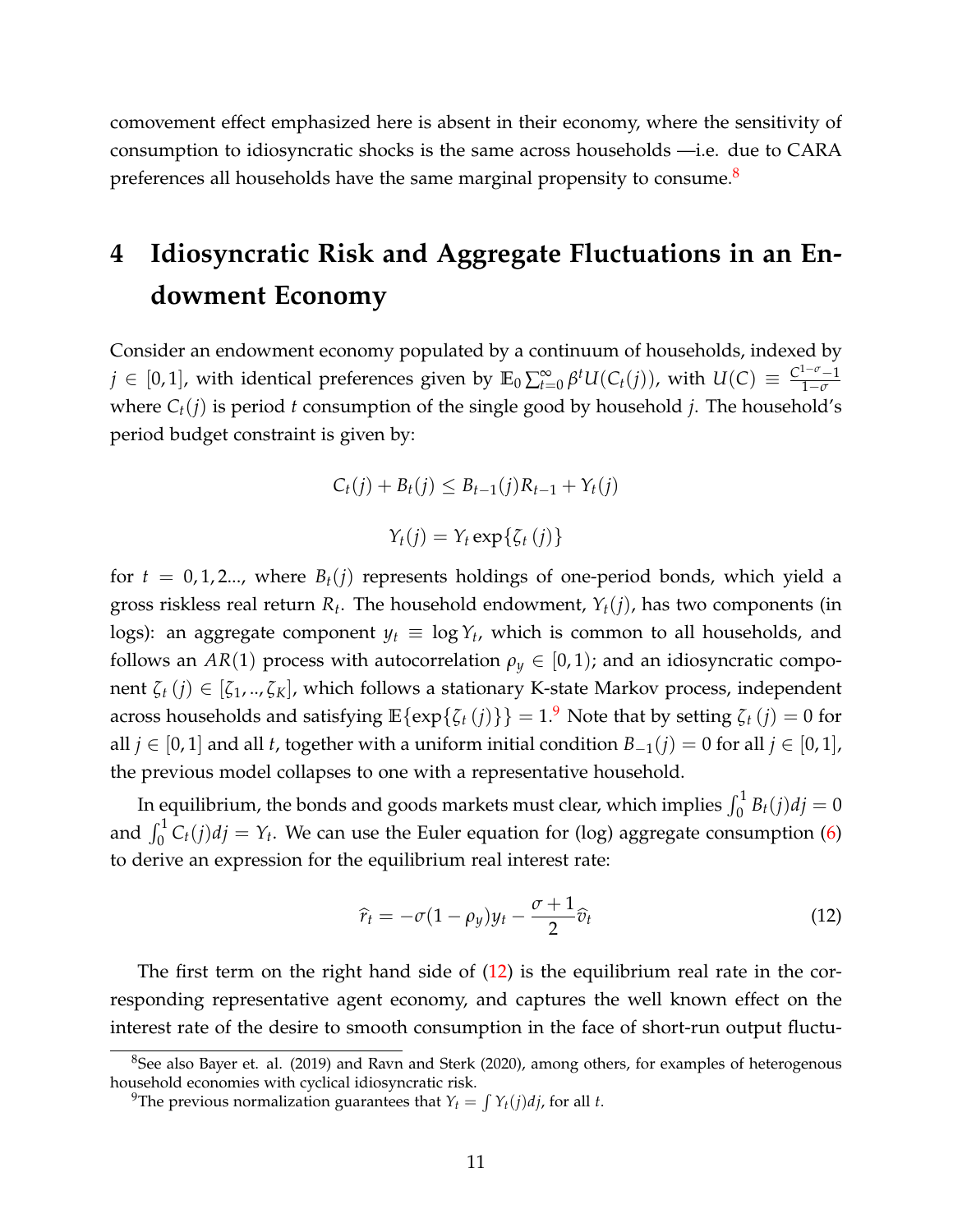comovement effect emphasized here is absent in their economy, where the sensitivity of consumption to idiosyncratic shocks is the same across households —i.e. due to CARA preferences all households have the same marginal propensity to consume. $8$ 

# <span id="page-10-0"></span>**4 Idiosyncratic Risk and Aggregate Fluctuations in an Endowment Economy**

Consider an endowment economy populated by a continuum of households, indexed by  $j\in [0,1]$ , with identical preferences given by  $\mathbb{E}_0\sum_{t=0}^\infty \beta^tU(C_t(j))$ , with  $U(C)\equiv \frac{C^{1-\sigma}-1}{1-\sigma}$ 1−*σ* where *Ct*(*j*) is period *t* consumption of the single good by household *j*. The household's period budget constraint is given by:

$$
C_t(j) + B_t(j) \leq B_{t-1}(j)R_{t-1} + Y_t(j)
$$

 $Y_t(j) = Y_t \exp{\{\zeta_t(j)\}}$ 

for  $t = 0, 1, 2, \ldots$ , where  $B_t(j)$  represents holdings of one-period bonds, which yield a gross riskless real return *R<sup>t</sup>* . The household endowment, *Yt*(*j*), has two components (in logs): an aggregate component  $y_t \equiv \log Y_t$ , which is common to all households, and follows an *AR*(1) process with autocorrelation  $\rho_y \in [0,1)$ ; and an idiosyncratic component *ζ<sup>t</sup>* (*j*) ∈ [*ζ*1, .., *ζK*], which follows a stationary K-state Markov process, independent across households and satisfying  $\mathbb{E}\{\exp\{\zeta_t(j)\}\} = 1$ .<sup>[9](#page-10-2)</sup> Note that by setting  $\zeta_t(j) = 0$  for all *j* ∈ [0, 1] and all *t*, together with a uniform initial condition  $B_{-1}(i) = 0$  for all *j* ∈ [0, 1], the previous model collapses to one with a representative household.

In equilibrium, the bonds and goods markets must clear, which implies  $\int_0^1 B_t(j)dj = 0$ and  $\int_0^1 C_t(j)dj = Y_t$ . We can use the Euler equation for (log) aggregate consumption [\(6\)](#page-6-4) to derive an expression for the equilibrium real interest rate:

<span id="page-10-3"></span>
$$
\widehat{r}_t = -\sigma (1 - \rho_y) y_t - \frac{\sigma + 1}{2} \widehat{v}_t \tag{12}
$$

The first term on the right hand side of  $(12)$  is the equilibrium real rate in the corresponding representative agent economy, and captures the well known effect on the interest rate of the desire to smooth consumption in the face of short-run output fluctu-

<span id="page-10-1"></span><sup>&</sup>lt;sup>8</sup>See also Bayer et. al. (2019) and Ravn and Sterk (2020), among others, for examples of heterogenous household economies with cyclical idiosyncratic risk.

<span id="page-10-2"></span><sup>&</sup>lt;sup>9</sup>The previous normalization guarantees that  $Y_t = \int Y_t(j)dj$ , for all *t*.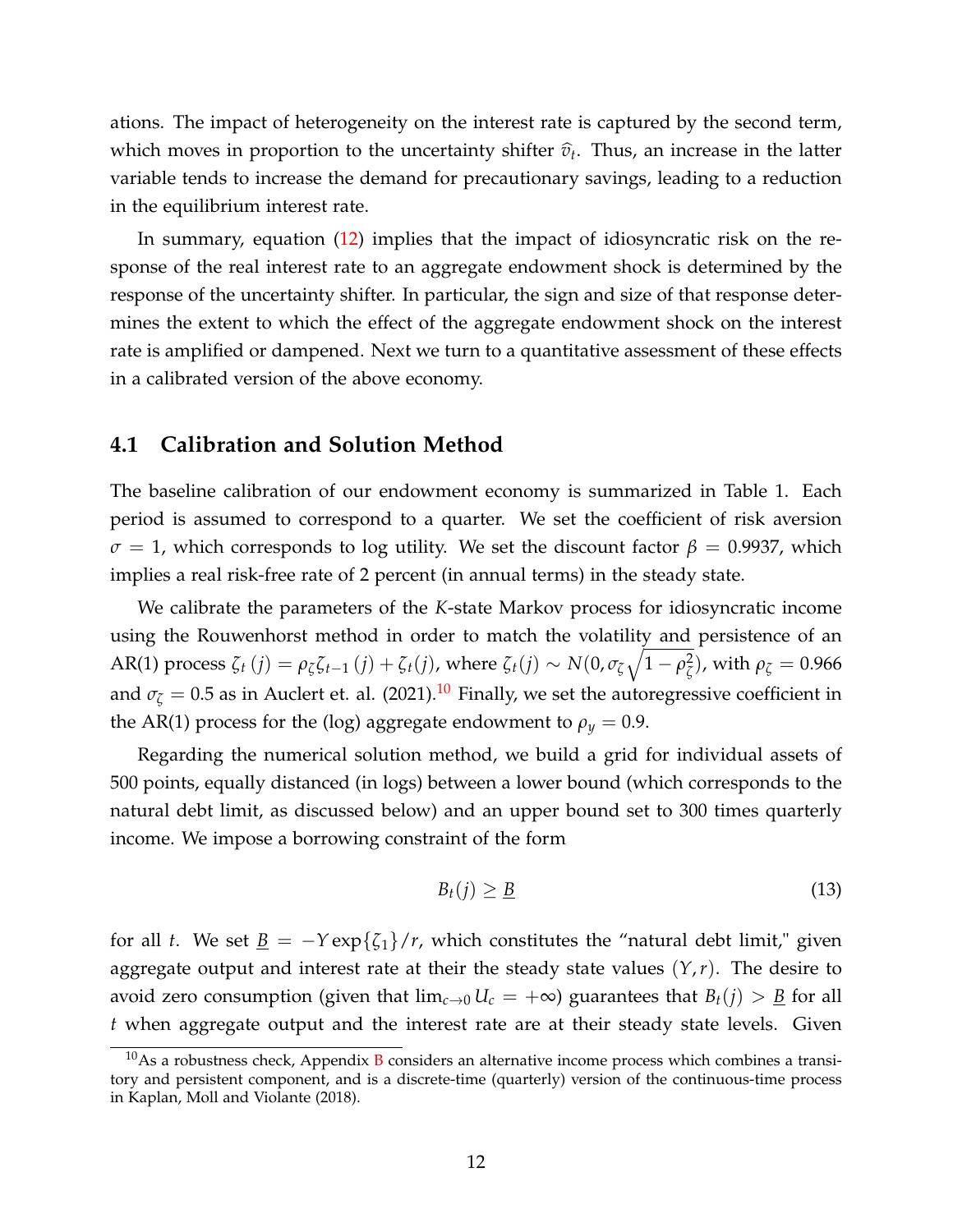ations. The impact of heterogeneity on the interest rate is captured by the second term, which moves in proportion to the uncertainty shifter  $\hat{v}_t$ . Thus, an increase in the latter variable tends to increase the demand for precautionary savings, leading to a reduction in the equilibrium interest rate.

In summary, equation [\(12\)](#page-10-3) implies that the impact of idiosyncratic risk on the response of the real interest rate to an aggregate endowment shock is determined by the response of the uncertainty shifter. In particular, the sign and size of that response determines the extent to which the effect of the aggregate endowment shock on the interest rate is amplified or dampened. Next we turn to a quantitative assessment of these effects in a calibrated version of the above economy.

#### <span id="page-11-1"></span>**4.1 Calibration and Solution Method**

The baseline calibration of our endowment economy is summarized in Table 1. Each period is assumed to correspond to a quarter. We set the coefficient of risk aversion  $\sigma = 1$ , which corresponds to log utility. We set the discount factor  $\beta = 0.9937$ , which implies a real risk-free rate of 2 percent (in annual terms) in the steady state.

We calibrate the parameters of the *K*-state Markov process for idiosyncratic income using the Rouwenhorst method in order to match the volatility and persistence of an AR(1) process  $\zeta_t(j) = \rho_\zeta \zeta_{t-1}(j) + \zeta_t(j)$ , where  $\zeta_t(j) \sim N(0, \sigma_\zeta \sqrt{1-\rho_\zeta^2})$ *ζ* ), with *ρ<sup>ζ</sup>* = 0.966 and  $\sigma_{\zeta} = 0.5$  as in Auclert et. al. (2021).<sup>[10](#page-11-0)</sup> Finally, we set the autoregressive coefficient in the AR(1) process for the (log) aggregate endowment to  $\rho_y = 0.9$ .

Regarding the numerical solution method, we build a grid for individual assets of 500 points, equally distanced (in logs) between a lower bound (which corresponds to the natural debt limit, as discussed below) and an upper bound set to 300 times quarterly income. We impose a borrowing constraint of the form

$$
B_t(j) \geq \underline{B} \tag{13}
$$

for all *t*. We set  $\underline{B} = -Y \exp{\{\zeta_1\}}/r$ , which constitutes the "natural debt limit," given aggregate output and interest rate at their the steady state values (*Y*,*r*). The desire to avoid zero consumption (given that  $\lim_{c\to 0} U_c = +\infty$ ) guarantees that  $B_t(j) > \underline{B}$  for all *t* when aggregate output and the interest rate are at their steady state levels. Given

<span id="page-11-0"></span> $10$ As a robustness check, Appendix [B](#page-3-0) considers an alternative income process which combines a transitory and persistent component, and is a discrete-time (quarterly) version of the continuous-time process in Kaplan, Moll and Violante (2018).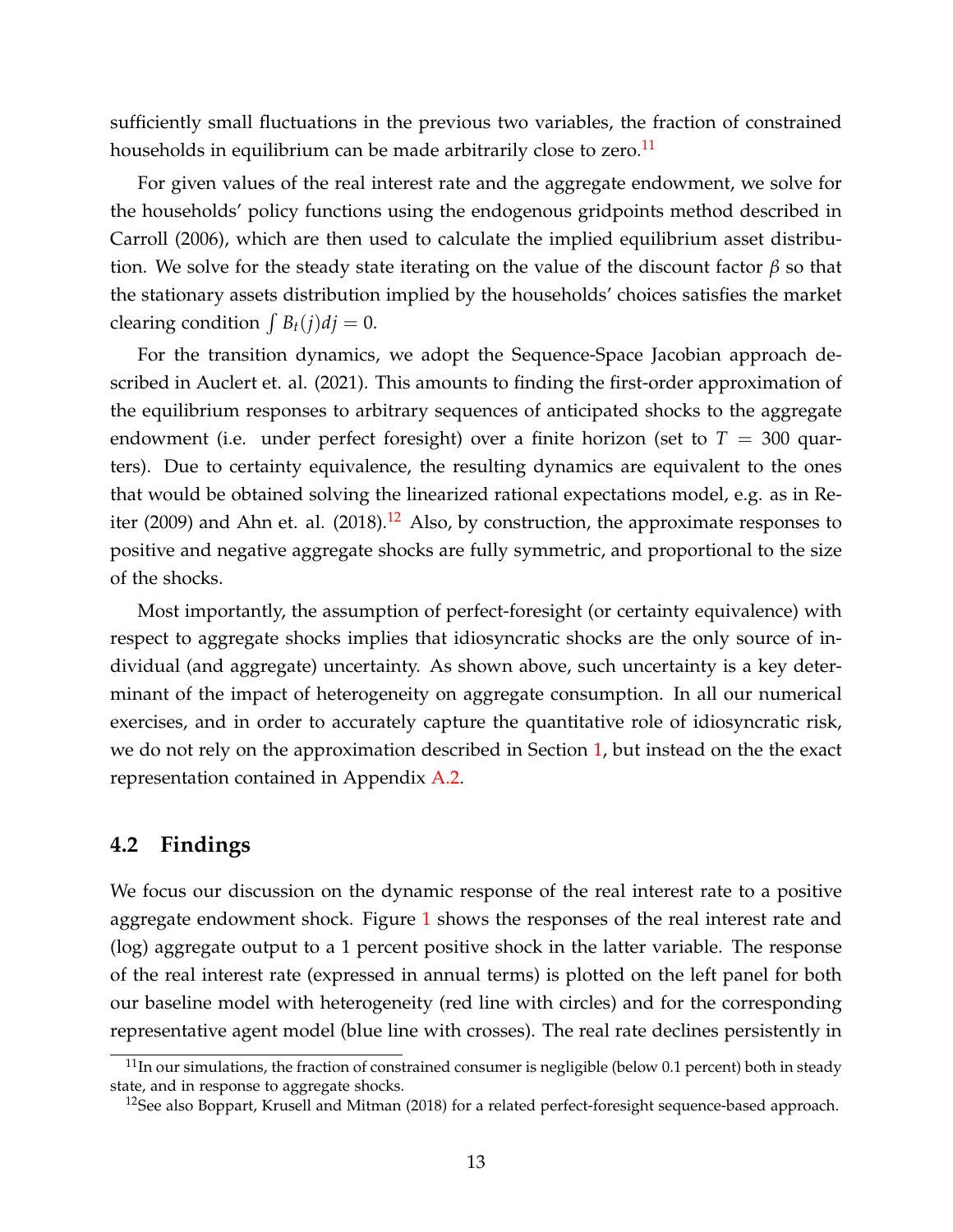sufficiently small fluctuations in the previous two variables, the fraction of constrained households in equilibrium can be made arbitrarily close to zero. $<sup>11</sup>$  $<sup>11</sup>$  $<sup>11</sup>$ </sup>

For given values of the real interest rate and the aggregate endowment, we solve for the households' policy functions using the endogenous gridpoints method described in Carroll (2006), which are then used to calculate the implied equilibrium asset distribution. We solve for the steady state iterating on the value of the discount factor *β* so that the stationary assets distribution implied by the households' choices satisfies the market clearing condition  $\int B_t(j)dj = 0$ .

For the transition dynamics, we adopt the Sequence-Space Jacobian approach described in Auclert et. al. (2021). This amounts to finding the first-order approximation of the equilibrium responses to arbitrary sequences of anticipated shocks to the aggregate endowment (i.e. under perfect foresight) over a finite horizon (set to  $T = 300$  quarters). Due to certainty equivalence, the resulting dynamics are equivalent to the ones that would be obtained solving the linearized rational expectations model, e.g. as in Re-iter (2009) and Ahn et. al. (2018).<sup>[12](#page-12-1)</sup> Also, by construction, the approximate responses to positive and negative aggregate shocks are fully symmetric, and proportional to the size of the shocks.

Most importantly, the assumption of perfect-foresight (or certainty equivalence) with respect to aggregate shocks implies that idiosyncratic shocks are the only source of individual (and aggregate) uncertainty. As shown above, such uncertainty is a key determinant of the impact of heterogeneity on aggregate consumption. In all our numerical exercises, and in order to accurately capture the quantitative role of idiosyncratic risk, we do not rely on the approximation described in Section [1,](#page-5-0) but instead on the the exact representation contained in Appendix [A.2.](#page-33-0)

### **4.2 Findings**

We focus our discussion on the dynamic response of the real interest rate to a positive aggregate endowment shock. Figure [1](#page-23-0) shows the responses of the real interest rate and (log) aggregate output to a 1 percent positive shock in the latter variable. The response of the real interest rate (expressed in annual terms) is plotted on the left panel for both our baseline model with heterogeneity (red line with circles) and for the corresponding representative agent model (blue line with crosses). The real rate declines persistently in

<span id="page-12-0"></span> $11$ In our simulations, the fraction of constrained consumer is negligible (below 0.1 percent) both in steady state, and in response to aggregate shocks.

<span id="page-12-1"></span> $12$ See also Boppart, Krusell and Mitman (2018) for a related perfect-foresight sequence-based approach.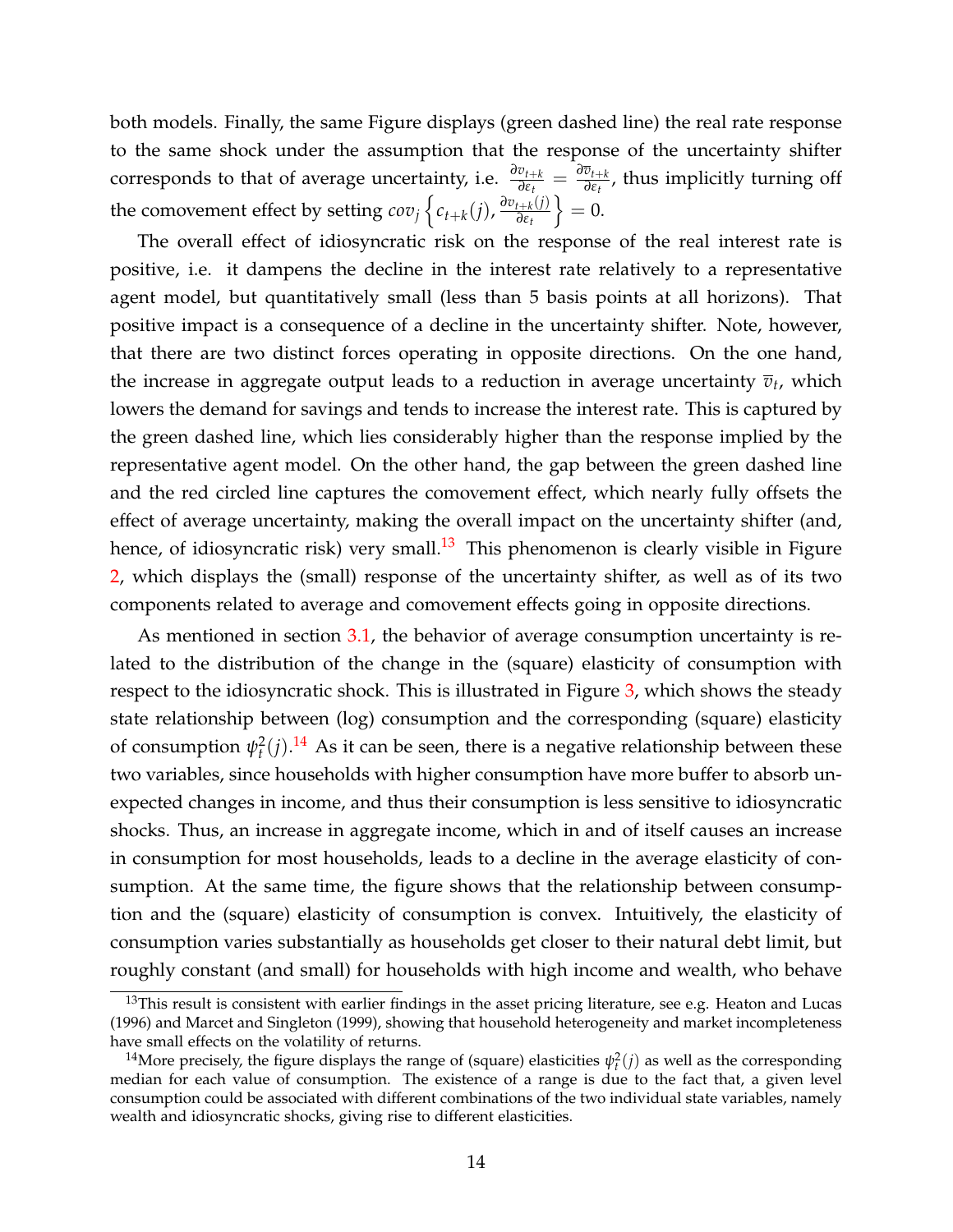both models. Finally, the same Figure displays (green dashed line) the real rate response to the same shock under the assumption that the response of the uncertainty shifter corresponds to that of average uncertainty, i.e.  $\frac{\partial v_{t+k}}{\partial \epsilon_t} = \frac{\partial \overline{v}_{t+k}}{\partial \epsilon_t}$ *∂εt* , thus implicitly turning off the comovement effect by setting  $cov_j \left\{ c_{t+k}(j), \frac{\partial v_{t+k}(j)}{\partial \varepsilon_t} \right\}$ *∂εt*  $= 0.$ 

The overall effect of idiosyncratic risk on the response of the real interest rate is positive, i.e. it dampens the decline in the interest rate relatively to a representative agent model, but quantitatively small (less than 5 basis points at all horizons). That positive impact is a consequence of a decline in the uncertainty shifter. Note, however, that there are two distinct forces operating in opposite directions. On the one hand, the increase in aggregate output leads to a reduction in average uncertainty  $\overline{v}_{t}$ , which lowers the demand for savings and tends to increase the interest rate. This is captured by the green dashed line, which lies considerably higher than the response implied by the representative agent model. On the other hand, the gap between the green dashed line and the red circled line captures the comovement effect, which nearly fully offsets the effect of average uncertainty, making the overall impact on the uncertainty shifter (and, hence, of idiosyncratic risk) very small.<sup>[13](#page-13-0)</sup> This phenomenon is clearly visible in Figure [2,](#page-24-0) which displays the (small) response of the uncertainty shifter, as well as of its two components related to average and comovement effects going in opposite directions.

As mentioned in section [3.1,](#page-8-2) the behavior of average consumption uncertainty is related to the distribution of the change in the (square) elasticity of consumption with respect to the idiosyncratic shock. This is illustrated in Figure [3,](#page-25-0) which shows the steady state relationship between (log) consumption and the corresponding (square) elasticity of consumption  $\psi_t^2(j)$ .<sup>[14](#page-13-1)</sup> As it can be seen, there is a negative relationship between these two variables, since households with higher consumption have more buffer to absorb unexpected changes in income, and thus their consumption is less sensitive to idiosyncratic shocks. Thus, an increase in aggregate income, which in and of itself causes an increase in consumption for most households, leads to a decline in the average elasticity of consumption. At the same time, the figure shows that the relationship between consumption and the (square) elasticity of consumption is convex. Intuitively, the elasticity of consumption varies substantially as households get closer to their natural debt limit, but roughly constant (and small) for households with high income and wealth, who behave

<span id="page-13-0"></span><sup>&</sup>lt;sup>13</sup>This result is consistent with earlier findings in the asset pricing literature, see e.g. Heaton and Lucas (1996) and Marcet and Singleton (1999), showing that household heterogeneity and market incompleteness have small effects on the volatility of returns.

<span id="page-13-1"></span><sup>&</sup>lt;sup>14</sup>More precisely, the figure displays the range of (square) elasticities  $\psi_t^2(j)$  as well as the corresponding median for each value of consumption. The existence of a range is due to the fact that, a given level consumption could be associated with different combinations of the two individual state variables, namely wealth and idiosyncratic shocks, giving rise to different elasticities.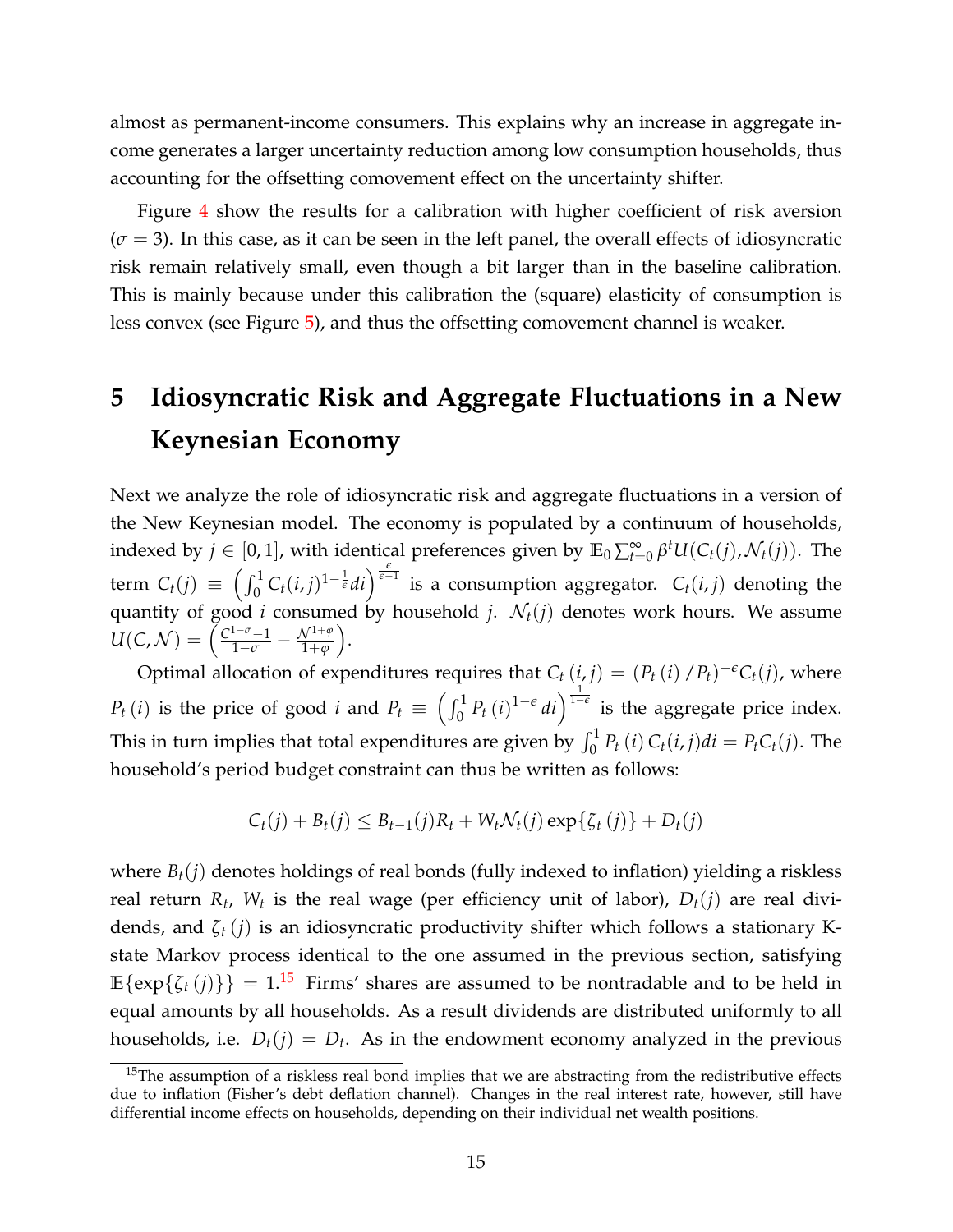almost as permanent-income consumers. This explains why an increase in aggregate income generates a larger uncertainty reduction among low consumption households, thus accounting for the offsetting comovement effect on the uncertainty shifter.

Figure [4](#page-26-0) show the results for a calibration with higher coefficient of risk aversion  $(\sigma = 3)$ . In this case, as it can be seen in the left panel, the overall effects of idiosyncratic risk remain relatively small, even though a bit larger than in the baseline calibration. This is mainly because under this calibration the (square) elasticity of consumption is less convex (see Figure [5\)](#page-27-0), and thus the offsetting comovement channel is weaker.

# <span id="page-14-0"></span>**5 Idiosyncratic Risk and Aggregate Fluctuations in a New Keynesian Economy**

Next we analyze the role of idiosyncratic risk and aggregate fluctuations in a version of the New Keynesian model. The economy is populated by a continuum of households, indexed by  $j \in [0,1]$ , with identical preferences given by  $\mathbb{E}_0 \sum_{t=0}^{\infty} \beta^t U(C_t(j), \mathcal{N}_t(j))$ . The term  $C_t(j) \equiv \left(\int_0^1 C_t(i,j)^{1-\frac{1}{\epsilon}}di\right)^{\frac{\epsilon}{\epsilon-1}}$  is a consumption aggregator.  $C_t(i,j)$  denoting the quantity of good *i* consumed by household *j*.  $\mathcal{N}_t(j)$  denotes work hours. We assume  $U(C, \mathcal{N}) = \left( \frac{C^{1-\sigma}-1}{1-\sigma} - \frac{\mathcal{N}^{1+\varphi}}{1+\varphi} \right)$ .

Optimal allocation of expenditures requires that  $C_t(i,j) = (P_t(i)/P_t)^{-\epsilon}C_t(j)$ , where *P*<sub>t</sub> (*i*) is the price of good *i* and  $P_t \equiv \left(\int_0^1 P_t(t)^{1-\epsilon} dt\right)^{\frac{1}{1-\epsilon}}$  is the aggregate price index. This in turn implies that total expenditures are given by  $\int_0^1 P_t(i) C_t(i,j) di = P_t C_t(j)$ . The household's period budget constraint can thus be written as follows:

$$
C_t(j) + B_t(j) \leq B_{t-1}(j)R_t + W_t \mathcal{N}_t(j) \exp{\{\zeta_t(j)\}} + D_t(j)
$$

where  $B_t(j)$  denotes holdings of real bonds (fully indexed to inflation) yielding a riskless real return  $R_t$ ,  $W_t$  is the real wage (per efficiency unit of labor),  $D_t(j)$  are real dividends, and *ζ<sup>t</sup>* (*j*) is an idiosyncratic productivity shifter which follows a stationary Kstate Markov process identical to the one assumed in the previous section, satisfying  $\mathbb{E}\{\exp\{\zeta_t(j)\}\} = 1$ .<sup>[15](#page-14-1)</sup> Firms' shares are assumed to be nontradable and to be held in equal amounts by all households. As a result dividends are distributed uniformly to all households, i.e.  $D_t(j) = D_t$ . As in the endowment economy analyzed in the previous

<span id="page-14-1"></span><sup>&</sup>lt;sup>15</sup>The assumption of a riskless real bond implies that we are abstracting from the redistributive effects due to inflation (Fisher's debt deflation channel). Changes in the real interest rate, however, still have differential income effects on households, depending on their individual net wealth positions.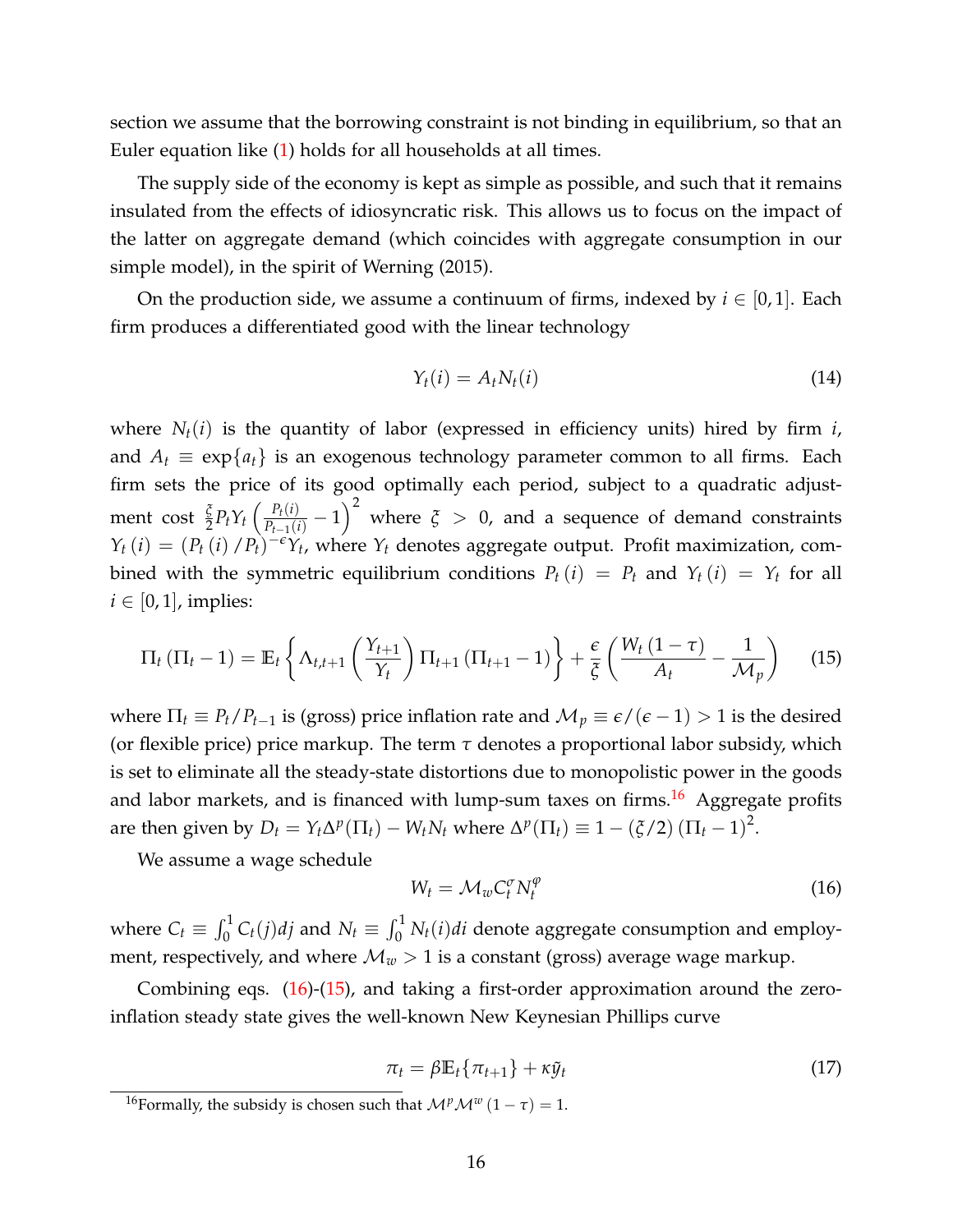section we assume that the borrowing constraint is not binding in equilibrium, so that an Euler equation like [\(1\)](#page-5-0) holds for all households at all times.

The supply side of the economy is kept as simple as possible, and such that it remains insulated from the effects of idiosyncratic risk. This allows us to focus on the impact of the latter on aggregate demand (which coincides with aggregate consumption in our simple model), in the spirit of Werning (2015).

On the production side, we assume a continuum of firms, indexed by  $i \in [0,1]$ . Each firm produces a differentiated good with the linear technology

$$
Y_t(i) = A_t N_t(i) \tag{14}
$$

where  $N_t(i)$  is the quantity of labor (expressed in efficiency units) hired by firm *i*, and  $A_t \equiv \exp\{a_t\}$  is an exogenous technology parameter common to all firms. Each firm sets the price of its good optimally each period, subject to a quadratic adjustment cost  $\frac{\xi}{2}P_tY_t\left(\frac{P_t(i)}{P_{t-1}(i)}-1\right)^2$  where  $\xi > 0$ , and a sequence of demand constraints  $Y_t(i) = (P_t(i)/P_t)^{-\epsilon} Y_t$ , where  $Y_t$  denotes aggregate output. Profit maximization, combined with the symmetric equilibrium conditions  $P_t(i) = P_t$  and  $Y_t(i) = Y_t$  for all  $i \in [0, 1]$ , implies:

<span id="page-15-2"></span>
$$
\Pi_t \left( \Pi_t - 1 \right) = \mathbb{E}_t \left\{ \Lambda_{t,t+1} \left( \frac{Y_{t+1}}{Y_t} \right) \Pi_{t+1} \left( \Pi_{t+1} - 1 \right) \right\} + \frac{\epsilon}{\xi} \left( \frac{W_t \left( 1 - \tau \right)}{A_t} - \frac{1}{\mathcal{M}_p} \right) \tag{15}
$$

where  $\Pi_t \equiv P_t/P_{t-1}$  is (gross) price inflation rate and  $\mathcal{M}_p \equiv \epsilon/(\epsilon - 1) > 1$  is the desired (or flexible price) price markup. The term  $\tau$  denotes a proportional labor subsidy, which is set to eliminate all the steady-state distortions due to monopolistic power in the goods and labor markets, and is financed with lump-sum taxes on firms.<sup>[16](#page-15-0)</sup> Aggregate profits are then given by  $D_t = Y_t \Delta^p (\Pi_t) - W_t N_t$  where  $\Delta^p (\Pi_t) \equiv 1 - (\xi/2) (\Pi_t - 1)^2$ .

We assume a wage schedule

<span id="page-15-1"></span>
$$
W_t = \mathcal{M}_w C_t^\sigma N_t^\varphi \tag{16}
$$

where  $C_t \equiv \int_0^1 C_t(j)dj$  and  $N_t \equiv \int_0^1 N_t(i)di$  denote aggregate consumption and employment, respectively, and where  $\mathcal{M}_w > 1$  is a constant (gross) average wage markup.

Combining eqs. [\(16\)](#page-15-1)-[\(15\)](#page-15-2), and taking a first-order approximation around the zeroinflation steady state gives the well-known New Keynesian Phillips curve

$$
\pi_t = \beta \mathbb{E}_t \{ \pi_{t+1} \} + \kappa \tilde{y}_t \tag{17}
$$

<span id="page-15-0"></span><sup>&</sup>lt;sup>16</sup>Formally, the subsidy is chosen such that  $\mathcal{M}^p \mathcal{M}^w (1 - \tau) = 1$ .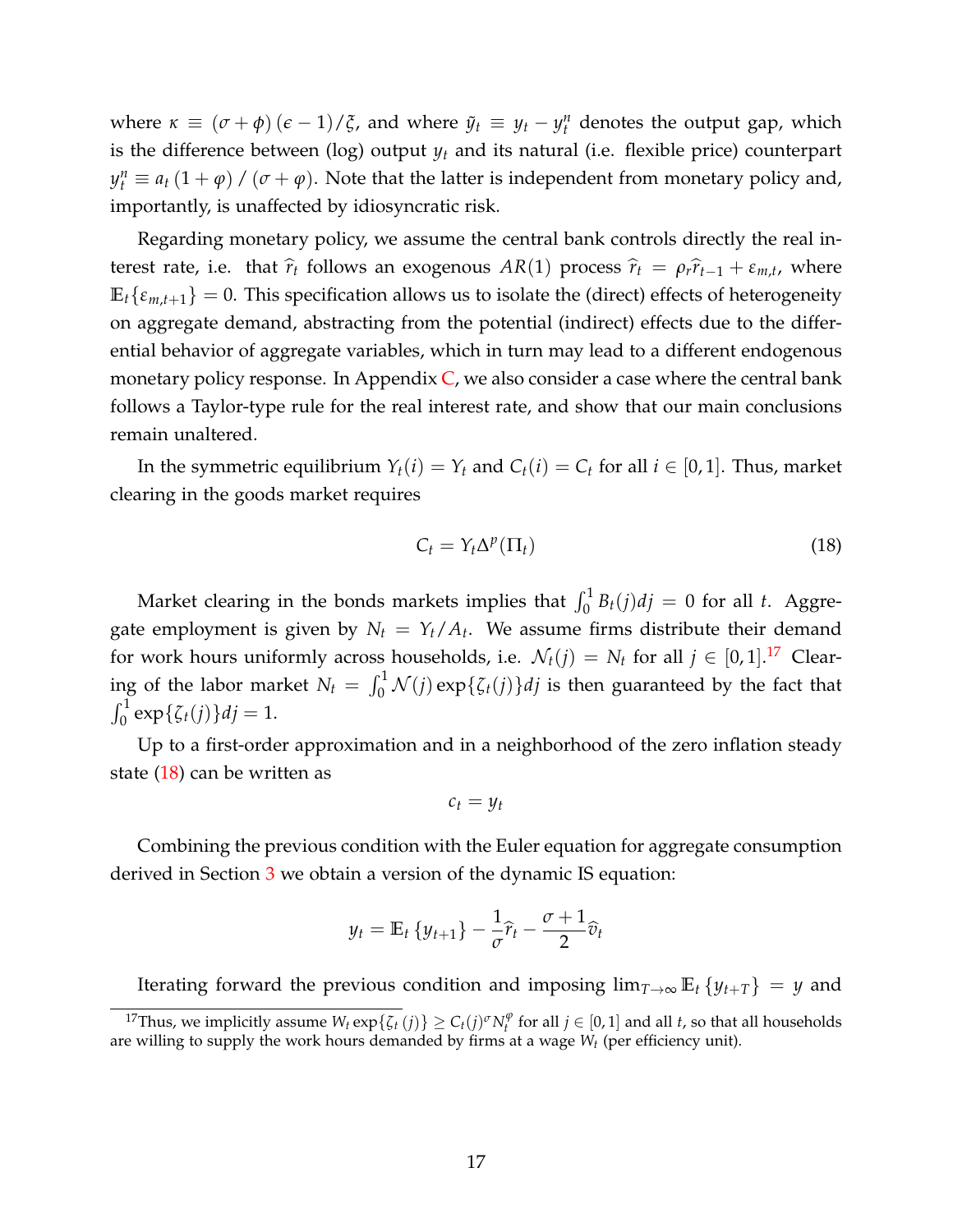where  $\kappa \equiv (\sigma + \phi)(\epsilon - 1)/\xi$ , and where  $\tilde{y}_t \equiv y_t - y_t^n$  denotes the output gap, which is the difference between (log) output *y<sup>t</sup>* and its natural (i.e. flexible price) counterpart  $y_t^n \equiv a_t (1 + \varphi) / (\sigma + \varphi)$ . Note that the latter is independent from monetary policy and, importantly, is unaffected by idiosyncratic risk.

Regarding monetary policy, we assume the central bank controls directly the real interest rate, i.e. that  $\hat{r}_t$  follows an exogenous *AR*(1) process  $\hat{r}_t = \rho_r \hat{r}_{t-1} + \varepsilon_{m,t}$ , where  $\mathbb{E}_{t} \{\varepsilon_{m,t+1}\} = 0$ . This specification allows us to isolate the (direct) effects of heterogeneity on aggregate demand, abstracting from the potential (indirect) effects due to the differential behavior of aggregate variables, which in turn may lead to a different endogenous monetary policy response. In Appendix  $C$ , we also consider a case where the central bank follows a Taylor-type rule for the real interest rate, and show that our main conclusions remain unaltered.

In the symmetric equilibrium  $Y_t(i) = Y_t$  and  $C_t(i) = C_t$  for all  $i \in [0,1]$ . Thus, market clearing in the goods market requires

<span id="page-16-1"></span>
$$
C_t = Y_t \Delta^p(\Pi_t) \tag{18}
$$

Market clearing in the bonds markets implies that  $\int_0^1 B_t(j)dj = 0$  for all *t*. Aggregate employment is given by  $N_t = Y_t/A_t$ . We assume firms distribute their demand for work hours uniformly across households, i.e.  $\mathcal{N}_t(j) = N_t$  for all  $j \in [0,1].^{17}$  $j \in [0,1].^{17}$  $j \in [0,1].^{17}$  Clearing of the labor market  $N_t = \int_0^1 \mathcal{N}(j) \exp{\{\zeta_t(j)\}} dj$  is then guaranteed by the fact that  $\int_0^1 \exp{\{\zeta_t(j)\}} df = 1.$ 

Up to a first-order approximation and in a neighborhood of the zero inflation steady state [\(18\)](#page-16-1) can be written as

$$
c_t = y_t
$$

Combining the previous condition with the Euler equation for aggregate consumption derived in Section [3](#page-4-0) we obtain a version of the dynamic IS equation:

$$
y_t = \mathbb{E}_t \{ y_{t+1} \} - \frac{1}{\sigma} \widehat{r}_t - \frac{\sigma + 1}{2} \widehat{v}_t
$$

Iterating forward the previous condition and imposing  $\lim_{T\to\infty} \mathbb{E}_t \{y_{t+T}\} = y$  and

<span id="page-16-0"></span><sup>&</sup>lt;sup>17</sup>Thus, we implicitly assume  $W_t \exp{\{\zeta_t(j)\}} \geq C_t(j)^\sigma N_t^\varphi$  for all  $j \in [0,1]$  and all *t*, so that all households are willing to supply the work hours demanded by firms at a wage *W<sup>t</sup>* (per efficiency unit).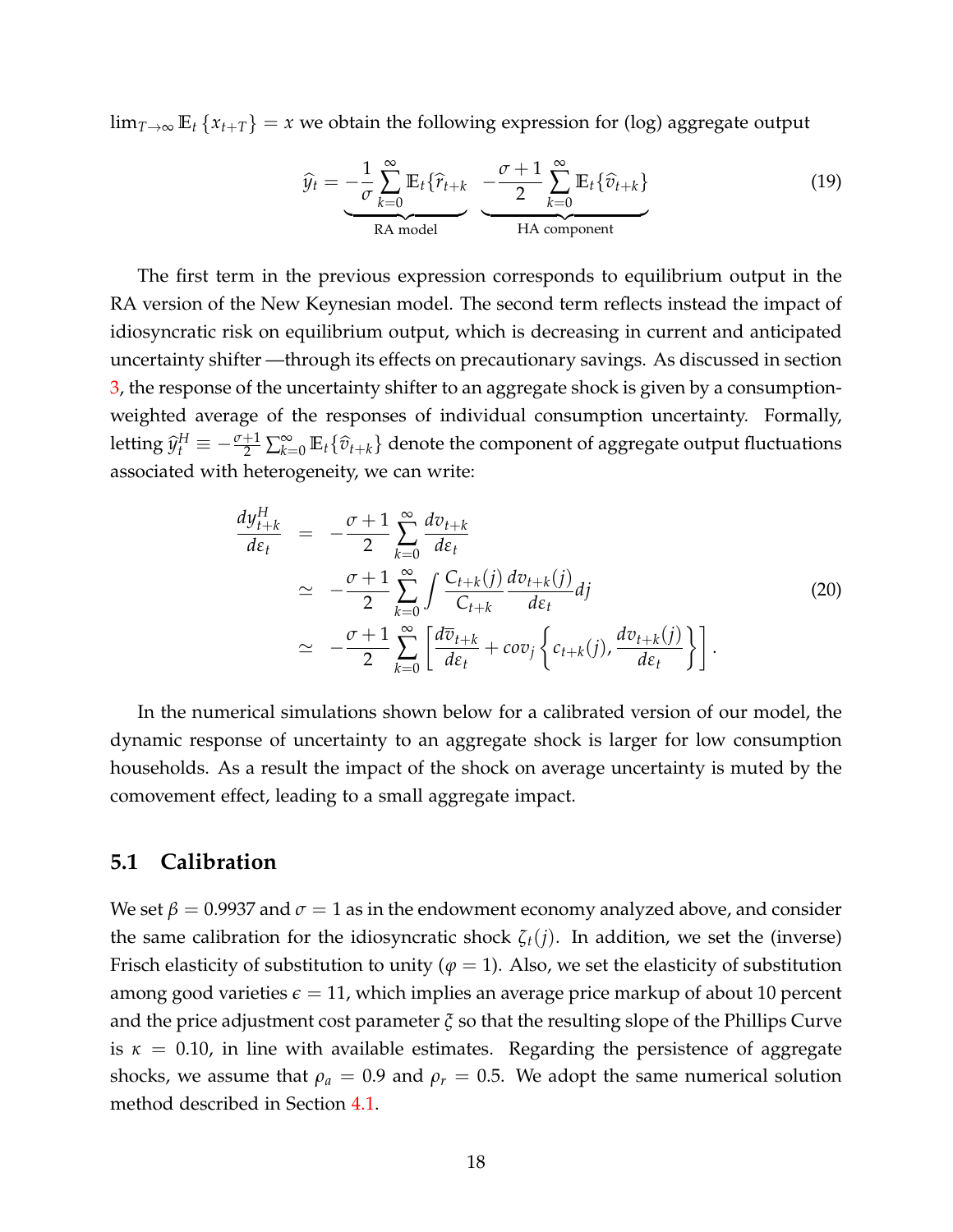$\lim_{T\to\infty}$   $\mathbb{E}_t$  { $x_{t+T}$ } = *x* we obtain the following expression for (log) aggregate output

$$
\widehat{y}_t = -\frac{1}{\sigma} \sum_{k=0}^{\infty} \mathbb{E}_t \{ \widehat{r}_{t+k} - \frac{\sigma+1}{2} \sum_{k=0}^{\infty} \mathbb{E}_t \{ \widehat{v}_{t+k} \}
$$
\nRA model

\nHA component

The first term in the previous expression corresponds to equilibrium output in the RA version of the New Keynesian model. The second term reflects instead the impact of idiosyncratic risk on equilibrium output, which is decreasing in current and anticipated uncertainty shifter —through its effects on precautionary savings. As discussed in section [3,](#page-4-0) the response of the uncertainty shifter to an aggregate shock is given by a consumptionweighted average of the responses of individual consumption uncertainty. Formally, letting  $\hat{y}_t^H \equiv -\frac{\sigma+1}{2} \sum_{k=0}^{\infty} \mathbb{E}_t \{\hat{v}_{t+k}\}\$  denote the component of aggregate output fluctuations associated with heterogeneity, we can write:

$$
\frac{dy_{t+k}^H}{d\varepsilon_t} = -\frac{\sigma+1}{2} \sum_{k=0}^{\infty} \frac{dv_{t+k}}{d\varepsilon_t} \n\approx -\frac{\sigma+1}{2} \sum_{k=0}^{\infty} \int \frac{C_{t+k}(j)}{C_{t+k}} \frac{dv_{t+k}(j)}{d\varepsilon_t} dj \n\approx -\frac{\sigma+1}{2} \sum_{k=0}^{\infty} \left[ \frac{d\overline{v}_{t+k}}{d\varepsilon_t} + cov_j \left\{ c_{t+k}(j), \frac{dv_{t+k}(j)}{d\varepsilon_t} \right\} \right].
$$
\n(20)

In the numerical simulations shown below for a calibrated version of our model, the dynamic response of uncertainty to an aggregate shock is larger for low consumption households. As a result the impact of the shock on average uncertainty is muted by the comovement effect, leading to a small aggregate impact.

### **5.1 Calibration**

We set  $\beta = 0.9937$  and  $\sigma = 1$  as in the endowment economy analyzed above, and consider the same calibration for the idiosyncratic shock  $\zeta_t(i)$ . In addition, we set the (inverse) Frisch elasticity of substitution to unity ( $\varphi = 1$ ). Also, we set the elasticity of substitution among good varieties  $\epsilon = 11$ , which implies an average price markup of about 10 percent and the price adjustment cost parameter *ξ* so that the resulting slope of the Phillips Curve is  $\kappa = 0.10$ , in line with available estimates. Regarding the persistence of aggregate shocks, we assume that  $\rho_a = 0.9$  and  $\rho_r = 0.5$ . We adopt the same numerical solution method described in Section [4.1.](#page-11-1)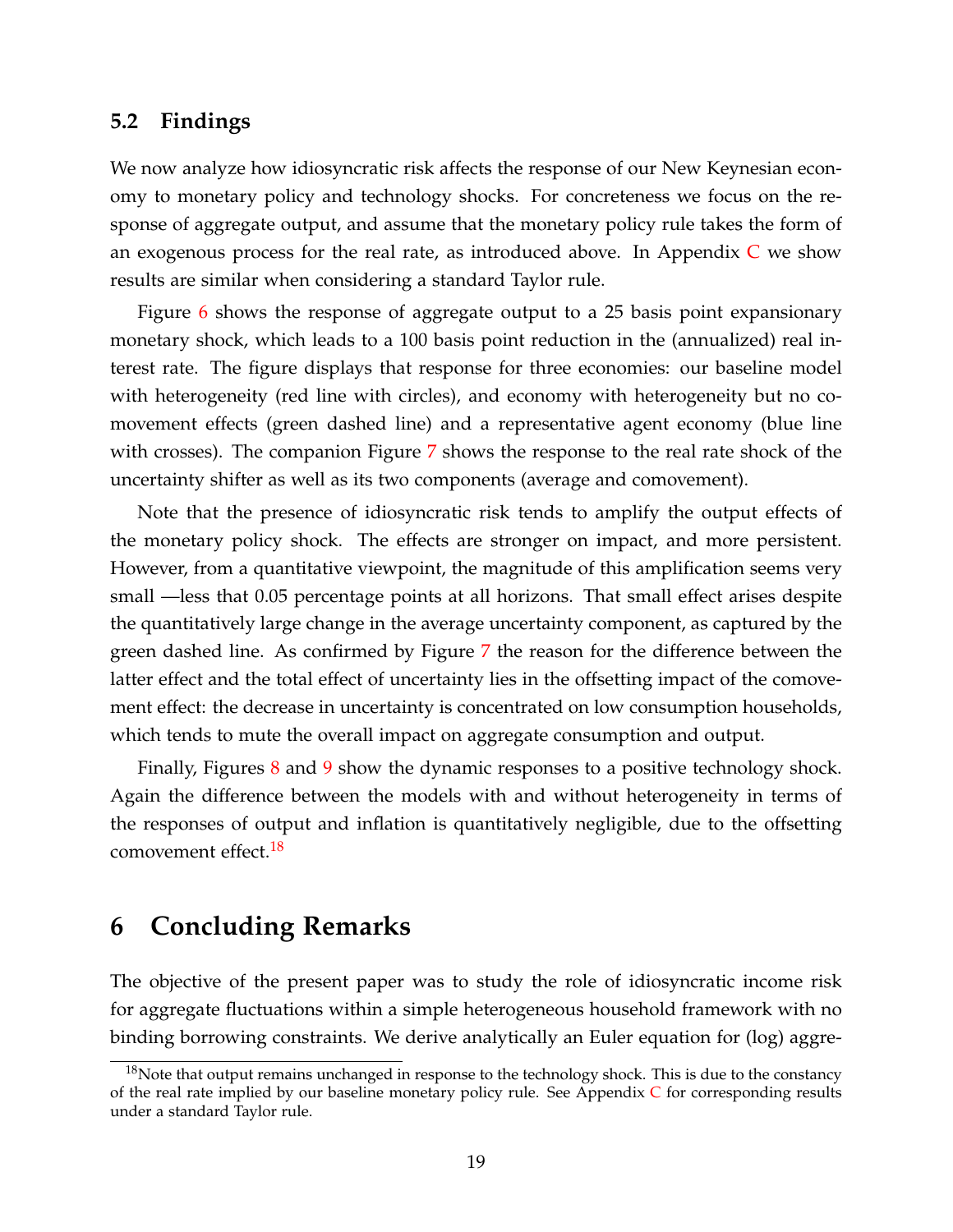#### **5.2 Findings**

We now analyze how idiosyncratic risk affects the response of our New Keynesian economy to monetary policy and technology shocks. For concreteness we focus on the response of aggregate output, and assume that the monetary policy rule takes the form of an exogenous process for the real rate, as introduced above. In Appendix  $C$  we show results are similar when considering a standard Taylor rule.

Figure [6](#page-28-0) shows the response of aggregate output to a 25 basis point expansionary monetary shock, which leads to a 100 basis point reduction in the (annualized) real interest rate. The figure displays that response for three economies: our baseline model with heterogeneity (red line with circles), and economy with heterogeneity but no comovement effects (green dashed line) and a representative agent economy (blue line with crosses). The companion Figure [7](#page-29-0) shows the response to the real rate shock of the uncertainty shifter as well as its two components (average and comovement).

Note that the presence of idiosyncratic risk tends to amplify the output effects of the monetary policy shock. The effects are stronger on impact, and more persistent. However, from a quantitative viewpoint, the magnitude of this amplification seems very small —less that 0.05 percentage points at all horizons. That small effect arises despite the quantitatively large change in the average uncertainty component, as captured by the green dashed line. As confirmed by Figure [7](#page-29-0) the reason for the difference between the latter effect and the total effect of uncertainty lies in the offsetting impact of the comovement effect: the decrease in uncertainty is concentrated on low consumption households, which tends to mute the overall impact on aggregate consumption and output.

Finally, Figures [8](#page-30-0) and [9](#page-31-0) show the dynamic responses to a positive technology shock. Again the difference between the models with and without heterogeneity in terms of the responses of output and inflation is quantitatively negligible, due to the offsetting comovement effect.<sup>[18](#page-18-1)</sup>

### <span id="page-18-0"></span>**6 Concluding Remarks**

The objective of the present paper was to study the role of idiosyncratic income risk for aggregate fluctuations within a simple heterogeneous household framework with no binding borrowing constraints. We derive analytically an Euler equation for (log) aggre-

<span id="page-18-1"></span> $18$ Note that output remains unchanged in response to the technology shock. This is due to the constancy of the real rate implied by our baseline monetary policy rule. See Appendix  $C$  for corresponding results under a standard Taylor rule.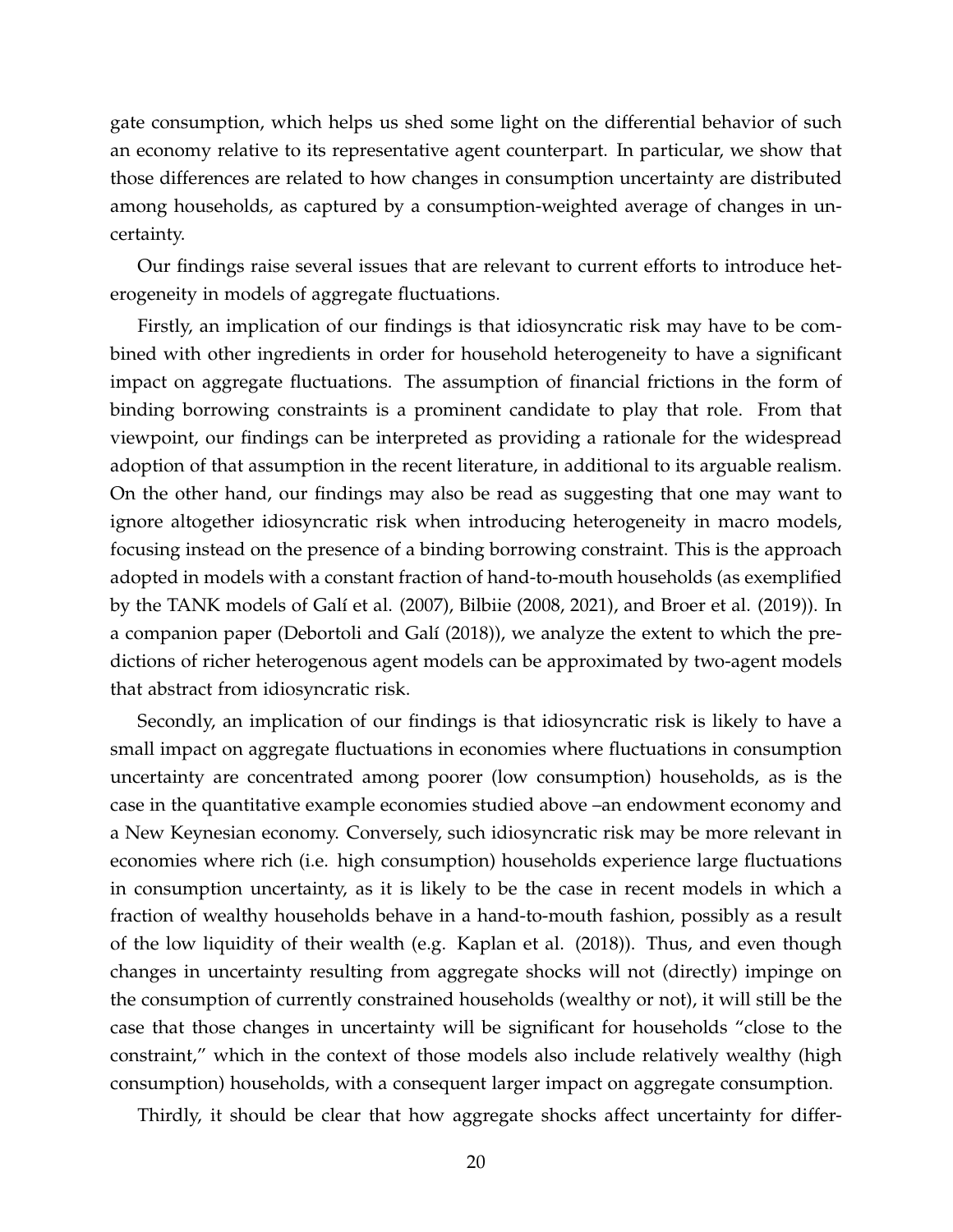gate consumption, which helps us shed some light on the differential behavior of such an economy relative to its representative agent counterpart. In particular, we show that those differences are related to how changes in consumption uncertainty are distributed among households, as captured by a consumption-weighted average of changes in uncertainty.

Our findings raise several issues that are relevant to current efforts to introduce heterogeneity in models of aggregate fluctuations.

Firstly, an implication of our findings is that idiosyncratic risk may have to be combined with other ingredients in order for household heterogeneity to have a significant impact on aggregate fluctuations. The assumption of financial frictions in the form of binding borrowing constraints is a prominent candidate to play that role. From that viewpoint, our findings can be interpreted as providing a rationale for the widespread adoption of that assumption in the recent literature, in additional to its arguable realism. On the other hand, our findings may also be read as suggesting that one may want to ignore altogether idiosyncratic risk when introducing heterogeneity in macro models, focusing instead on the presence of a binding borrowing constraint. This is the approach adopted in models with a constant fraction of hand-to-mouth households (as exemplified by the TANK models of Galí et al. (2007), Bilbiie (2008, 2021), and Broer et al. (2019)). In a companion paper (Debortoli and Galí (2018)), we analyze the extent to which the predictions of richer heterogenous agent models can be approximated by two-agent models that abstract from idiosyncratic risk.

Secondly, an implication of our findings is that idiosyncratic risk is likely to have a small impact on aggregate fluctuations in economies where fluctuations in consumption uncertainty are concentrated among poorer (low consumption) households, as is the case in the quantitative example economies studied above –an endowment economy and a New Keynesian economy. Conversely, such idiosyncratic risk may be more relevant in economies where rich (i.e. high consumption) households experience large fluctuations in consumption uncertainty, as it is likely to be the case in recent models in which a fraction of wealthy households behave in a hand-to-mouth fashion, possibly as a result of the low liquidity of their wealth (e.g. Kaplan et al. (2018)). Thus, and even though changes in uncertainty resulting from aggregate shocks will not (directly) impinge on the consumption of currently constrained households (wealthy or not), it will still be the case that those changes in uncertainty will be significant for households "close to the constraint," which in the context of those models also include relatively wealthy (high consumption) households, with a consequent larger impact on aggregate consumption.

Thirdly, it should be clear that how aggregate shocks affect uncertainty for differ-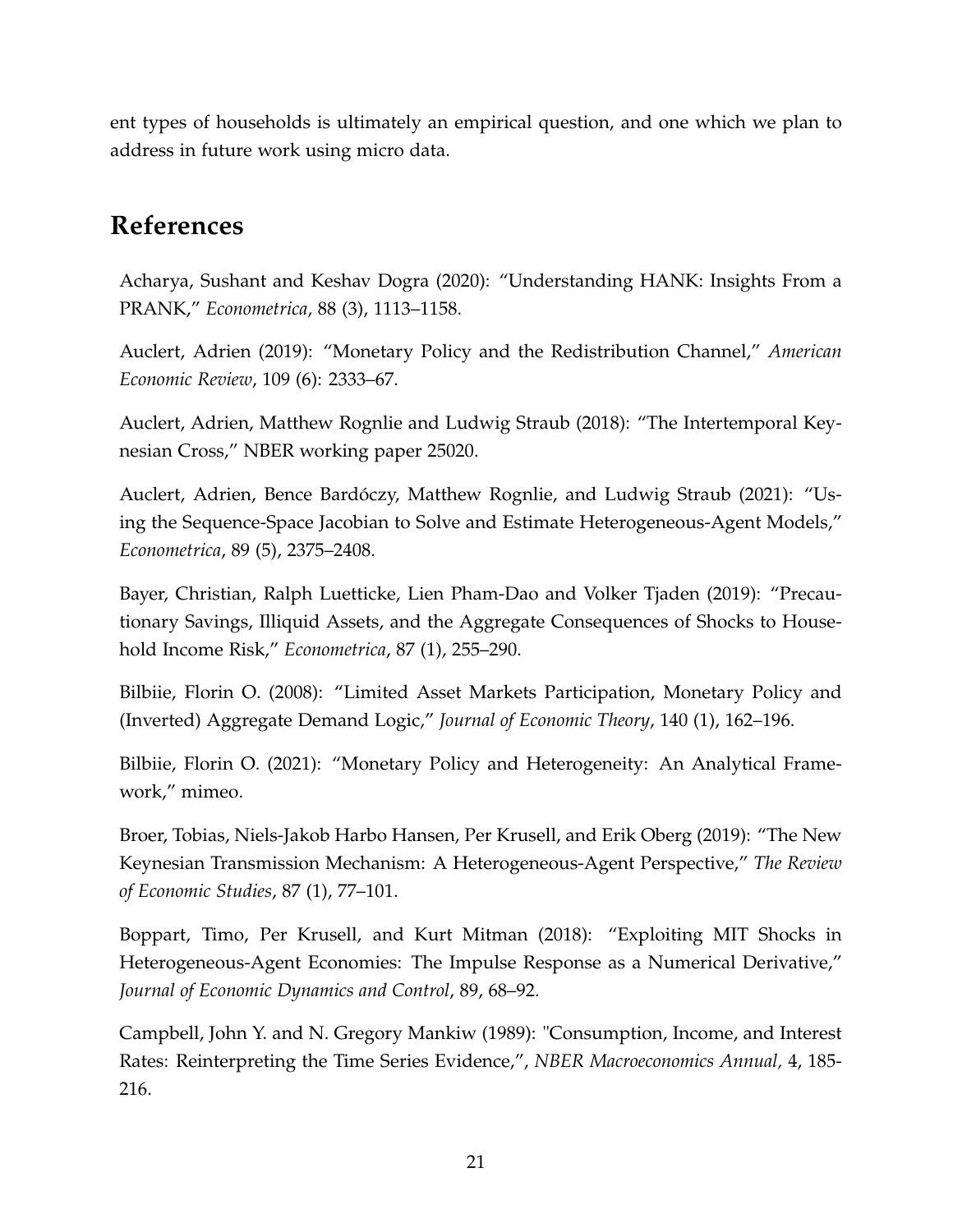ent types of households is ultimately an empirical question, and one which we plan to address in future work using micro data.

# **References**

Acharya, Sushant and Keshav Dogra (2020): "Understanding HANK: Insights From a PRANK," *Econometrica*, 88 (3), 1113–1158.

Auclert, Adrien (2019): "Monetary Policy and the Redistribution Channel," *American Economic Review*, 109 (6): 2333–67.

Auclert, Adrien, Matthew Rognlie and Ludwig Straub (2018): "The Intertemporal Keynesian Cross," NBER working paper 25020.

Auclert, Adrien, Bence Bardóczy, Matthew Rognlie, and Ludwig Straub (2021): "Using the Sequence-Space Jacobian to Solve and Estimate Heterogeneous-Agent Models," *Econometrica*, 89 (5), 2375–2408.

Bayer, Christian, Ralph Luetticke, Lien Pham-Dao and Volker Tjaden (2019): "Precautionary Savings, Illiquid Assets, and the Aggregate Consequences of Shocks to Household Income Risk," *Econometrica*, 87 (1), 255–290.

Bilbiie, Florin O. (2008): "Limited Asset Markets Participation, Monetary Policy and (Inverted) Aggregate Demand Logic," *Journal of Economic Theory*, 140 (1), 162–196.

Bilbiie, Florin O. (2021): "Monetary Policy and Heterogeneity: An Analytical Framework," mimeo.

Broer, Tobias, Niels-Jakob Harbo Hansen, Per Krusell, and Erik Oberg (2019): "The New Keynesian Transmission Mechanism: A Heterogeneous-Agent Perspective," *The Review of Economic Studies*, 87 (1), 77–101.

Boppart, Timo, Per Krusell, and Kurt Mitman (2018): "Exploiting MIT Shocks in Heterogeneous-Agent Economies: The Impulse Response as a Numerical Derivative," *Journal of Economic Dynamics and Control*, 89, 68–92.

Campbell, John Y. and N. Gregory Mankiw (1989): "Consumption, Income, and Interest Rates: Reinterpreting the Time Series Evidence,", *NBER Macroeconomics Annual,* 4, 185- 216.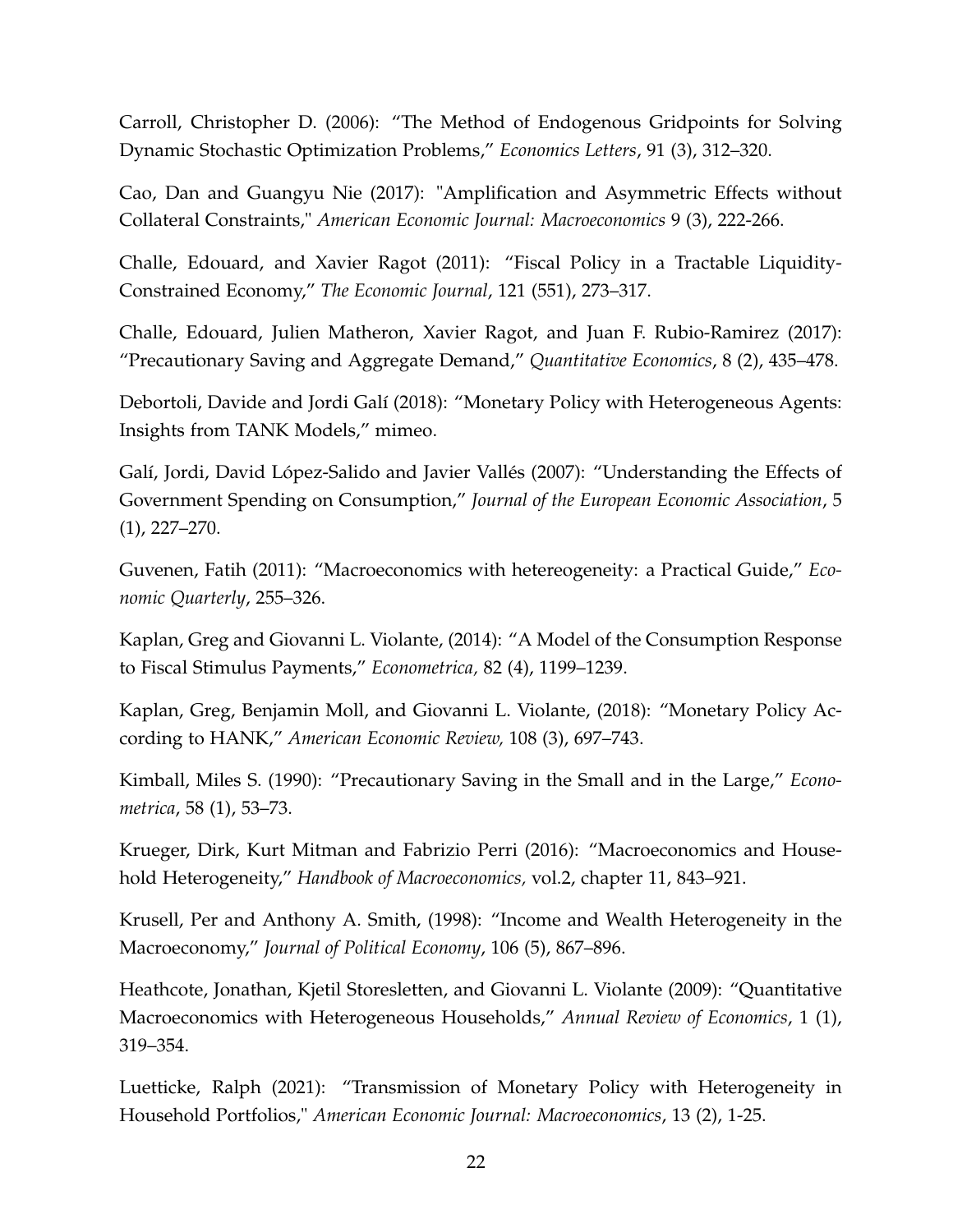Carroll, Christopher D. (2006): "The Method of Endogenous Gridpoints for Solving Dynamic Stochastic Optimization Problems," *Economics Letters*, 91 (3), 312–320.

Cao, Dan and Guangyu Nie (2017): "Amplification and Asymmetric Effects without Collateral Constraints," *American Economic Journal: Macroeconomics* 9 (3), 222-266.

Challe, Edouard, and Xavier Ragot (2011): "Fiscal Policy in a Tractable Liquidity-Constrained Economy," *The Economic Journal*, 121 (551), 273–317.

Challe, Edouard, Julien Matheron, Xavier Ragot, and Juan F. Rubio-Ramirez (2017): "Precautionary Saving and Aggregate Demand," *Quantitative Economics*, 8 (2), 435–478.

Debortoli, Davide and Jordi Galí (2018): "Monetary Policy with Heterogeneous Agents: Insights from TANK Models," mimeo.

Galí, Jordi, David López-Salido and Javier Vallés (2007): "Understanding the Effects of Government Spending on Consumption," *Journal of the European Economic Association*, 5 (1), 227–270.

Guvenen, Fatih (2011): "Macroeconomics with hetereogeneity: a Practical Guide," *Economic Quarterly*, 255–326.

Kaplan, Greg and Giovanni L. Violante, (2014): "A Model of the Consumption Response to Fiscal Stimulus Payments," *Econometrica,* 82 (4), 1199–1239.

Kaplan, Greg, Benjamin Moll, and Giovanni L. Violante, (2018): "Monetary Policy According to HANK," *American Economic Review,* 108 (3), 697–743.

Kimball, Miles S. (1990): "Precautionary Saving in the Small and in the Large," *Econometrica*, 58 (1), 53–73.

Krueger, Dirk, Kurt Mitman and Fabrizio Perri (2016): "Macroeconomics and Household Heterogeneity," *Handbook of Macroeconomics,* vol.2, chapter 11, 843–921.

Krusell, Per and Anthony A. Smith, (1998): "Income and Wealth Heterogeneity in the Macroeconomy," *Journal of Political Economy*, 106 (5), 867–896.

Heathcote, Jonathan, Kjetil Storesletten, and Giovanni L. Violante (2009): "Quantitative Macroeconomics with Heterogeneous Households," *Annual Review of Economics*, 1 (1), 319–354.

Luetticke, Ralph (2021): "Transmission of Monetary Policy with Heterogeneity in Household Portfolios," *American Economic Journal: Macroeconomics*, 13 (2), 1-25.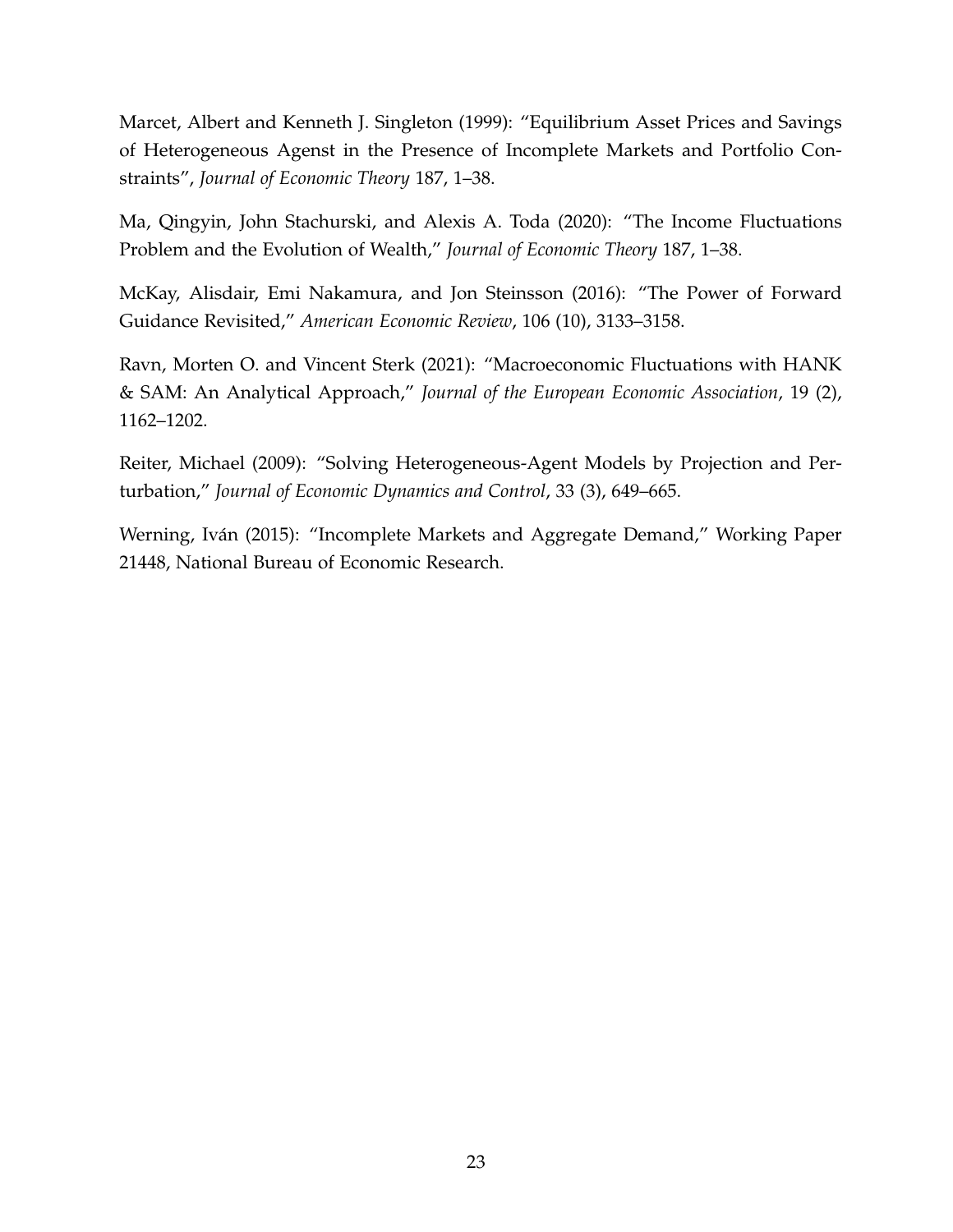Marcet, Albert and Kenneth J. Singleton (1999): "Equilibrium Asset Prices and Savings of Heterogeneous Agenst in the Presence of Incomplete Markets and Portfolio Constraints", *Journal of Economic Theory* 187, 1–38.

Ma, Qingyin, John Stachurski, and Alexis A. Toda (2020): "The Income Fluctuations Problem and the Evolution of Wealth," *Journal of Economic Theory* 187, 1–38.

McKay, Alisdair, Emi Nakamura, and Jon Steinsson (2016): "The Power of Forward Guidance Revisited," *American Economic Review*, 106 (10), 3133–3158.

Ravn, Morten O. and Vincent Sterk (2021): "Macroeconomic Fluctuations with HANK & SAM: An Analytical Approach," *Journal of the European Economic Association*, 19 (2), 1162–1202.

Reiter, Michael (2009): "Solving Heterogeneous-Agent Models by Projection and Perturbation," *Journal of Economic Dynamics and Control*, 33 (3), 649–665.

Werning, Iván (2015): "Incomplete Markets and Aggregate Demand," Working Paper 21448, National Bureau of Economic Research.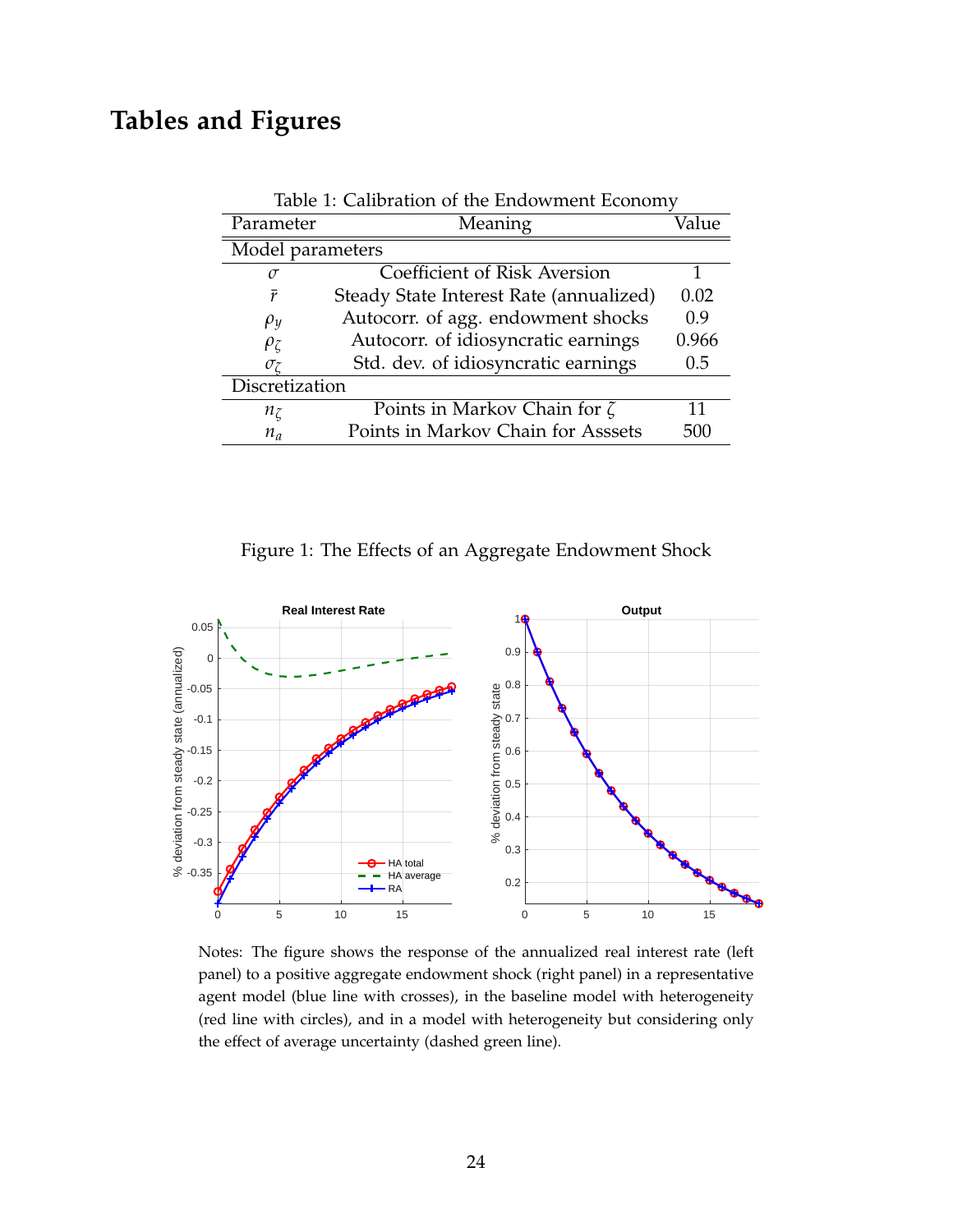# **Tables and Figures**

| Parameter        | Meaning                                 | Value |
|------------------|-----------------------------------------|-------|
| Model parameters |                                         |       |
| $\sigma$         | Coefficient of Risk Aversion            |       |
| $\bar{r}$        | Steady State Interest Rate (annualized) | 0.02  |
| $\rho_y$         | Autocorr. of agg. endowment shocks      | 0.9   |
| $\rho_{\zeta}$   | Autocorr. of idiosyncratic earnings     | 0.966 |
| $\sigma$         | Std. dev. of idiosyncratic earnings     | 0.5   |
| Discretization   |                                         |       |
| $n_{\zeta}$      | Points in Markov Chain for $\zeta$      | 11    |
| $n_a$            | Points in Markov Chain for Asssets      | 500   |

Table 1: Calibration of the Endowment Economy

<span id="page-23-0"></span>Figure 1: The Effects of an Aggregate Endowment Shock



Notes: The figure shows the response of the annualized real interest rate (left panel) to a positive aggregate endowment shock (right panel) in a representative agent model (blue line with crosses), in the baseline model with heterogeneity (red line with circles), and in a model with heterogeneity but considering only the effect of average uncertainty (dashed green line).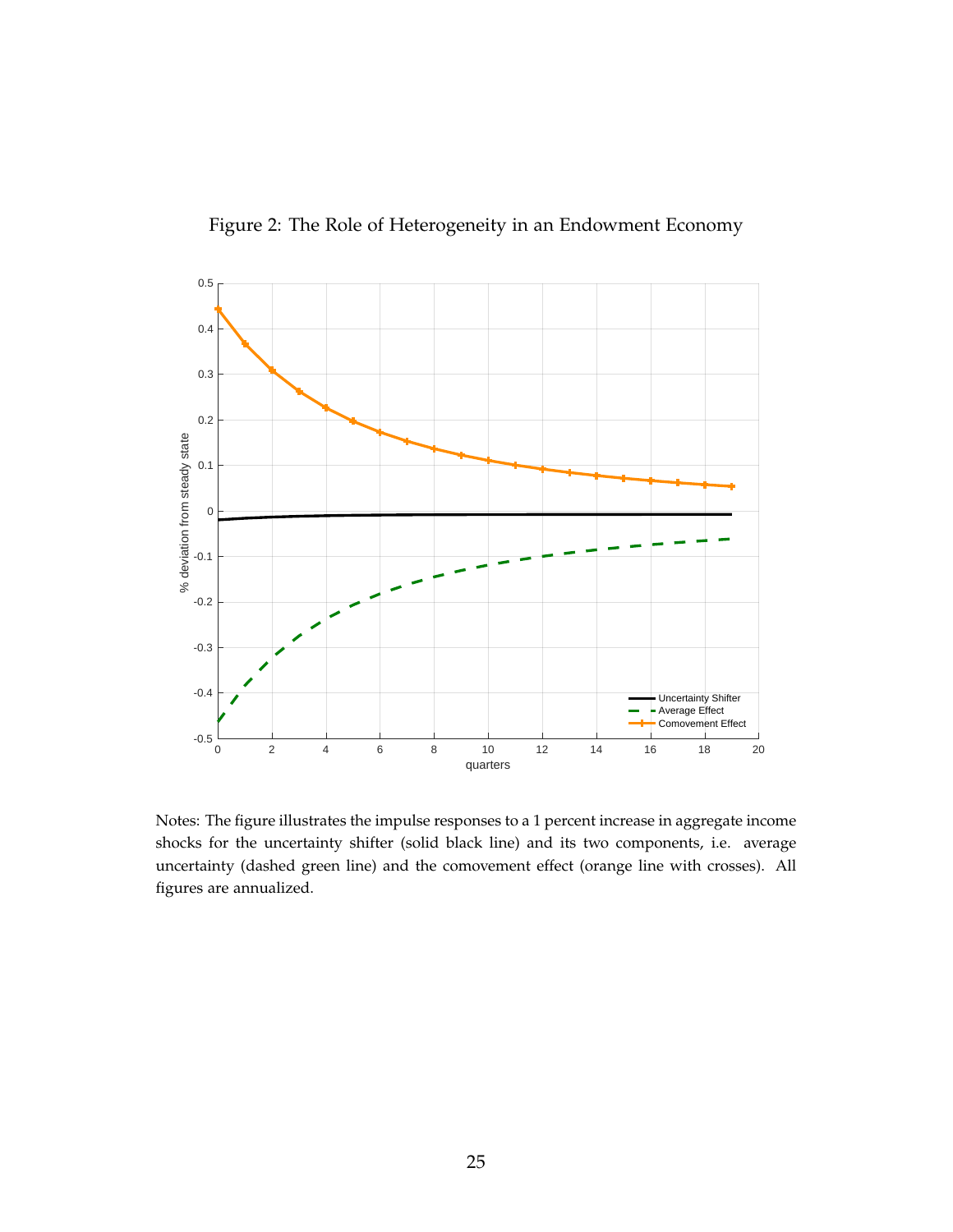

<span id="page-24-0"></span>Figure 2: The Role of Heterogeneity in an Endowment Economy

Notes: The figure illustrates the impulse responses to a 1 percent increase in aggregate income shocks for the uncertainty shifter (solid black line) and its two components, i.e. average uncertainty (dashed green line) and the comovement effect (orange line with crosses). All figures are annualized.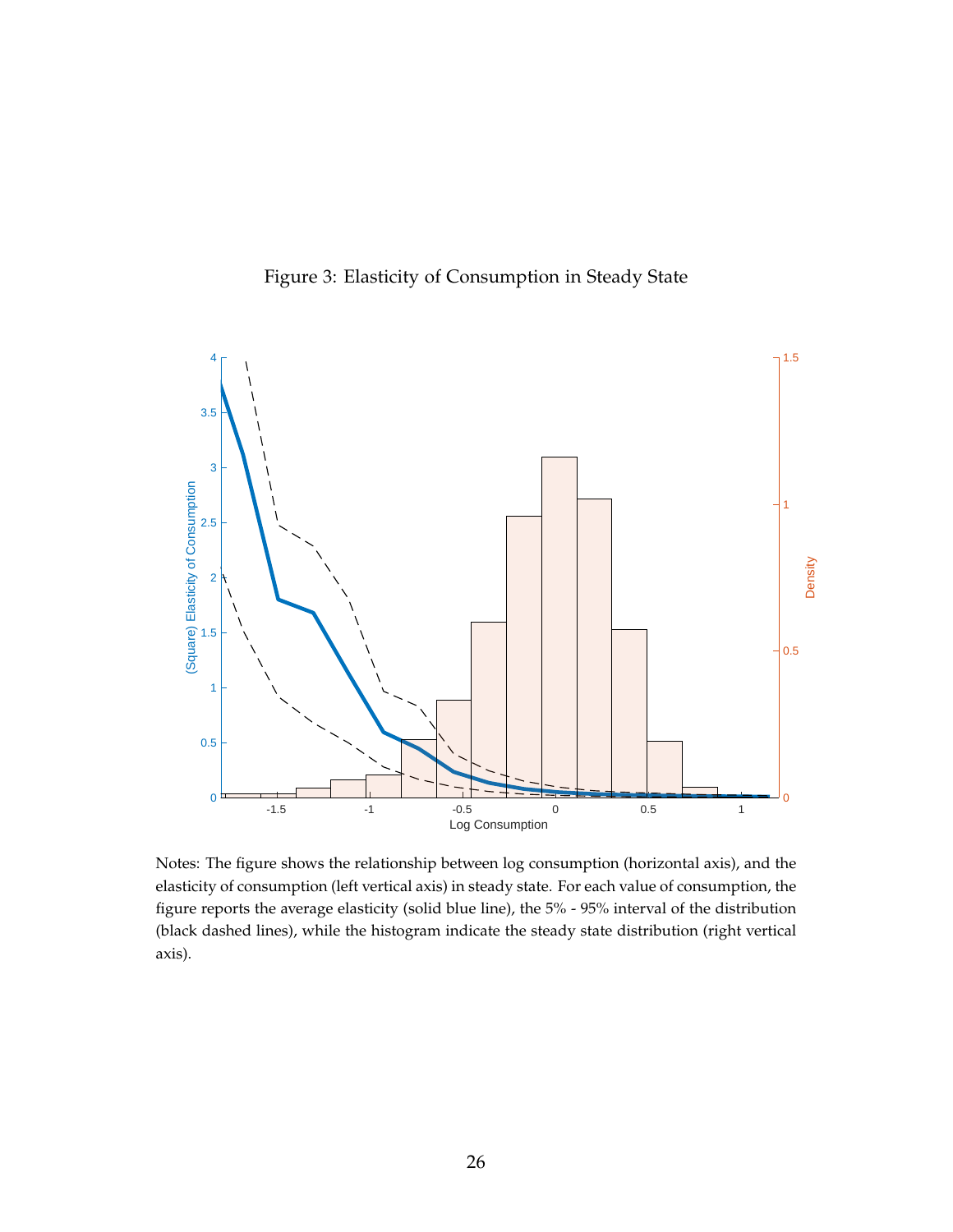

<span id="page-25-0"></span>Figure 3: Elasticity of Consumption in Steady State

Notes: The figure shows the relationship between log consumption (horizontal axis), and the elasticity of consumption (left vertical axis) in steady state. For each value of consumption, the figure reports the average elasticity (solid blue line), the 5% - 95% interval of the distribution (black dashed lines), while the histogram indicate the steady state distribution (right vertical axis).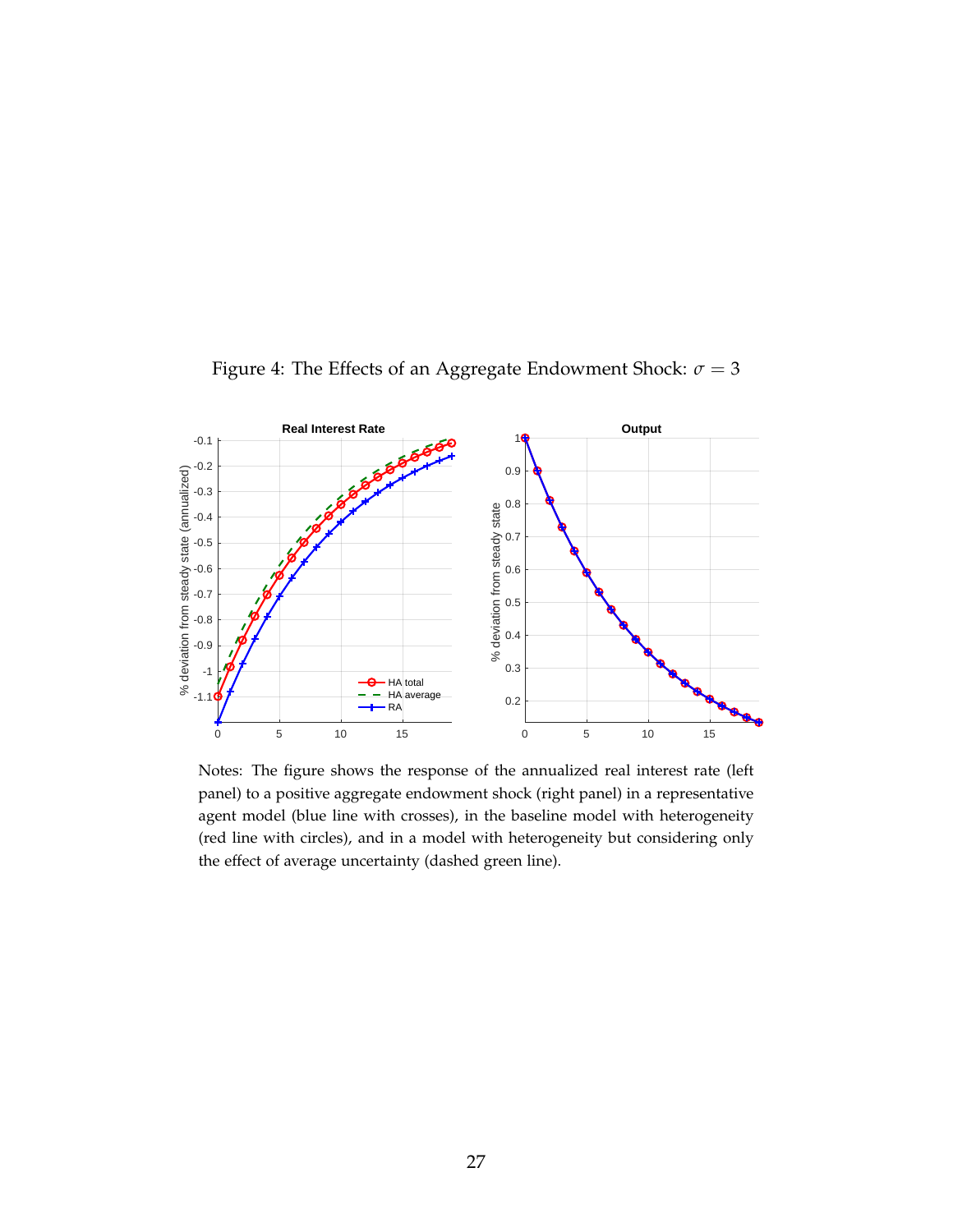

<span id="page-26-0"></span>Figure 4: The Effects of an Aggregate Endowment Shock:  $\sigma = 3$ 

Notes: The figure shows the response of the annualized real interest rate (left panel) to a positive aggregate endowment shock (right panel) in a representative agent model (blue line with crosses), in the baseline model with heterogeneity (red line with circles), and in a model with heterogeneity but considering only the effect of average uncertainty (dashed green line).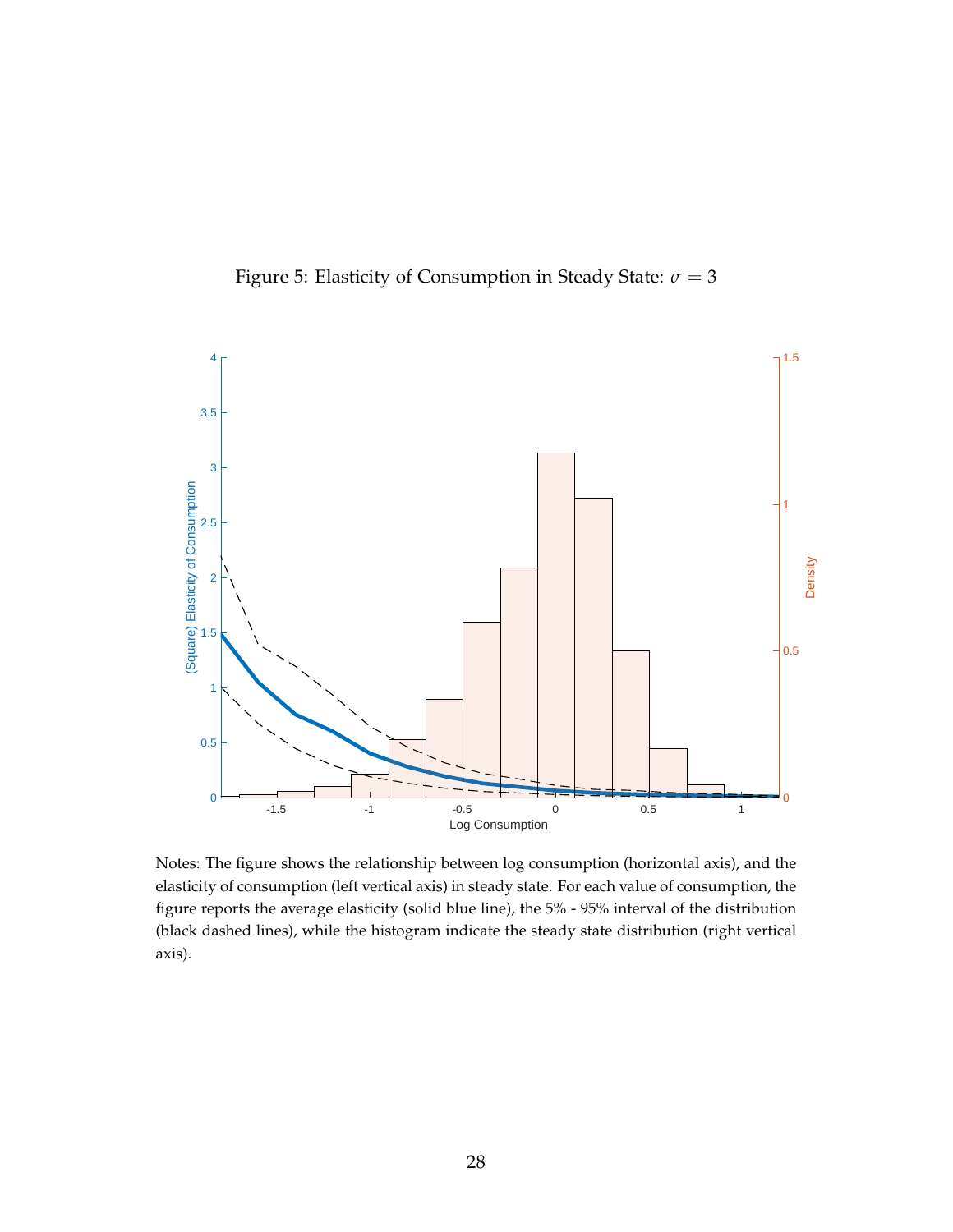<span id="page-27-0"></span>



Notes: The figure shows the relationship between log consumption (horizontal axis), and the elasticity of consumption (left vertical axis) in steady state. For each value of consumption, the figure reports the average elasticity (solid blue line), the 5% - 95% interval of the distribution (black dashed lines), while the histogram indicate the steady state distribution (right vertical axis).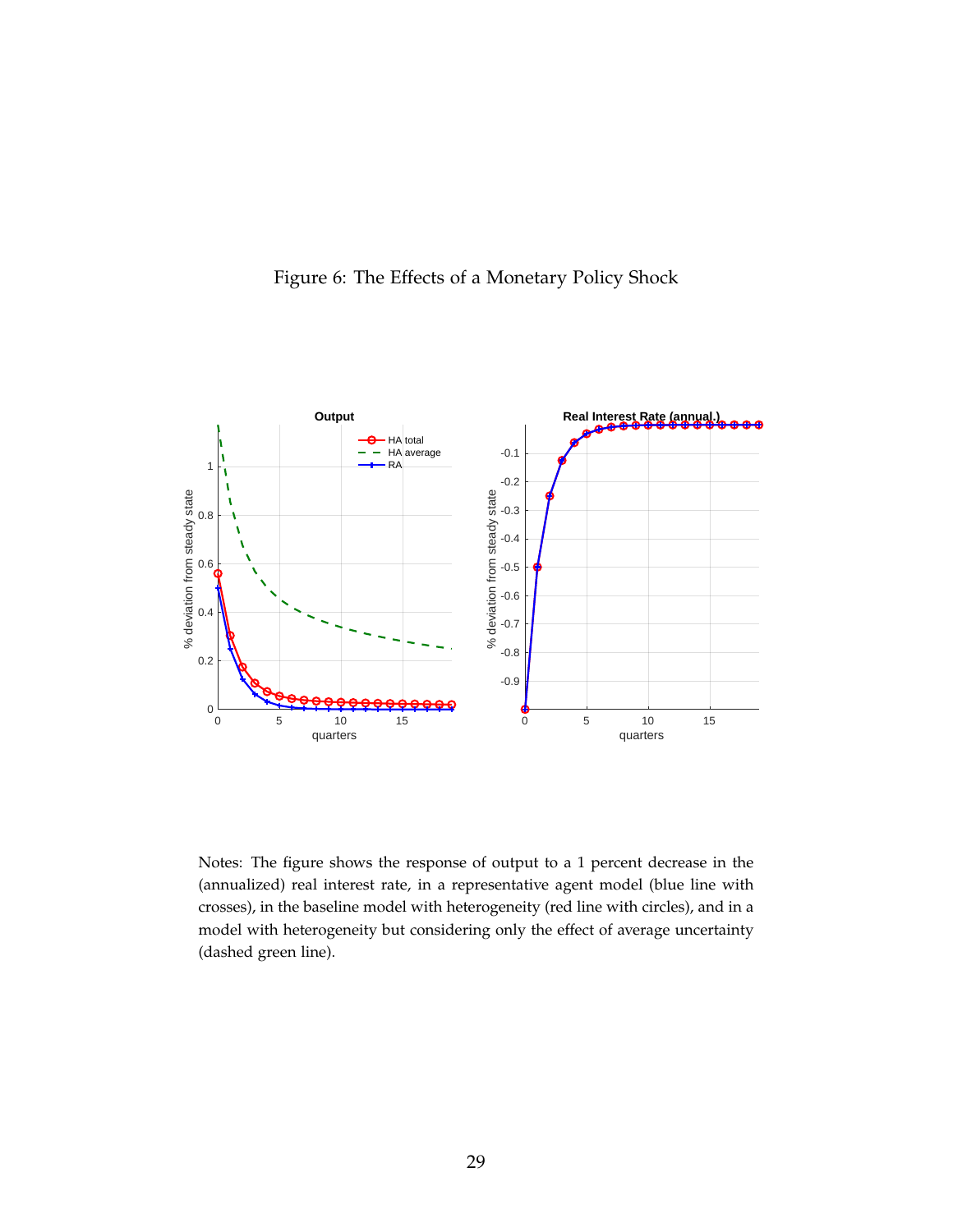<span id="page-28-0"></span>



Notes: The figure shows the response of output to a 1 percent decrease in the (annualized) real interest rate, in a representative agent model (blue line with crosses), in the baseline model with heterogeneity (red line with circles), and in a model with heterogeneity but considering only the effect of average uncertainty (dashed green line).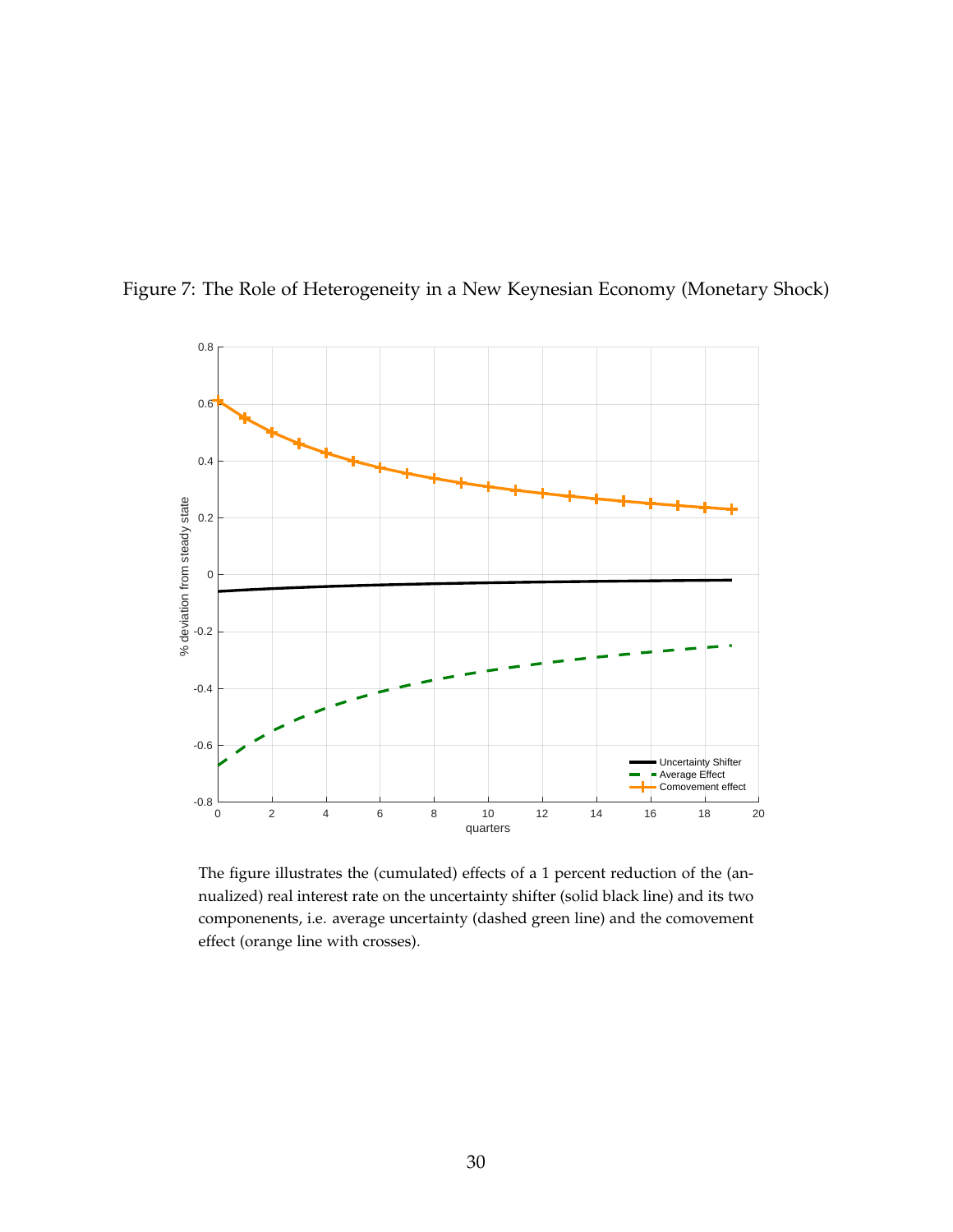<span id="page-29-0"></span>

Figure 7: The Role of Heterogeneity in a New Keynesian Economy (Monetary Shock)

The figure illustrates the (cumulated) effects of a 1 percent reduction of the (annualized) real interest rate on the uncertainty shifter (solid black line) and its two componenents, i.e. average uncertainty (dashed green line) and the comovement effect (orange line with crosses).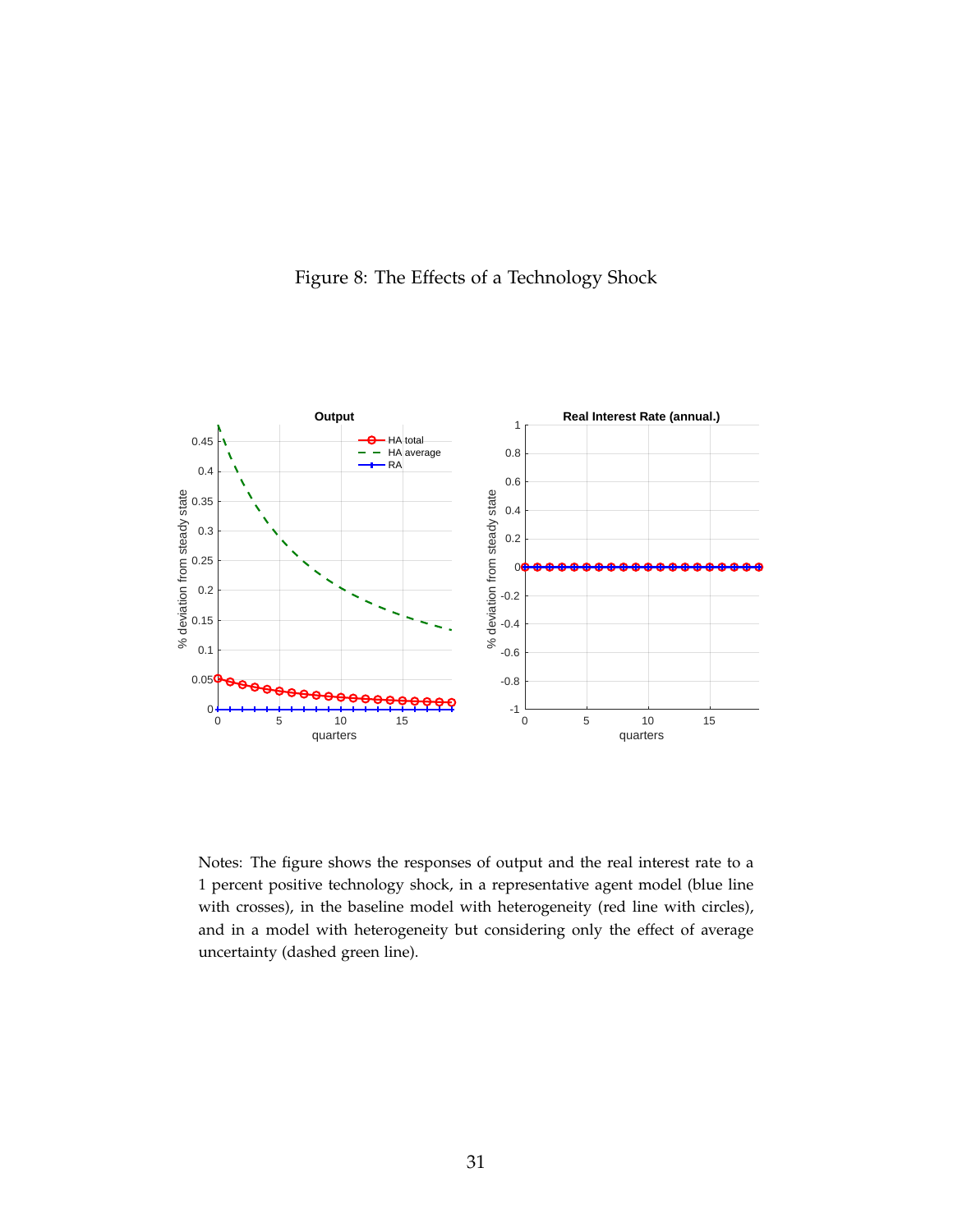<span id="page-30-0"></span>![](_page_30_Figure_0.jpeg)

![](_page_30_Figure_1.jpeg)

Notes: The figure shows the responses of output and the real interest rate to a 1 percent positive technology shock, in a representative agent model (blue line with crosses), in the baseline model with heterogeneity (red line with circles), and in a model with heterogeneity but considering only the effect of average uncertainty (dashed green line).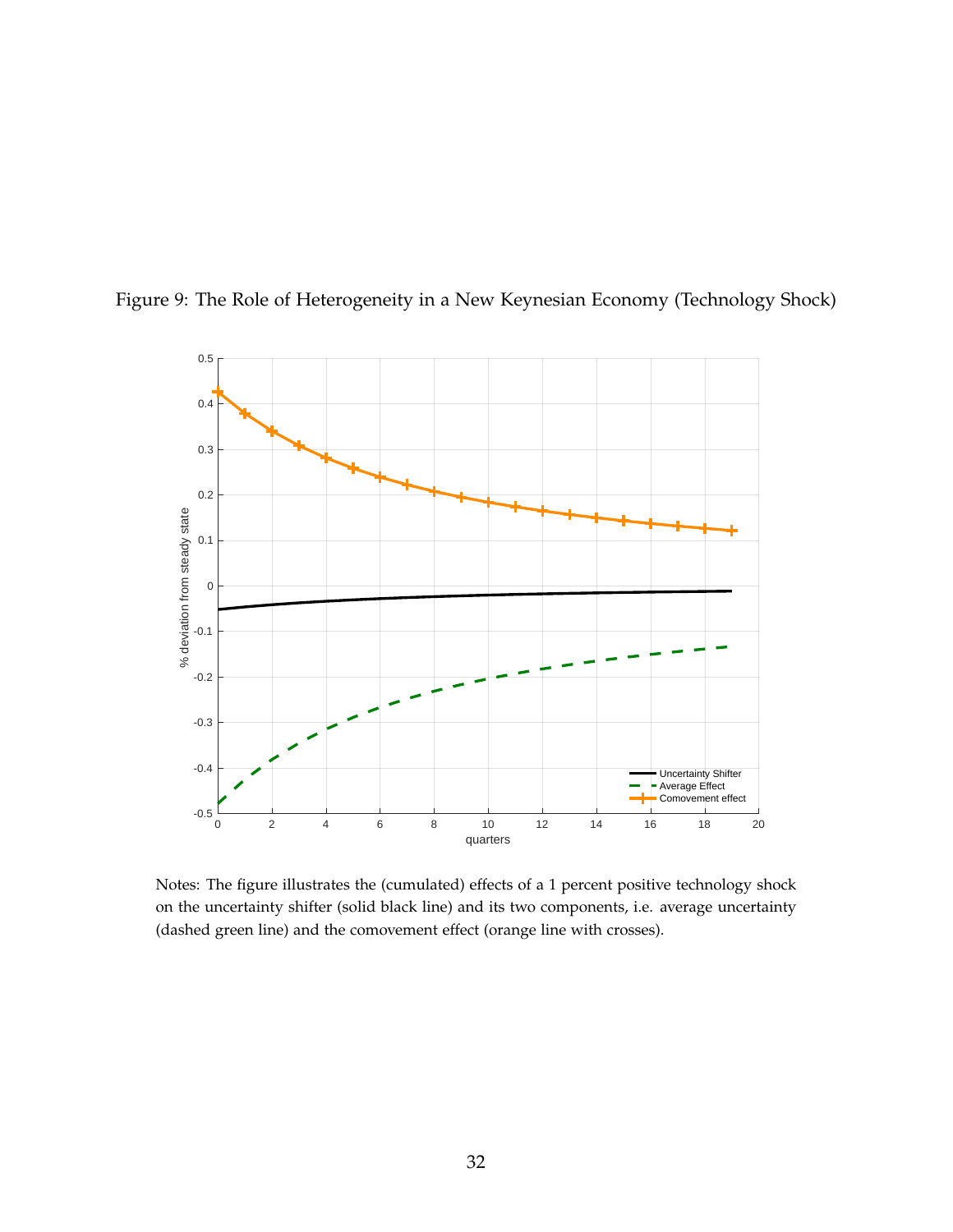<span id="page-31-0"></span>![](_page_31_Figure_0.jpeg)

Figure 9: The Role of Heterogeneity in a New Keynesian Economy (Technology Shock)

Notes: The figure illustrates the (cumulated) effects of a 1 percent positive technology shock on the uncertainty shifter (solid black line) and its two components, i.e. average uncertainty (dashed green line) and the comovement effect (orange line with crosses).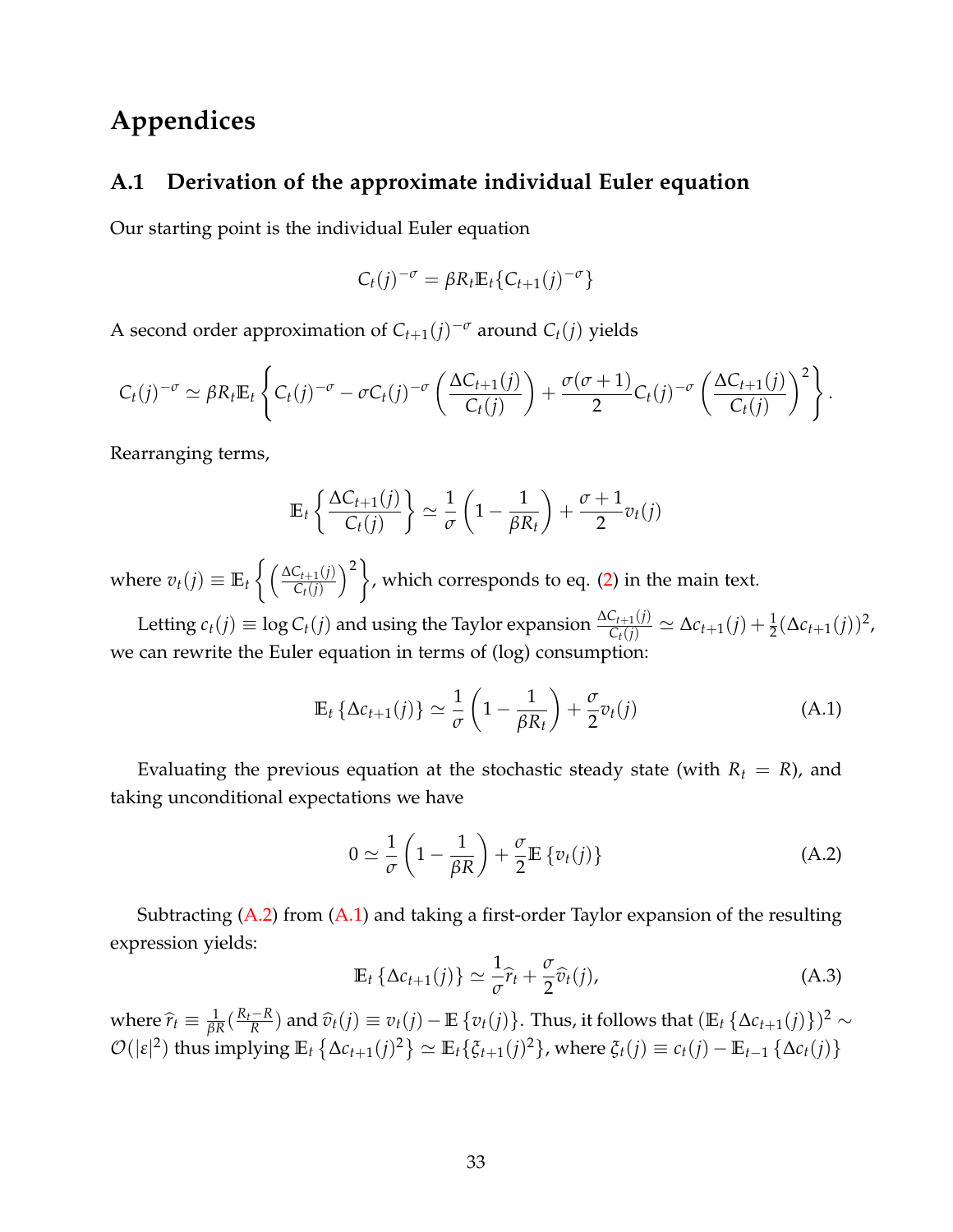### **Appendices**

### <span id="page-32-0"></span>**A.1 Derivation of the approximate individual Euler equation**

Our starting point is the individual Euler equation

$$
C_t(j)^{-\sigma} = \beta R_t \mathbb{E}_t \{ C_{t+1}(j)^{-\sigma} \}
$$

A second order approximation of  $C_{t+1}(j)^{-\sigma}$  around  $C_t(j)$  yields

$$
C_t(j)^{-\sigma} \simeq \beta R_t \mathbb{E}_t \left\{ C_t(j)^{-\sigma} - \sigma C_t(j)^{-\sigma} \left( \frac{\Delta C_{t+1}(j)}{C_t(j)} \right) + \frac{\sigma(\sigma+1)}{2} C_t(j)^{-\sigma} \left( \frac{\Delta C_{t+1}(j)}{C_t(j)} \right)^2 \right\}.
$$

Rearranging terms,

$$
\mathbb{E}_{t}\left\{\frac{\Delta C_{t+1}(j)}{C_{t}(j)}\right\} \simeq \frac{1}{\sigma}\left(1-\frac{1}{\beta R_{t}}\right)+\frac{\sigma+1}{2}v_{t}(j)
$$

where  $v_t(j) \equiv \mathbb{E}_t \left\{ \left( \frac{\Delta C_{t+1}(j)}{C_t(j)} \right) \right\}$ *Ct*(*j*)  $\mathcal{L}^2$ , which corresponds to eq. [\(2\)](#page-5-2) in the main text.

Letting  $c_t(j) \equiv \log C_t(j)$  and using the Taylor expansion  $\frac{\Delta C_{t+1}(j)}{C_t(j)} \simeq \Delta c_{t+1}(j) + \frac{1}{2}(\Delta c_{t+1}(j))^2$ , we can rewrite the Euler equation in terms of (log) consumption:

<span id="page-32-2"></span>
$$
\mathbb{E}_t \left\{ \Delta c_{t+1}(j) \right\} \simeq \frac{1}{\sigma} \left( 1 - \frac{1}{\beta R_t} \right) + \frac{\sigma}{2} v_t(j) \tag{A.1}
$$

Evaluating the previous equation at the stochastic steady state (with  $R_t = R$ ), and taking unconditional expectations we have

<span id="page-32-1"></span>
$$
0 \simeq \frac{1}{\sigma} \left( 1 - \frac{1}{\beta R} \right) + \frac{\sigma}{2} \mathbb{E} \left\{ v_t(j) \right\} \tag{A.2}
$$

Subtracting  $(A.2)$  from  $(A.1)$  and taking a first-order Taylor expansion of the resulting expression yields:

$$
\mathbb{E}_t \left\{ \Delta c_{t+1}(j) \right\} \simeq \frac{1}{\sigma} \widehat{r}_t + \frac{\sigma}{2} \widehat{v}_t(j), \tag{A.3}
$$

where  $\hat{r}_t \equiv \frac{1}{\beta R} (\frac{R_t - R}{R})$  $\frac{R}{R}$ ) and  $\hat{v}_t(j) \equiv v_t(j) - \mathbb{E} \{v_t(j)\}$ . Thus, it follows that  $(\mathbb{E}_t \{\Delta c_{t+1}(j)\})^2 \sim$  $\mathcal{O}(|\varepsilon|^2)$  thus implying  $\mathbb{E}_t\left\{\Delta c_{t+1}(j)^2\right\} \simeq \mathbb{E}_t\{\xi_{t+1}(j)^2\}$ , where  $\xi_t(j) \equiv c_t(j) - \mathbb{E}_{t-1}\left\{\Delta c_t(j)\right\}$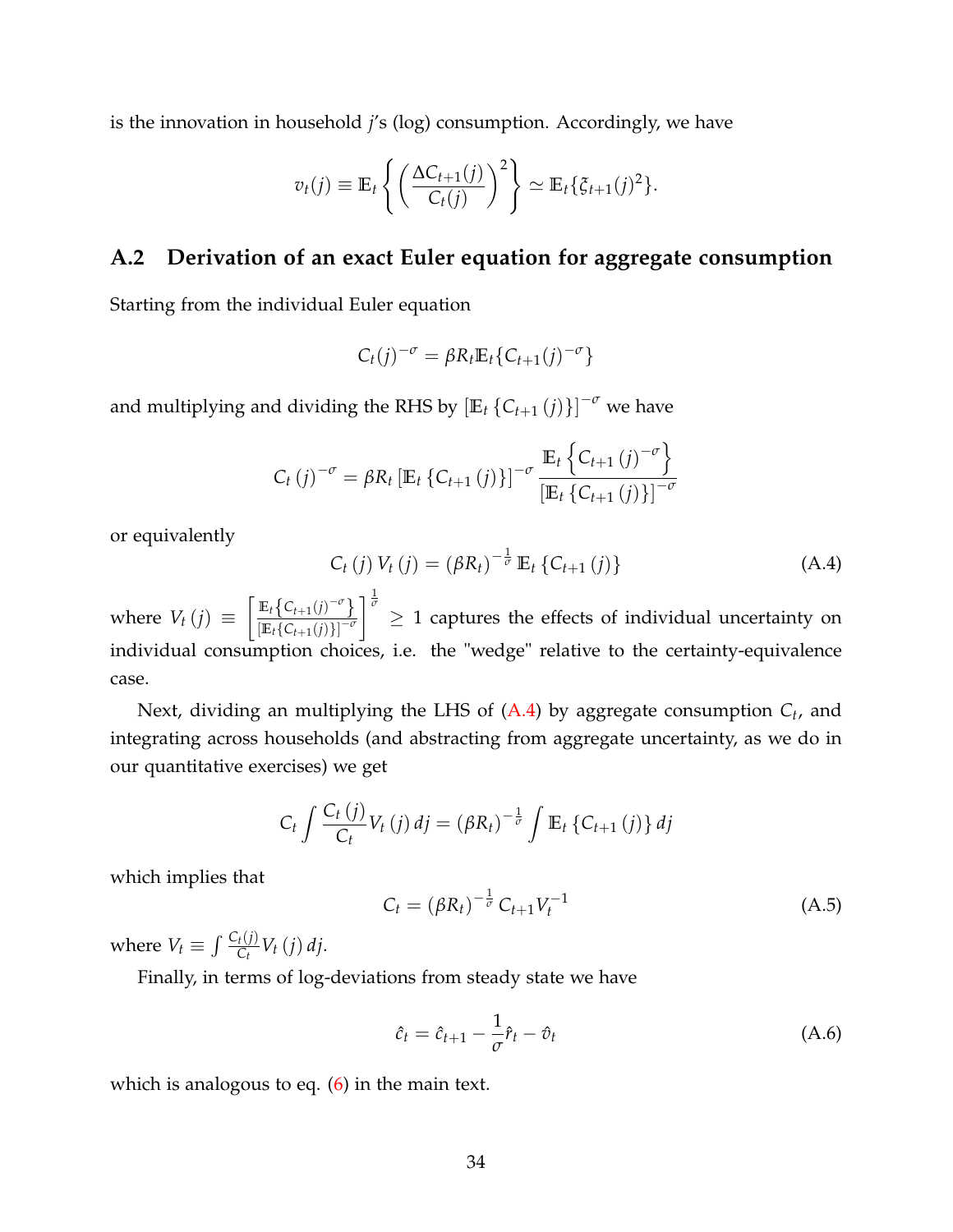is the innovation in household *j*'s (log) consumption. Accordingly, we have

$$
v_t(j) \equiv \mathbb{E}_t \left\{ \left( \frac{\Delta C_{t+1}(j)}{C_t(j)} \right)^2 \right\} \simeq \mathbb{E}_t \{ \xi_{t+1}(j)^2 \}.
$$

### <span id="page-33-0"></span>**A.2 Derivation of an exact Euler equation for aggregate consumption**

Starting from the individual Euler equation

$$
C_t(j)^{-\sigma} = \beta R_t \mathbb{E}_t \{ C_{t+1}(j)^{-\sigma} \}
$$

and multiplying and dividing the RHS by  $\left[\mathbb{E}_t\left\{ \mathsf{C}_{t+1}\left(j\right)\right\} \right]^{-\sigma}$  we have

$$
C_{t}(j)^{-\sigma} = \beta R_{t} \left[ \mathbb{E}_{t} \left\{ C_{t+1}(j) \right\} \right]^{-\sigma} \frac{\mathbb{E}_{t} \left\{ C_{t+1}(j)^{-\sigma} \right\}}{\left[ \mathbb{E}_{t} \left\{ C_{t+1}(j) \right\} \right]^{-\sigma}}
$$

or equivalently

<span id="page-33-1"></span>
$$
C_{t}(j) V_{t}(j) = (\beta R_{t})^{-\frac{1}{\sigma}} \mathbb{E}_{t} \{ C_{t+1}(j) \}
$$
 (A.4)

where  $V_t(j) \equiv \left[ \frac{\mathbb{E}_t \{ C_{t+1}(j)^{-\sigma} \}}{\mathbb{E}_t \{ C_{t+1}(j) \}^{-\sigma} \}} \right]$  $\sqrt{\mathbb{E}_t \{C_{t+1}(j)\}}^{-\sigma}$  $\int_{0}^{\frac{1}{\sigma}} \geq 1$  captures the effects of individual uncertainty on individual consumption choices, i.e. the "wedge" relative to the certainty-equivalence case.

Next, dividing an multiplying the LHS of [\(A.4\)](#page-33-1) by aggregate consumption *C<sup>t</sup>* , and integrating across households (and abstracting from aggregate uncertainty, as we do in our quantitative exercises) we get

$$
C_t \int \frac{C_t(j)}{C_t} V_t(j) \, dj = \left(\beta R_t\right)^{-\frac{1}{\sigma}} \int \mathbb{E}_t \left\{C_{t+1}(j)\right\} dj
$$

which implies that

$$
C_t = (\beta R_t)^{-\frac{1}{\sigma}} C_{t+1} V_t^{-1}
$$
 (A.5)

where  $V_t \equiv \int \frac{C_t(j)}{C_t} V_t(j) \, dj$ .

Finally, in terms of log-deviations from steady state we have

$$
\hat{c}_t = \hat{c}_{t+1} - \frac{1}{\sigma}\hat{r}_t - \hat{v}_t
$$
\n(A.6)

which is analogous to eq.  $(6)$  in the main text.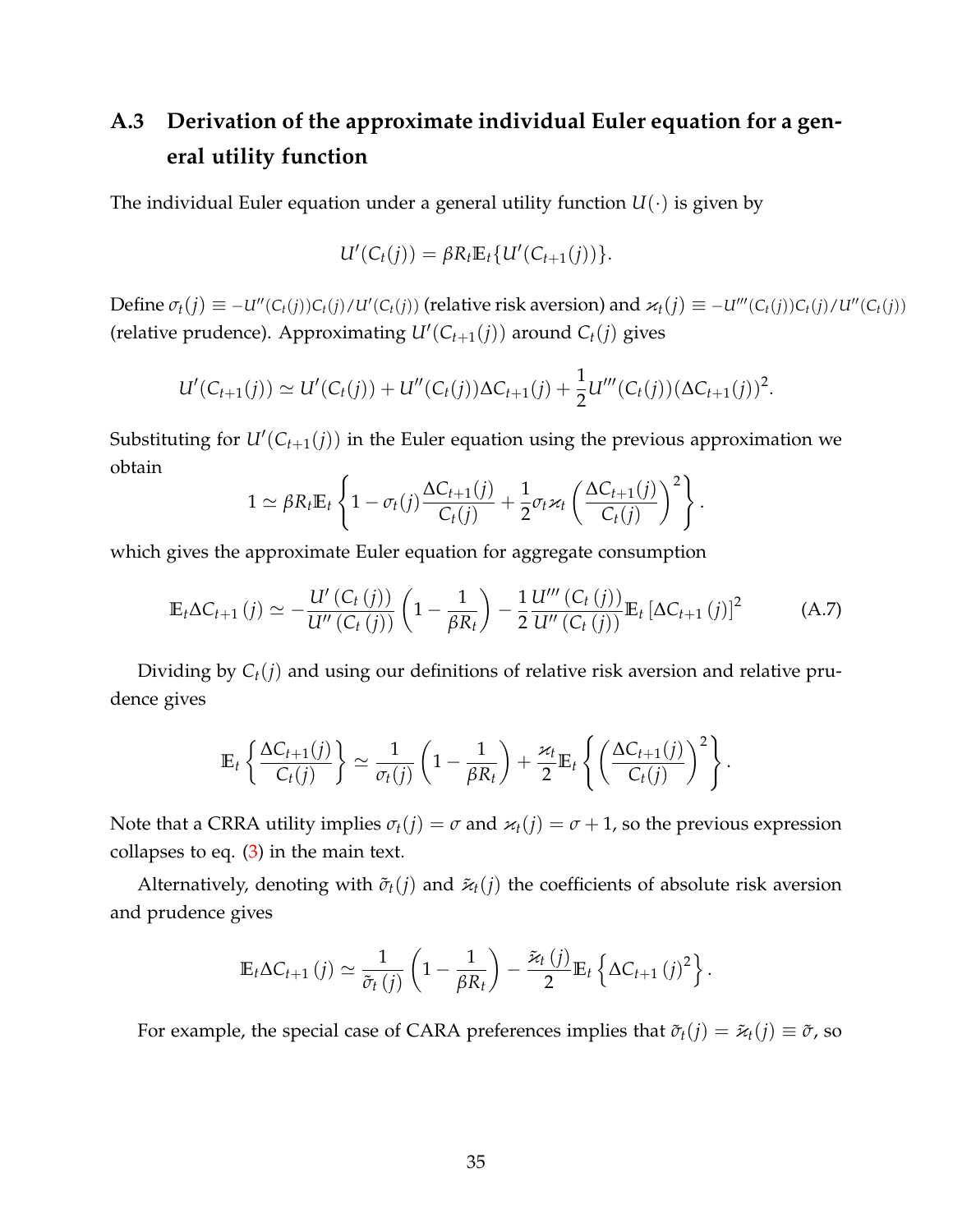# <span id="page-34-0"></span>**A.3 Derivation of the approximate individual Euler equation for a general utility function**

The individual Euler equation under a general utility function  $U(\cdot)$  is given by

$$
U'(C_t(j)) = \beta R_t \mathbb{E}_t \{ U'(C_{t+1}(j)) \}.
$$

Define  $\sigma_t(j) \equiv -u''(C_t(j))C_t(j)/u'(C_t(j))$  (relative risk aversion) and  $\varkappa_t(j) \equiv -u'''(C_t(j))C_t(j)/u''(C_t(j))$ (relative prudence). Approximating  $U'(C_{t+1}(j))$  around  $C_t(j)$  gives

$$
U'(C_{t+1}(j)) \simeq U'(C_t(j)) + U''(C_t(j))\Delta C_{t+1}(j) + \frac{1}{2}U'''(C_t(j))(\Delta C_{t+1}(j))^2.
$$

Substituting for  $U'(C_{t+1}(j))$  in the Euler equation using the previous approximation we obtain

$$
1 \simeq \beta R_t \mathbb{E}_t \left\{ 1 - \sigma_t(j) \frac{\Delta C_{t+1}(j)}{C_t(j)} + \frac{1}{2} \sigma_t \varkappa_t \left( \frac{\Delta C_{t+1}(j)}{C_t(j)} \right)^2 \right\}.
$$

which gives the approximate Euler equation for aggregate consumption

$$
\mathbb{E}_{t}\Delta C_{t+1}(j) \simeq -\frac{U'(C_{t}(j))}{U''(C_{t}(j))}\left(1-\frac{1}{\beta R_{t}}\right) - \frac{1}{2}\frac{U'''(C_{t}(j))}{U''(C_{t}(j))}\mathbb{E}_{t}\left[\Delta C_{t+1}(j)\right]^{2}
$$
(A.7)

Dividing by *Ct*(*j*) and using our definitions of relative risk aversion and relative prudence gives

$$
\mathbb{E}_t\left\{\frac{\Delta C_{t+1}(j)}{C_t(j)}\right\} \simeq \frac{1}{\sigma_t(j)}\left(1-\frac{1}{\beta R_t}\right)+\frac{\varkappa_t}{2}\mathbb{E}_t\left\{\left(\frac{\Delta C_{t+1}(j)}{C_t(j)}\right)^2\right\}.
$$

Note that a CRRA utility implies  $\sigma_t(j) = \sigma$  and  $\varkappa_t(j) = \sigma + 1$ , so the previous expression collapses to eq.  $(3)$  in the main text.

Alternatively, denoting with  $\tilde{\sigma}_t(i)$  and  $\tilde{\varkappa}_t(i)$  the coefficients of absolute risk aversion and prudence gives

$$
\mathbb{E}_t \Delta C_{t+1}(j) \simeq \frac{1}{\tilde{\sigma}_t(j)} \left(1 - \frac{1}{\beta R_t}\right) - \frac{\tilde{\varkappa}_t(j)}{2} \mathbb{E}_t \left\{\Delta C_{t+1}(j)^2\right\}.
$$

For example, the special case of CARA preferences implies that  $\tilde{\sigma}_t(j) = \tilde{\varkappa}_t(j) \equiv \tilde{\sigma}$ , so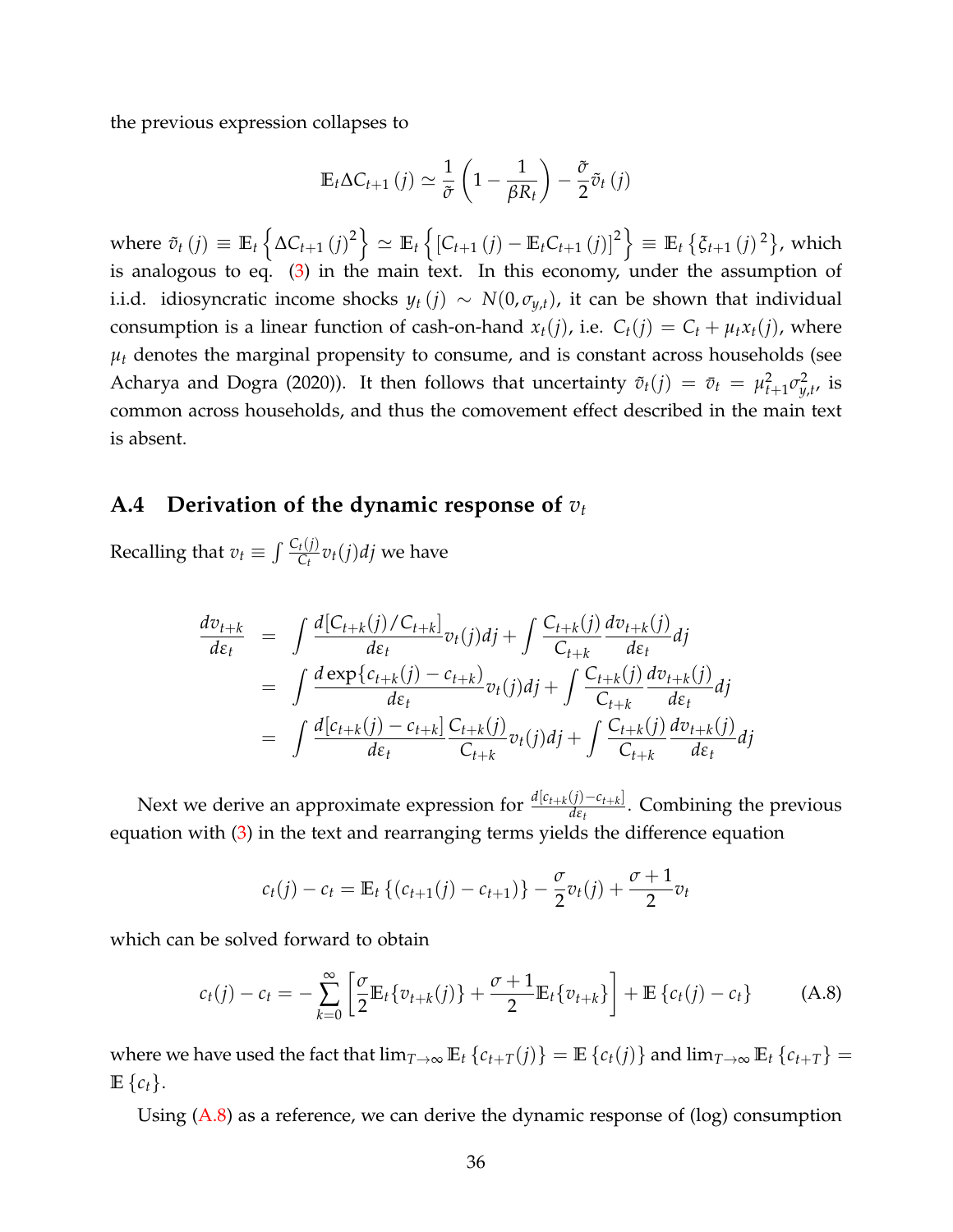the previous expression collapses to

$$
\mathbb{E}_{t} \Delta C_{t+1} (j) \simeq \frac{1}{\tilde{\sigma}} \left( 1 - \frac{1}{\beta R_{t}} \right) - \frac{\tilde{\sigma}}{2} \tilde{v}_{t} (j)
$$

where  $\tilde{v}_t(j) \equiv \mathbb{E}_t \left\{ \Delta C_{t+1}(j)^2 \right\} \simeq \mathbb{E}_t \left\{ \left[ C_{t+1}(j) - \mathbb{E}_t C_{t+1}(j) \right]^2 \right\} \equiv \mathbb{E}_t \left\{ \xi_{t+1}(j)^2 \right\}$ , which is analogous to eq. [\(3\)](#page-6-0) in the main text. In this economy, under the assumption of i.i.d. idiosyncratic income shocks  $y_t(j) \sim N(0, \sigma_{y,t})$ , it can be shown that individual consumption is a linear function of cash-on-hand  $x_t(j)$ , i.e.  $C_t(j) = C_t + \mu_t x_t(j)$ , where  $\mu_t$  denotes the marginal propensity to consume, and is constant across households (see Acharya and Dogra (2020)). It then follows that uncertainty  $\tilde{v}_t(j) = \bar{v}_t = \mu_{t+1}^2 \sigma_{y,t}^2$ , is common across households, and thus the comovement effect described in the main text is absent.

### <span id="page-35-0"></span>**A.4 Derivation of the dynamic response of** *v<sup>t</sup>*

Recalling that  $v_t \equiv \int \frac{C_t(j)}{C_t} v_t(j) d j$  we have

$$
\frac{dv_{t+k}}{d\varepsilon_t} = \int \frac{d[C_{t+k}(j)/C_{t+k}]}{d\varepsilon_t} v_t(j)dj + \int \frac{C_{t+k}(j)}{C_{t+k}} \frac{dv_{t+k}(j)}{d\varepsilon_t} dj \n= \int \frac{d\exp\{c_{t+k}(j) - c_{t+k}\}}{d\varepsilon_t} v_t(j)dj + \int \frac{C_{t+k}(j)}{C_{t+k}} \frac{dv_{t+k}(j)}{d\varepsilon_t} dj \n= \int \frac{d[c_{t+k}(j) - c_{t+k}]}{d\varepsilon_t} \frac{C_{t+k}(j)}{C_{t+k}} v_t(j)dj + \int \frac{C_{t+k}(j)}{C_{t+k}} \frac{dv_{t+k}(j)}{d\varepsilon_t} dj
$$

Next we derive an approximate expression for  $\frac{d[c_{t+k}(j)-c_{t+k}]}{ds}$ *dεt* . Combining the previous equation with [\(3\)](#page-6-0) in the text and rearranging terms yields the difference equation

$$
c_t(j) - c_t = \mathbb{E}_t \left\{ (c_{t+1}(j) - c_{t+1}) \right\} - \frac{\sigma}{2} v_t(j) + \frac{\sigma+1}{2} v_t
$$

which can be solved forward to obtain

<span id="page-35-1"></span>
$$
c_t(j) - c_t = -\sum_{k=0}^{\infty} \left[ \frac{\sigma}{2} \mathbb{E}_t \{ v_{t+k}(j) \} + \frac{\sigma + 1}{2} \mathbb{E}_t \{ v_{t+k} \} \right] + \mathbb{E} \{ c_t(j) - c_t \}
$$
 (A.8)

where we have used the fact that  $\lim_{T\to\infty} \mathbb{E}_t \{c_{t+T}(j)\} = \mathbb{E} \{c_t(j)\}$  and  $\lim_{T\to\infty} \mathbb{E}_t \{c_{t+T}\} =$  $\mathbb{E}\left\{c_t\right\}$ .

Using [\(A.8\)](#page-35-1) as a reference, we can derive the dynamic response of (log) consumption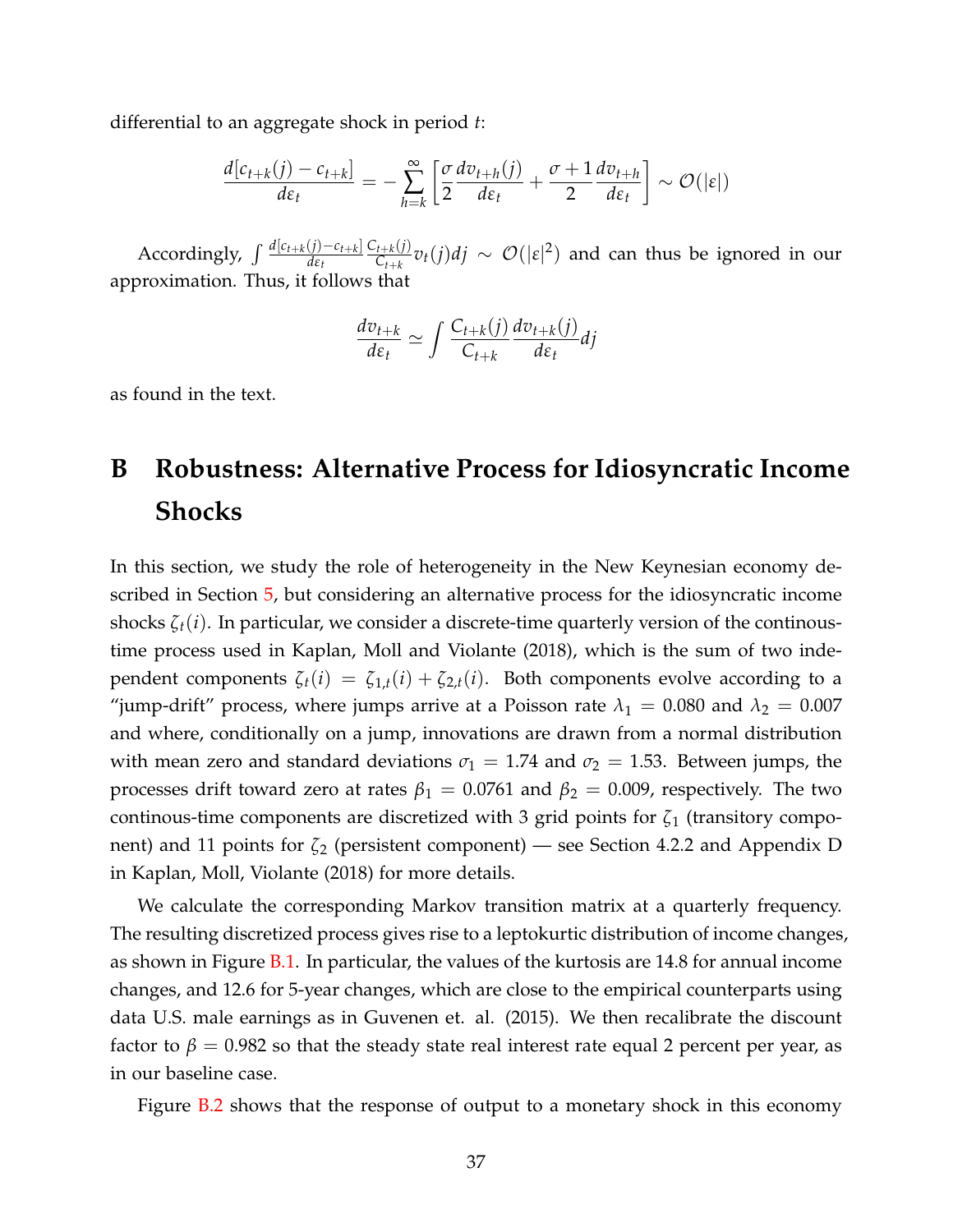differential to an aggregate shock in period *t*:

$$
\frac{d[c_{t+k}(j) - c_{t+k}]}{d\varepsilon_t} = -\sum_{h=k}^{\infty} \left[ \frac{\sigma}{2} \frac{dv_{t+h}(j)}{d\varepsilon_t} + \frac{\sigma+1}{2} \frac{dv_{t+h}}{d\varepsilon_t} \right] \sim \mathcal{O}(|\varepsilon|)
$$

Accordingly,  $\int \frac{d[c_{t+k}(j)-c_{t+k}]}{ds}$ *dεt*  $C_{t+k}(j)$ *c*<sub>*t*+*k*</sub>*V*)*dj* ∼  $\mathcal{O}(|\epsilon|^2)$  and can thus be ignored in our approximation. Thus, it follows that

$$
\frac{dv_{t+k}}{d\varepsilon_t} \simeq \int \frac{C_{t+k}(j)}{C_{t+k}} \frac{dv_{t+k}(j)}{d\varepsilon_t} dj
$$

as found in the text.

# **B Robustness: Alternative Process for Idiosyncratic Income Shocks**

In this section, we study the role of heterogeneity in the New Keynesian economy described in Section [5,](#page-14-0) but considering an alternative process for the idiosyncratic income shocks *ζt*(*i*). In particular, we consider a discrete-time quarterly version of the continoustime process used in Kaplan, Moll and Violante (2018), which is the sum of two independent components  $\zeta_t(i) = \zeta_{1,t}(i) + \zeta_{2,t}(i)$ . Both components evolve according to a "jump-drift" process, where jumps arrive at a Poisson rate  $\lambda_1 = 0.080$  and  $\lambda_2 = 0.007$ and where, conditionally on a jump, innovations are drawn from a normal distribution with mean zero and standard deviations  $\sigma_1 = 1.74$  and  $\sigma_2 = 1.53$ . Between jumps, the processes drift toward zero at rates  $\beta_1 = 0.0761$  and  $\beta_2 = 0.009$ , respectively. The two continous-time components are discretized with 3 grid points for *ζ*<sup>1</sup> (transitory component) and 11 points for *ζ*<sup>2</sup> (persistent component) — see Section 4.2.2 and Appendix D in Kaplan, Moll, Violante (2018) for more details.

We calculate the corresponding Markov transition matrix at a quarterly frequency. The resulting discretized process gives rise to a leptokurtic distribution of income changes, as shown in Figure [B.1.](#page-23-0) In particular, the values of the kurtosis are 14.8 for annual income changes, and 12.6 for 5-year changes, which are close to the empirical counterparts using data U.S. male earnings as in Guvenen et. al. (2015). We then recalibrate the discount factor to  $\beta = 0.982$  so that the steady state real interest rate equal 2 percent per year, as in our baseline case.

Figure [B.2](#page-24-0) shows that the response of output to a monetary shock in this economy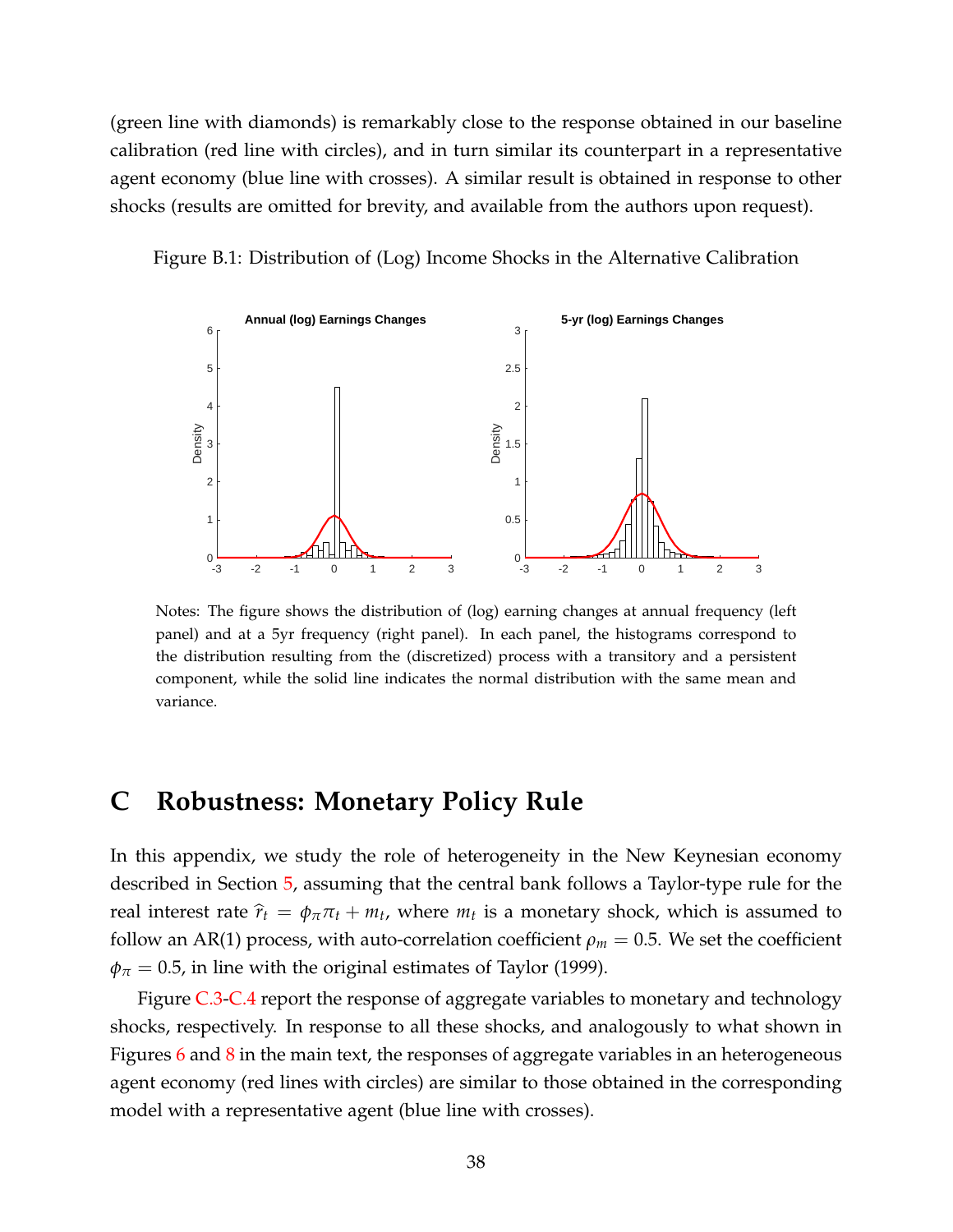(green line with diamonds) is remarkably close to the response obtained in our baseline calibration (red line with circles), and in turn similar its counterpart in a representative agent economy (blue line with crosses). A similar result is obtained in response to other shocks (results are omitted for brevity, and available from the authors upon request).

Figure B.1: Distribution of (Log) Income Shocks in the Alternative Calibration

![](_page_37_Figure_2.jpeg)

Notes: The figure shows the distribution of (log) earning changes at annual frequency (left panel) and at a 5yr frequency (right panel). In each panel, the histograms correspond to the distribution resulting from the (discretized) process with a transitory and a persistent component, while the solid line indicates the normal distribution with the same mean and variance.

## **C Robustness: Monetary Policy Rule**

In this appendix, we study the role of heterogeneity in the New Keynesian economy described in Section [5,](#page-14-0) assuming that the central bank follows a Taylor-type rule for the real interest rate  $\hat{r}_t = \phi_{\pi} \pi_t + m_t$ , where  $m_t$  is a monetary shock, which is assumed to follow an AR(1) process, with auto-correlation coefficient  $\rho_m = 0.5$ . We set the coefficient  $\phi_{\pi}$  = 0.5, in line with the original estimates of Taylor (1999).

Figure [C.3](#page-25-0)[-C.4](#page-26-0) report the response of aggregate variables to monetary and technology shocks, respectively. In response to all these shocks, and analogously to what shown in Figures  $6$  and  $8$  in the main text, the responses of aggregate variables in an heterogeneous agent economy (red lines with circles) are similar to those obtained in the corresponding model with a representative agent (blue line with crosses).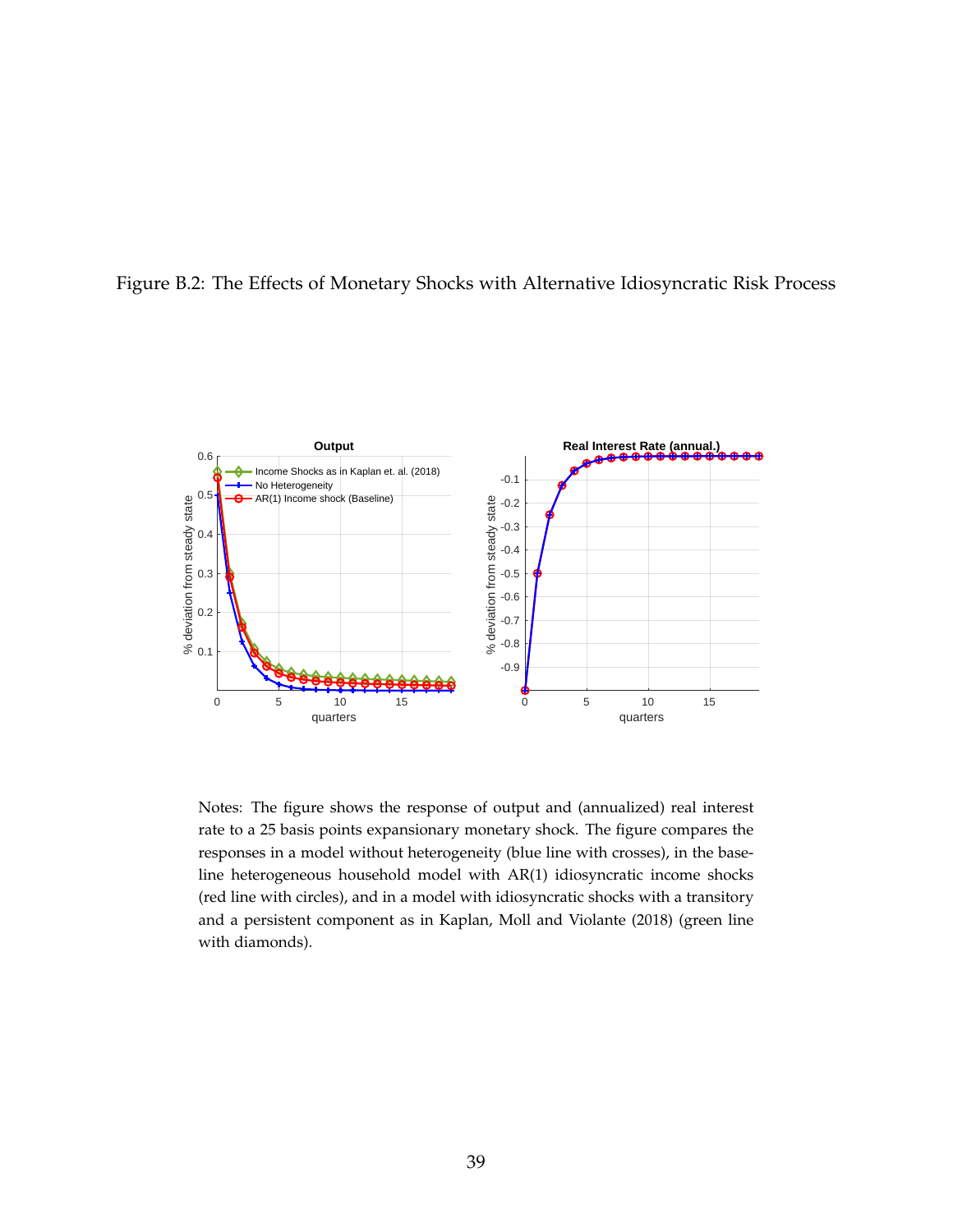![](_page_38_Figure_0.jpeg)

![](_page_38_Figure_1.jpeg)

Notes: The figure shows the response of output and (annualized) real interest rate to a 25 basis points expansionary monetary shock. The figure compares the responses in a model without heterogeneity (blue line with crosses), in the baseline heterogeneous household model with AR(1) idiosyncratic income shocks (red line with circles), and in a model with idiosyncratic shocks with a transitory and a persistent component as in Kaplan, Moll and Violante (2018) (green line with diamonds).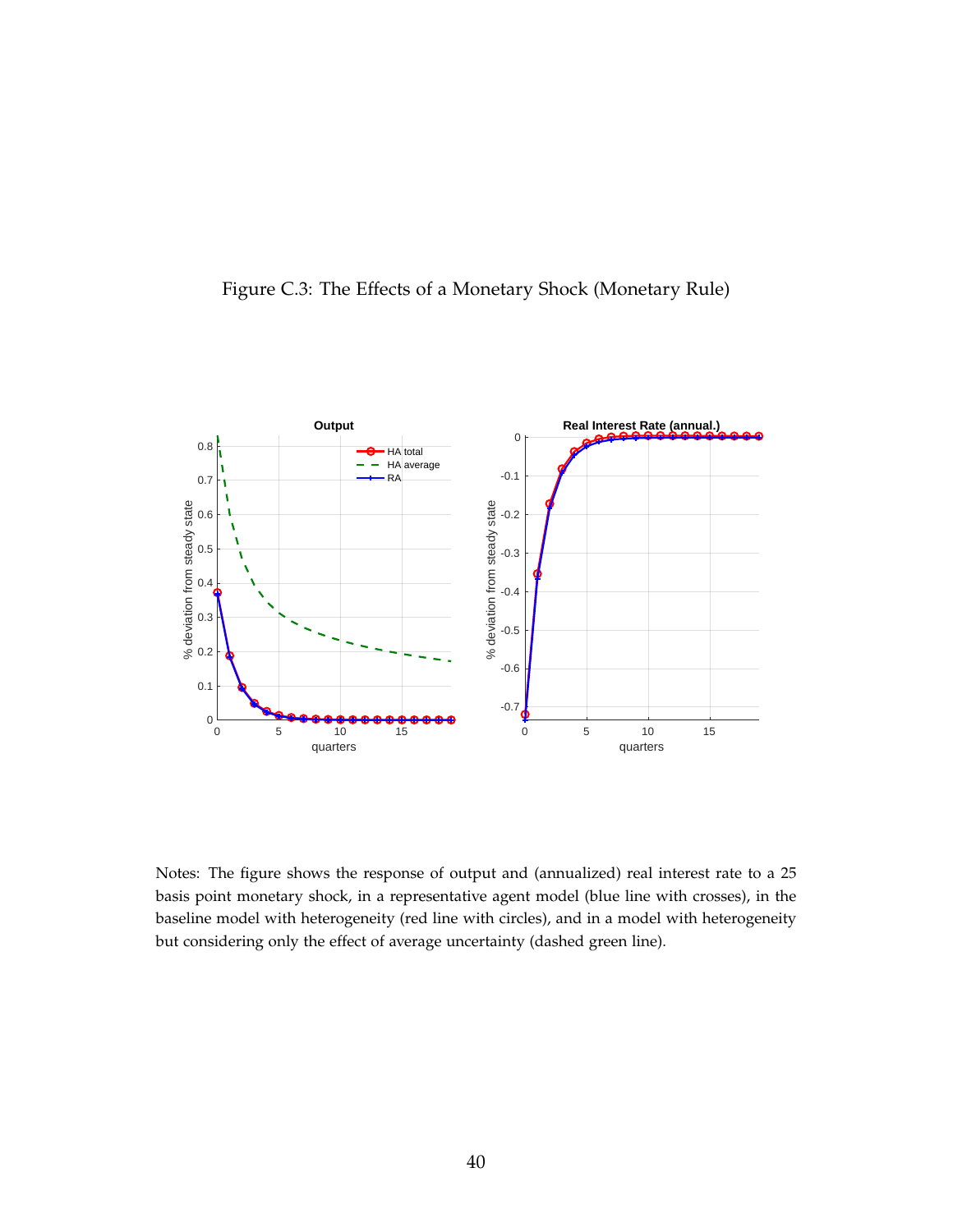![](_page_39_Figure_0.jpeg)

![](_page_39_Figure_1.jpeg)

Notes: The figure shows the response of output and (annualized) real interest rate to a 25 basis point monetary shock, in a representative agent model (blue line with crosses), in the baseline model with heterogeneity (red line with circles), and in a model with heterogeneity but considering only the effect of average uncertainty (dashed green line).